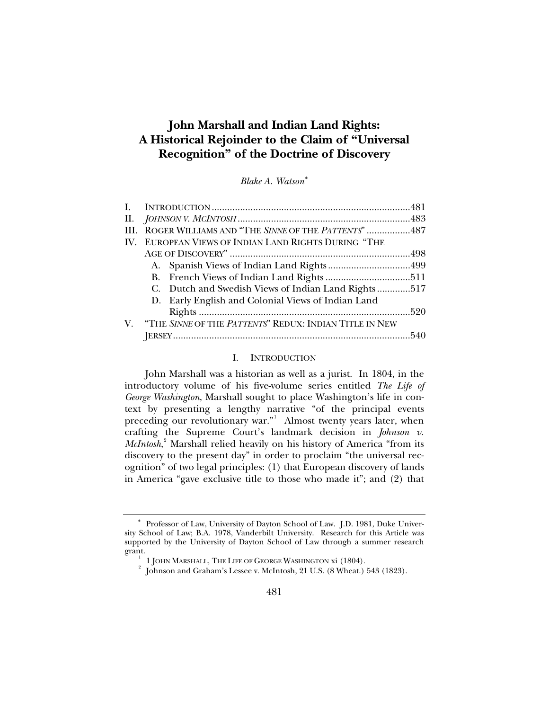# <span id="page-0-1"></span>**John Marshall and Indian Land Rights: A Historical Rejoinder to the Claim of "Universal Recognition" of the Doctrine of Discovery**

*Blake A. Watson*[∗](#page-0-0)

|  | ROGER WILLIAMS AND "THE SINNE OF THE PATTENTS"487<br>IV. EUROPEAN VIEWS OF INDIAN LAND RIGHTS DURING "THE<br>D. Early English and Colonial Views of Indian Land<br>V. "THE SINNE OF THE PATTENTS" REDUX: INDIAN TITLE IN NEW |
|--|------------------------------------------------------------------------------------------------------------------------------------------------------------------------------------------------------------------------------|

# I. INTRODUCTION

John Marshall was a historian as well as a jurist. In 1804, in the introductory volume of his five-volume series entitled *The Life of George Washington*, Marshall sought to place Washington's life in context by presenting a lengthy narrative "of the principal events preceding our revolutionary war."<sup>[1](#page-0-2)</sup> Almost twenty years later, when crafting the Supreme Court's landmark decision in *Johnson v. McIntosh*,<sup>[2](#page-0-3)</sup> Marshall relied heavily on his history of America "from its discovery to the present day" in order to proclaim "the universal recognition" of two legal principles: (1) that European discovery of lands in America "gave exclusive title to those who made it"; and (2) that

<span id="page-0-3"></span><span id="page-0-2"></span><span id="page-0-0"></span><sup>∗</sup> Professor of Law, University of Dayton School of Law. J.D. 1981, Duke University School of Law; B.A. 1978, Vanderbilt University. Research for this Article was supported by the University of Dayton School of Law through a summer research grant. 1

 <sup>1</sup> JOHN MARSHALL, THE LIFE OF GEORGE WASHINGTON xi (1804). 2

 $^2$  Johnson and Graham's Lessee v. McIntosh, 21 U.S. (8 Wheat.) 543 (1823).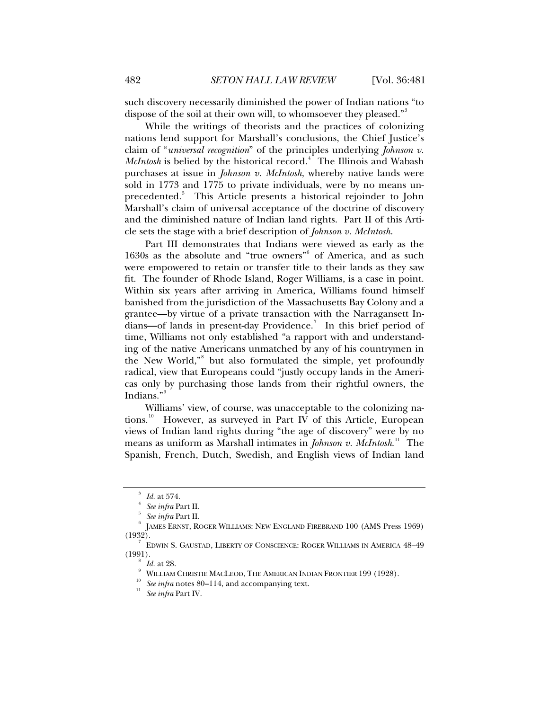such discovery necessarily diminished the power of Indian nations "to dispose of the soil at their own will, to whomsoever they pleased."<sup>[3](#page-1-0)</sup>

While the writings of theorists and the practices of colonizing nations lend support for Marshall's conclusions, the Chief Justice's claim of "*universal recognition*" of the principles underlying *Johnson v. McIntosh* is belied by the historical record.<sup>[4](#page-1-1)</sup> The Illinois and Wabash purchases at issue in *Johnson v. McIntosh*, whereby native lands were sold in 1773 and 1775 to private individuals, were by no means un-precedented.<sup>[5](#page-1-2)</sup> This Article presents a historical rejoinder to John Marshall's claim of universal acceptance of the doctrine of discovery and the diminished nature of Indian land rights. Part II of this Article sets the stage with a brief description of *Johnson v. McIntosh*.

Part III demonstrates that Indians were viewed as early as the 1[6](#page-1-3)30s as the absolute and "true owners" of America, and as such were empowered to retain or transfer title to their lands as they saw fit. The founder of Rhode Island, Roger Williams, is a case in point. Within six years after arriving in America, Williams found himself banished from the jurisdiction of the Massachusetts Bay Colony and a grantee—by virtue of a private transaction with the Narragansett In-dians—of lands in present-day Providence.<sup>[7](#page-1-4)</sup> In this brief period of time, Williams not only established "a rapport with and understanding of the native Americans unmatched by any of his countrymen in the New World,"<sup>[8](#page-1-5)</sup> but also formulated the simple, yet profoundly radical, view that Europeans could "justly occupy lands in the Americas only by purchasing those lands from their rightful owners, the Indians."[9](#page-1-6)

Williams' view, of course, was unacceptable to the colonizing na-tions.<sup>[10](#page-1-7)</sup> However, as surveyed in Part IV of this Article, European views of Indian land rights during "the age of discovery" were by no means as uniform as Marshall intimates in *Johnson v. McIntosh*. [11](#page-1-8) The Spanish, French, Dutch, Swedish, and English views of Indian land

<sup>3</sup> *Id.* at 574.

*See infra* Part II.

*See infra* Part II. 6

<span id="page-1-3"></span><span id="page-1-2"></span><span id="page-1-1"></span><span id="page-1-0"></span>JAMES ERNST, ROGER WILLIAMS: NEW ENGLAND FIREBRAND 100 (AMS Press 1969)  $(1932)$ .

<span id="page-1-8"></span><span id="page-1-7"></span><span id="page-1-6"></span><span id="page-1-5"></span><span id="page-1-4"></span>EDWIN S. GAUSTAD, LIBERTY OF CONSCIENCE: ROGER WILLIAMS IN AMERICA 48–49  $(1991).$ 

*Id.* at 28.<br>William Christie MacLeod, The American Indian Frontier 199 (1928).

WILLIAM CHRISTIE 11<br><sup>10</sup> See infra notes 80–114, and accompanying text.<br><sup>11</sup> See infra Part IV.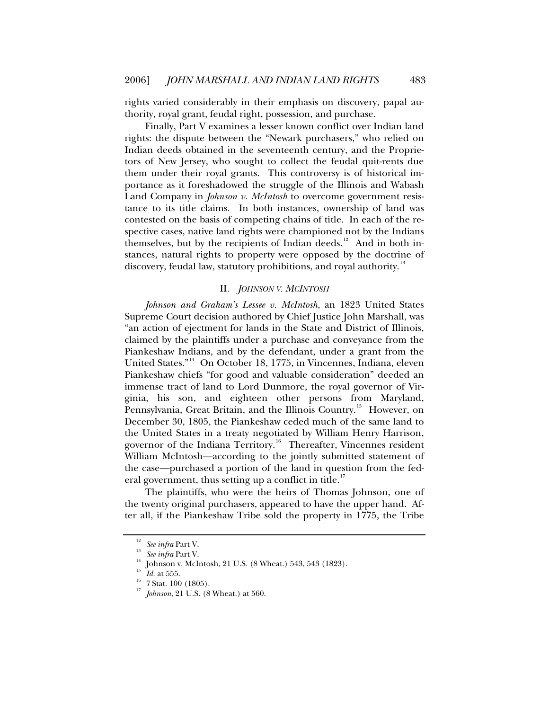<span id="page-2-0"></span>rights varied considerably in their emphasis on discovery, papal authority, royal grant, feudal right, possession, and purchase.

Finally, Part V examines a lesser known conflict over Indian land rights: the dispute between the "Newark purchasers," who relied on Indian deeds obtained in the seventeenth century, and the Proprietors of New Jersey, who sought to collect the feudal quit-rents due them under their royal grants. This controversy is of historical importance as it foreshadowed the struggle of the Illinois and Wabash Land Company in *Johnson v. McIntosh* to overcome government resistance to its title claims. In both instances, ownership of land was contested on the basis of competing chains of title. In each of the respective cases, native land rights were championed not by the Indians themselves, but by the recipients of Indian deeds.<sup>[12](#page-2-1)</sup> And in both instances, natural rights to property were opposed by the doctrine of discovery, feudal law, statutory prohibitions, and royal authority.<sup>[13](#page-2-2)</sup>

# II. *JOHNSON V. MCINTOSH*

*Johnson and Graham's Lessee v. McIntosh*, an 1823 United States Supreme Court decision authored by Chief Justice John Marshall, was "an action of ejectment for lands in the State and District of Illinois, claimed by the plaintiffs under a purchase and conveyance from the Piankeshaw Indians, and by the defendant, under a grant from the United States."[14](#page-2-3) On October 18, 1775, in Vincennes, Indiana, eleven Piankeshaw chiefs "for good and valuable consideration" deeded an immense tract of land to Lord Dunmore, the royal governor of Virginia, his son, and eighteen other persons from Maryland, Pennsylvania, Great Britain, and the Illinois Country.<sup>[15](#page-2-4)</sup> However, on December 30, 1805, the Piankeshaw ceded much of the same land to the United States in a treaty negotiated by William Henry Harrison, governor of the Indiana Territory.<sup>[16](#page-2-5)</sup> Thereafter, Vincennes resident William McIntosh—according to the jointly submitted statement of the case—purchased a portion of the land in question from the fed-eral government, thus setting up a conflict in title.<sup>[17](#page-2-6)</sup>

The plaintiffs, who were the heirs of Thomas Johnson, one of the twenty original purchasers, appeared to have the upper hand. After all, if the Piankeshaw Tribe sold the property in 1775, the Tribe

<span id="page-2-2"></span><span id="page-2-1"></span><sup>&</sup>lt;sup>12</sup> See infra Part V.<br><sup>13</sup> See infra Part V.<br><sup>14</sup> Johnson v. McIntosh, 21 U.S. (8 Wheat.) 543, 543 (1823).<br><sup>15</sup> Id. at 555.<br><sup>16</sup> 7 Stat. 100 (1805).<br><sup>17</sup> Johnson, 21 U.S. (8 Wheat.) at 560.

<span id="page-2-6"></span><span id="page-2-5"></span><span id="page-2-4"></span><span id="page-2-3"></span>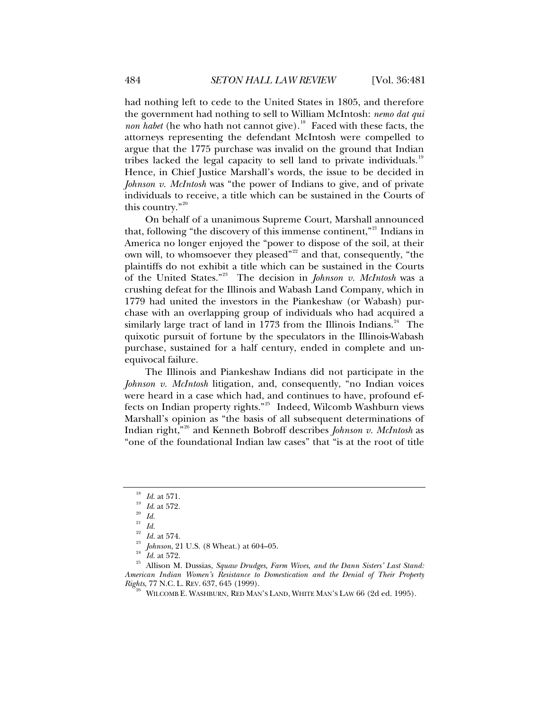had nothing left to cede to the United States in 1805, and therefore the government had nothing to sell to William McIntosh: *nemo dat qui non habet* (he who hath not cannot give).<sup>[18](#page-3-0)</sup> Faced with these facts, the attorneys representing the defendant McIntosh were compelled to argue that the 1775 purchase was invalid on the ground that Indian tribes lacked the legal capacity to sell land to private individuals.<sup>[19](#page-3-1)</sup> Hence, in Chief Justice Marshall's words, the issue to be decided in *Johnson v. McIntosh* was "the power of Indians to give, and of private individuals to receive, a title which can be sustained in the Courts of this country."[20](#page-3-2)

On behalf of a unanimous Supreme Court, Marshall announced that, following "the discovery of this immense continent,"<sup>[21](#page-3-3)</sup> Indians in America no longer enjoyed the "power to dispose of the soil, at their own will, to whomsoever they pleased"<sup>[22](#page-3-4)</sup> and that, consequently, "the plaintiffs do not exhibit a title which can be sustained in the Courts of the United States."[23](#page-3-5) The decision in *Johnson v. McIntosh* was a crushing defeat for the Illinois and Wabash Land Company, which in 1779 had united the investors in the Piankeshaw (or Wabash) purchase with an overlapping group of individuals who had acquired a similarly large tract of land in 1773 from the Illinois Indians. $24$  The quixotic pursuit of fortune by the speculators in the Illinois-Wabash purchase, sustained for a half century, ended in complete and unequivocal failure.

The Illinois and Piankeshaw Indians did not participate in the *Johnson v. McIntosh* litigation, and, consequently, "no Indian voices were heard in a case which had, and continues to have, profound effects on Indian property rights."[25](#page-3-7) Indeed, Wilcomb Washburn views Marshall's opinion as "the basis of all subsequent determinations of Indian right,"[26](#page-3-8) and Kenneth Bobroff describes *Johnson v. McIntosh* as "one of the foundational Indian law cases" that "is at the root of title

<sup>18</sup> *Id.* at 571. 19 *Id*. at 572. 20 *Id.*

<sup>21</sup> *Id.*

<span id="page-3-8"></span><span id="page-3-7"></span><span id="page-3-6"></span><span id="page-3-5"></span><span id="page-3-4"></span><span id="page-3-3"></span><span id="page-3-2"></span><span id="page-3-1"></span><span id="page-3-0"></span><sup>&</sup>lt;sup>22</sup> Id. at 574.<br><sup>23</sup> Johnson, 21 U.S. (8 Wheat.) at 604–05.<br><sup>24</sup> Id. at 572.<br><sup>25</sup> Allison M. Dussias, *Squaw Drudges, Farm Wives, and the Dann Sisters' Last Stand: American Indian Women's Resistance to Domestication and the Denial of Their Property Rights*, 77 N.C. L. Rev. 637, 645 (1999).<br><sup>26</sup> WILCOMB E. WASHBURN, RED MAN'S LAND, WHITE MAN'S LAW 66 (2d ed. 1995).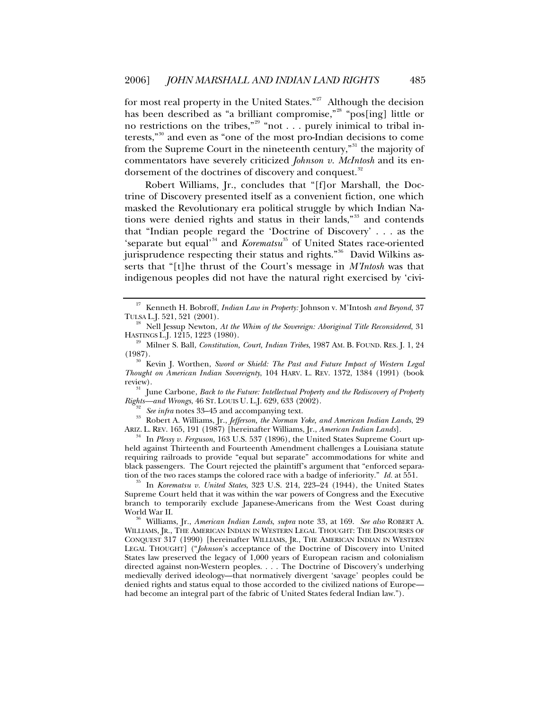for most real property in the United States."<sup>[27](#page-4-0)</sup> Although the decision has been described as "a brilliant compromise,"<sup>[28](#page-4-1)</sup> "pos[ing] little or no restrictions on the tribes,"<sup>[29](#page-4-2)</sup> "not . . . purely inimical to tribal interests,"[30](#page-4-3) and even as "one of the most pro-Indian decisions to come from the Supreme Court in the nineteenth century,"<sup>[31](#page-4-4)</sup> the majority of commentators have severely criticized *Johnson v. McIntosh* and its en-dorsement of the doctrines of discovery and conquest.<sup>[32](#page-4-5)</sup>

Robert Williams, Jr., concludes that "[f]or Marshall, the Doctrine of Discovery presented itself as a convenient fiction, one which masked the Revolutionary era political struggle by which Indian Na-tions were denied rights and status in their lands,"<sup>[33](#page-4-6)</sup> and contends that "Indian people regard the 'Doctrine of Discovery' . . . as the 'separate but equal'<sup>[34](#page-4-7)</sup> and *Korematsu*<sup>[35](#page-4-8)</sup> of United States race-oriented jurisprudence respecting their status and rights."<sup>[36](#page-4-9)</sup> David Wilkins asserts that "[t]he thrust of the Court's message in *M'Intosh* was that indigenous peoples did not have the natural right exercised by 'civi-

<span id="page-4-4"></span>review). 31 June Carbone, *Back to the Future: Intellectual Property and the Rediscovery of Property* 

<span id="page-4-6"></span><span id="page-4-5"></span><sup>32</sup> See infra notes 33–45 and accompanying text.<br><sup>33</sup> Robert A. Williams, Jr., *Jefferson, the Norman Yoke, and American Indian Lands*, 29<br>ARIZ. L. REV. 165, 191 (1987) [hereinafter Williams, Jr., *American Indian Lands*]

<span id="page-4-7"></span><sup>34</sup> In Plessy v. Ferguson, 163 U.S. 537 (1896), the United States Supreme Court upheld against Thirteenth and Fourteenth Amendment challenges a Louisiana statute requiring railroads to provide "equal but separate" accommodations for white and black passengers. The Court rejected the plaintiff's argument that "enforced separation of the two races stamps the colored race with a badge of inferiority." *Id.* at 551. 35 In *Korematsu v. United States*, 323 U.S. 214, 223–24 (1944), the United States

<span id="page-4-8"></span>Supreme Court held that it was within the war powers of Congress and the Executive branch to temporarily exclude Japanese-Americans from the West Coast during

<span id="page-4-9"></span><sup>36</sup> Williams, Jr., *American Indian Lands, supra* note 33, at 169. *See also* ROBERT A. WILLIAMS, JR., THE AMERICAN INDIAN IN WESTERN LEGAL THOUGHT: THE DISCOURSES OF CONQUEST 317 (1990) [hereinafter WILLIAMS, JR., THE AMERICAN INDIAN IN WESTERN LEGAL THOUGHT] ("*Johnson*'s acceptance of the Doctrine of Discovery into United States law preserved the legacy of 1,000 years of European racism and colonialism directed against non-Western peoples. . . . The Doctrine of Discovery's underlying medievally derived ideology—that normatively divergent 'savage' peoples could be denied rights and status equal to those accorded to the civilized nations of Europe had become an integral part of the fabric of United States federal Indian law.").

<span id="page-4-0"></span><sup>27</sup> Kenneth H. Bobroff, *Indian Law in Property:* Johnson v. M'Intosh *and Beyond*, 37 TULSA L.J. 521, 521 (2001). 28 Nell Jessup Newton, *At the Whim of the Sovereign: Aboriginal Title Reconsidered*, 31

<span id="page-4-1"></span>HASTINGS L.J. 1215, 1223 (1980). 29 Milner S. Ball, *Constitution, Court, Indian Tribes*, 1987 AM. B. FOUND. RES. J. 1, 24

<span id="page-4-3"></span><span id="page-4-2"></span><sup>(1987). 30</sup> Kevin J. Worthen, *Sword or Shield: The Past and Future Impact of Western Legal Thought on American Indian Sovereignty*, 104 HARV. L. REV. 1372, 1384 (1991) (book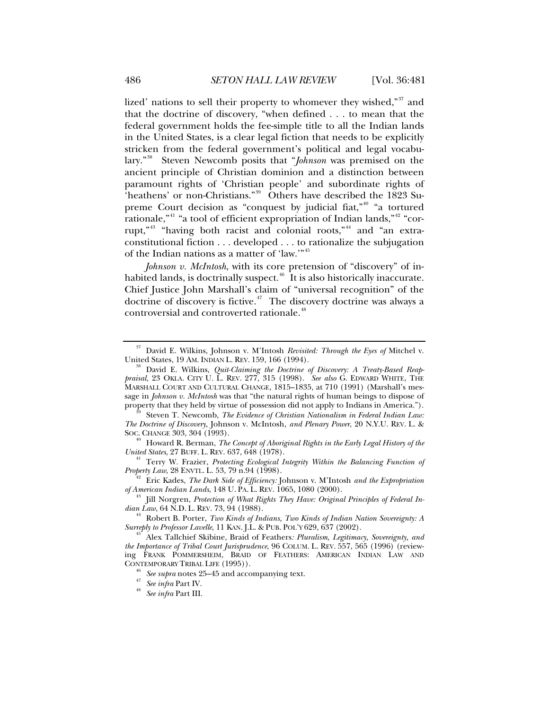lized' nations to sell their property to whomever they wished,"<sup>[37](#page-5-0)</sup> and that the doctrine of discovery, "when defined . . . to mean that the federal government holds the fee-simple title to all the Indian lands in the United States, is a clear legal fiction that needs to be explicitly stricken from the federal government's political and legal vocabulary."[38](#page-5-1) Steven Newcomb posits that "*Johnson* was premised on the ancient principle of Christian dominion and a distinction between paramount rights of 'Christian people' and subordinate rights of 'heathens' or non-Christians."[39](#page-5-2) Others have described the 1823 Su-preme Court decision as "conquest by judicial fiat,"<sup>[40](#page-5-3)</sup> "a tortured rationale,"<sup>[41](#page-5-4)</sup> "a tool of efficient expropriation of Indian lands,"<sup>[42](#page-5-5)</sup> "cor-rupt,"<sup>[43](#page-5-6)</sup> "having both racist and colonial roots,"<sup>[44](#page-5-7)</sup> and "an extraconstitutional fiction . . . developed . . . to rationalize the subjugation of the Indian nations as a matter of 'law.'"[45](#page-5-8)

*Johnson v. McIntosh*, with its core pretension of "discovery" of inhabited lands, is doctrinally suspect. $46$  It is also historically inaccurate. Chief Justice John Marshall's claim of "universal recognition" of the doctrine of discovery is fictive.<sup> $47$ </sup> The discovery doctrine was always a controversial and controverted rationale.<sup>[48](#page-5-11)</sup>

<span id="page-5-2"></span>*The Doctrine of Discovery,* Johnson v. McIntosh*, and Plenary Power*, 20 N.Y.U. REV. L. &

<span id="page-5-3"></span><sup>40</sup> Howard R. Berman, *The Concept of Aboriginal Rights in the Early Legal History of the United States, 27 BUFF. L. REV. 637, 648 (1978).* 

<span id="page-5-4"></span><sup>41</sup> Terry W. Frazier, *Protecting Ecological Integrity Within the Balancing Function of <i>Property Law*, 28 ENVTL. L. 53, 79 n.94 (1998).

<span id="page-5-5"></span><sup>42</sup> Eric Kades, *The Dark Side of Efficiency:* Johnson v. M'Intosh *and the Expropriation of American Indian Lands*, 148 U. PA. L. REV. 1065, 1080 (2000).

<span id="page-5-0"></span><sup>37</sup> David E. Wilkins, Johnson v. M'Intosh *Revisited: Through the Eyes of* Mitchel v.

<span id="page-5-1"></span>David E. Wilkins, *Quit-Claiming the Doctrine of Discovery: A Treaty-Based Reappraisal*, 23 OKLA. CITY U. L. REV. 277, 315 (1998). *See also* G. EDWARD WHITE, THE MARSHALL COURT AND CULTURAL CHANGE, 1815–1835, at 710 (1991) (Marshall's message in *Johnson v. McIntosh* was that "the natural rights of human beings to dispose of property that they held by virtue of possession did not apply to Indians in America.").<br><sup>39</sup> Steven T. Newcomb, *The Evidence of Christian Nationalism in Federal Indian Law:* 

<span id="page-5-6"></span><sup>&</sup>lt;sup>43</sup> Jill Norgren, *Protection of What Rights They Have: Original Principles of Federal Indian Law*, 64 N.D. L. REV. 73, 94 (1988).

<span id="page-5-7"></span><sup>&</sup>lt;sup>44</sup> Robert B. Porter, *Two Kinds of Indians, Two Kinds of Indian Nation Sovereignty: A Surreply to Professor Lavelle, 11 KAN. J.L. & PUB. POL'Y 629, 637 (2002).* 

<span id="page-5-11"></span><span id="page-5-10"></span><span id="page-5-9"></span><span id="page-5-8"></span>Alex Tallchief Skibine, Braid of Feathers: Pluralism, Legitimacy, Sovereignty, and *the Importance of Tribal Court Jurisprudence*, 96 COLUM. L. REV. 557, 565 (1996) (reviewing FRANK POMMERSHEIM, BRAID OF FEATHERS: AMERICAN INDIAN LAW AND CONTEMPORARY TRIBAL LIFE (1995)). 46 *See supra* notes 25–45 and accompanying text. 47 *See infra* Part IV. 48 *See infra* Part III.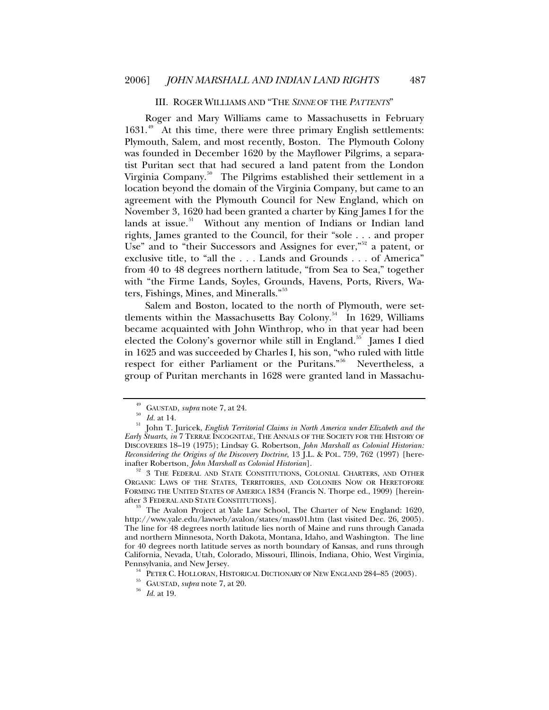#### III. ROGER WILLIAMS AND "THE *SINNE* OF THE *PATTENTS*"

<span id="page-6-0"></span>Roger and Mary Williams came to Massachusetts in February 1631.<sup>[49](#page-6-1)</sup> At this time, there were three primary English settlements: Plymouth, Salem, and most recently, Boston. The Plymouth Colony was founded in December 1620 by the Mayflower Pilgrims, a separatist Puritan sect that had secured a land patent from the London Virginia Company.<sup>[50](#page-6-2)</sup> The Pilgrims established their settlement in a location beyond the domain of the Virginia Company, but came to an agreement with the Plymouth Council for New England, which on November 3, 1620 had been granted a charter by King James I for the lands at issue.<sup>[51](#page-6-3)</sup> Without any mention of Indians or Indian land rights, James granted to the Council, for their "sole . . . and proper Use" and to "their Successors and Assignes for ever,"<sup>[52](#page-6-4)</sup> a patent, or exclusive title, to "all the . . . Lands and Grounds . . . of America" from 40 to 48 degrees northern latitude, "from Sea to Sea," together with "the Firme Lands, Soyles, Grounds, Havens, Ports, Rivers, Wa-ters, Fishings, Mines, and Mineralls."<sup>[53](#page-6-5)</sup>

Salem and Boston, located to the north of Plymouth, were set-tlements within the Massachusetts Bay Colony.<sup>[54](#page-6-6)</sup> In 1629, Williams became acquainted with John Winthrop, who in that year had been elected the Colony's governor while still in England.<sup>[55](#page-6-7)</sup> James I died in 1625 and was succeeded by Charles I, his son, "who ruled with little respect for either Parliament or the Puritans."[56](#page-6-8) Nevertheless, a group of Puritan merchants in 1628 were granted land in Massachu-

<span id="page-6-4"></span><sup>52</sup> 3 THE FEDERAL AND STATE CONSTITUTIONS, COLONIAL CHARTERS, AND OTHER ORGANIC LAWS OF THE STATES, TERRITORIES, AND COLONIES NOW OR HERETOFORE FORMING THE UNITED STATES OF AMERICA 1834 (Francis N. Thorpe ed., 1909) [herein-<br>after 3 Federal and State Constitutions].

<span id="page-6-5"></span>The Avalon Project at Yale Law School, The Charter of New England: 1620, http://www.yale.edu/lawweb/avalon/states/mass01.htm (last visited Dec. 26, 2005). The line for 48 degrees north latitude lies north of Maine and runs through Canada and northern Minnesota, North Dakota, Montana, Idaho, and Washington. The line for 40 degrees north latitude serves as north boundary of Kansas, and runs through California, Nevada, Utah, Colorado, Missouri, Illinois, Indiana, Ohio, West Virginia, Pennsylvania, and New Jersey. 54 PETER C. HOLLORAN, HISTORICAL DICTIONARY OF NEW ENGLAND 284–85 (2003). 55 GAUSTAD, *supra* note 7, at 20. 56 *Id.* at 19.

<span id="page-6-7"></span><span id="page-6-6"></span>

<span id="page-6-3"></span><span id="page-6-2"></span><span id="page-6-1"></span><sup>49</sup> GAUSTAD, *supra* note 7, at 24.<br>
50 Id. at 14. 50 Id. at 14. 50 In T. Juricek, *English Territorial Claims in North America under Elizabeth and the Early Stuarts*, *in* 7 TERRAE INCOGNITAE, THE ANNALS OF THE SOCIETY FOR THE HISTORY OF DISCOVERIES 18–19 (1975); Lindsay G. Robertson, *John Marshall as Colonial Historian: Reconsidering the Origins of the Discovery Doctrine*, 13 J.L. & POL. 759, 762 (1997) [here-

<span id="page-6-8"></span>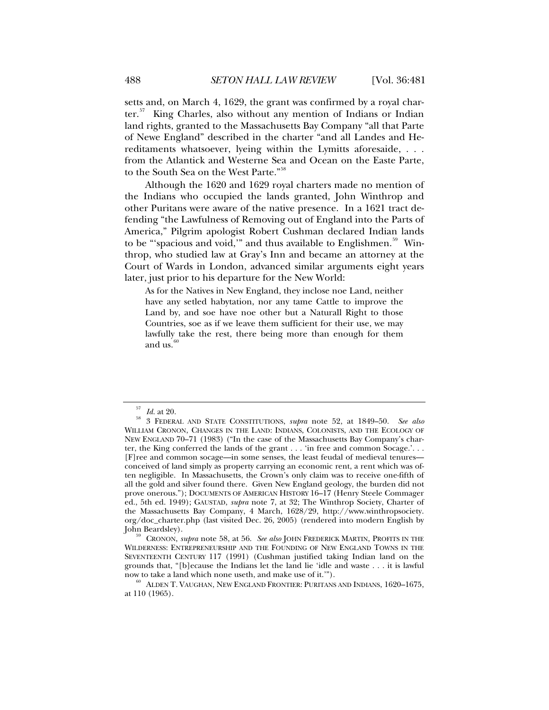setts and, on March 4, 1629, the grant was confirmed by a royal char-ter.<sup>[57](#page-7-0)</sup> King Charles, also without any mention of Indians or Indian land rights, granted to the Massachusetts Bay Company "all that Parte of Newe England" described in the charter "and all Landes and Hereditaments whatsoever, lyeing within the Lymitts aforesaide, . . . from the Atlantick and Westerne Sea and Ocean on the Easte Parte, to the South Sea on the West Parte."<sup>[58](#page-7-1)</sup>

Although the 1620 and 1629 royal charters made no mention of the Indians who occupied the lands granted, John Winthrop and other Puritans were aware of the native presence. In a 1621 tract defending "the Lawfulness of Removing out of England into the Parts of America," Pilgrim apologist Robert Cushman declared Indian lands to be "'spacious and void," and thus available to Englishmen.<sup>[59](#page-7-2)</sup> Winthrop, who studied law at Gray's Inn and became an attorney at the Court of Wards in London, advanced similar arguments eight years later, just prior to his departure for the New World:

As for the Natives in New England, they inclose noe Land, neither have any setled habytation, nor any tame Cattle to improve the Land by, and soe have noe other but a Naturall Right to those Countries, soe as if we leave them sufficient for their use, we may lawfully take the rest, there being more than enough for them and us. $60$ 

<span id="page-7-1"></span><span id="page-7-0"></span><sup>57</sup> *Id.* at 20. 58 3 FEDERAL AND STATE CONSTITUTIONS, *supra* note 52, at 1849–50. *See also* WILLIAM CRONON, CHANGES IN THE LAND: INDIANS, COLONISTS, AND THE ECOLOGY OF NEW ENGLAND 70–71 (1983) ("In the case of the Massachusetts Bay Company's charter, the King conferred the lands of the grant . . . 'in free and common Socage.'. . . [F]ree and common socage—in some senses, the least feudal of medieval tenures conceived of land simply as property carrying an economic rent, a rent which was often negligible. In Massachusetts, the Crown's only claim was to receive one-fifth of all the gold and silver found there. Given New England geology, the burden did not prove onerous."); DOCUMENTS OF AMERICAN HISTORY 16-17 (Henry Steele Commager ed., 5th ed. 1949); GAUSTAD, *supra* note 7, at 32; The Winthrop Society, Charter of the Massachusetts Bay Company, 4 March, 1628/29, http://www.winthropsociety. org/doc\_charter.php (last visited Dec. 26, 2005) (rendered into modern English by John Beardsley). 59 CRONON, *supra* note 58, at 56. *See also* JOHN FREDERICK MARTIN, PROFITS IN THE

<span id="page-7-2"></span>WILDERNESS: ENTREPRENEURSHIP AND THE FOUNDING OF NEW ENGLAND TOWNS IN THE SEVENTEENTH CENTURY 117 (1991) (Cushman justified taking Indian land on the grounds that, "[b]ecause the Indians let the land lie 'idle and waste . . . it is lawful now to take a land which none useth, and make use of it.'").<br><sup>60</sup> ALDEN T. VAUGHAN, NEW ENGLAND FRONTIER: PURITANS AND INDIANS, 1620–1675,

<span id="page-7-3"></span>at 110 (1965).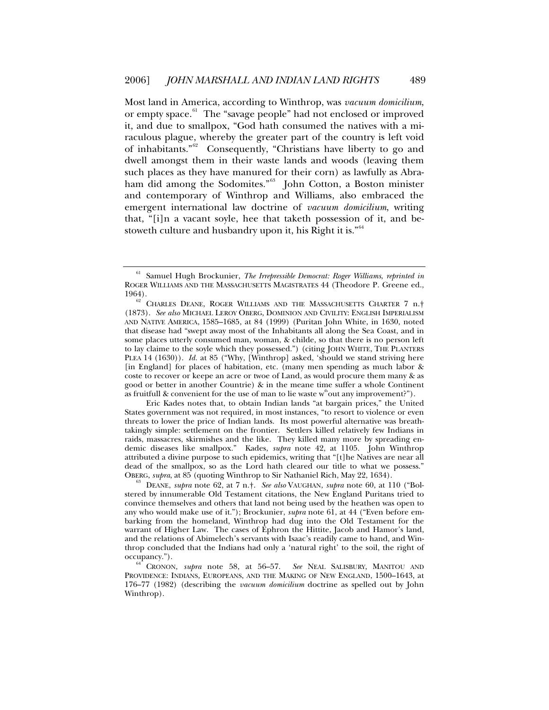Most land in America, according to Winthrop, was *vacuum domicilium*, or empty space.<sup>[61](#page-8-0)</sup> The "savage people" had not enclosed or improved it, and due to smallpox, "God hath consumed the natives with a miraculous plague, whereby the greater part of the country is left void of inhabitants."[62](#page-8-1) Consequently, "Christians have liberty to go and dwell amongst them in their waste lands and woods (leaving them such places as they have manured for their corn) as lawfully as Abraham did among the Sodomites."[63](#page-8-2) John Cotton, a Boston minister and contemporary of Winthrop and Williams, also embraced the emergent international law doctrine of *vacuum domicilium*, writing that, "[i]n a vacant soyle, hee that taketh possession of it, and be-stoweth culture and husbandry upon it, his Right it is."<sup>[64](#page-8-3)</sup>

 Eric Kades notes that, to obtain Indian lands "at bargain prices," the United States government was not required, in most instances, "to resort to violence or even threats to lower the price of Indian lands. Its most powerful alternative was breathtakingly simple: settlement on the frontier. Settlers killed relatively few Indians in raids, massacres, skirmishes and the like. They killed many more by spreading endemic diseases like smallpox." Kades, *supra* note 42, at 1105. John Winthrop attributed a divine purpose to such epidemics, writing that "[t]he Natives are near all dead of the smallpox, so as the Lord hath cleared our title to what we possess." OBERG, *supra*, at 85 (quoting Winthrop to Sir Nathaniel Rich, May 22, 1634). 63 DEANE, *supra* note 62, at 7 n.†. *See also* VAUGHAN, *supra* note 60, at 110 ("Bol-

<span id="page-8-2"></span>stered by innumerable Old Testament citations, the New England Puritans tried to convince themselves and others that land not being used by the heathen was open to any who would make use of it."); Brockunier, *supra* note 61, at 44 ("Even before embarking from the homeland, Winthrop had dug into the Old Testament for the warrant of Higher Law. The cases of Ephron the Hittite, Jacob and Hamor's land, and the relations of Abimelech's servants with Isaac's readily came to hand, and Winthrop concluded that the Indians had only a 'natural right' to the soil, the right of occupancy.").

<span id="page-8-0"></span><sup>61</sup> Samuel Hugh Brockunier, *The Irrepressible Democrat: Roger Williams*, *reprinted in* ROGER WILLIAMS AND THE MASSACHUSETTS MAGISTRATES 44 (Theodore P. Greene ed., 1964).

<span id="page-8-1"></span>CHARLES DEANE, ROGER WILLIAMS AND THE MASSACHUSETTS CHARTER 7 n.<sup>†</sup> (1873). *See also* MICHAEL LEROY OBERG, DOMINION AND CIVILITY: ENGLISH IMPERIALISM AND NATIVE AMERICA, 1585–1685, at 84 (1999) (Puritan John White, in 1630, noted that disease had "swept away most of the Inhabitants all along the Sea Coast, and in some places utterly consumed man, woman, & childe, so that there is no person left to lay claime to the soyle which they possessed.") (citing JOHN WHITE, THE PLANTERS PLEA 14 (1630)). *Id.* at 85 ("Why, [Winthrop] asked, 'should we stand striving here [in England] for places of habitation, etc. (many men spending as much labor & coste to recover or keepe an acre or twoe of Land, as would procure them many & as good or better in another Countrie) & in the meane time suffer a whole Continent as fruitfull & convenient for the use of man to lie waste  $w^{\text{th}}$  out any improvement?").

<span id="page-8-3"></span>CRONON, *supra* note 58, at 56-57. See NEAL SALISBURY, MANITOU AND PROVIDENCE: INDIANS, EUROPEANS, AND THE MAKING OF NEW ENGLAND, 1500–1643, at 176–77 (1982) (describing the *vacuum domicilium* doctrine as spelled out by John Winthrop).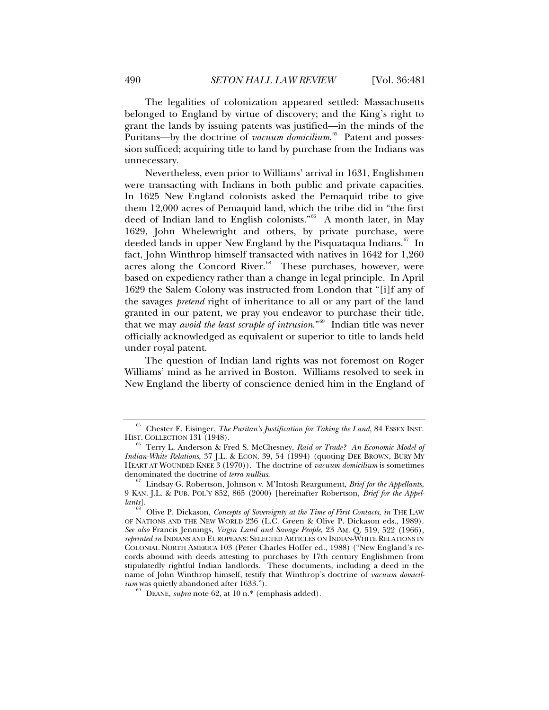The legalities of colonization appeared settled: Massachusetts belonged to England by virtue of discovery; and the King's right to grant the lands by issuing patents was justified—in the minds of the Puritans—by the doctrine of *vacuum domicilium*. [65](#page-9-0) Patent and possession sufficed; acquiring title to land by purchase from the Indians was unnecessary.

Nevertheless, even prior to Williams' arrival in 1631, Englishmen were transacting with Indians in both public and private capacities. In 1625 New England colonists asked the Pemaquid tribe to give them 12,000 acres of Pemaquid land, which the tribe did in "the first deed of Indian land to English colonists."<sup>[66](#page-9-1)</sup> A month later, in May 1629, John Whelewright and others, by private purchase, were deeded lands in upper New England by the Pisquataqua Indians.<sup>[67](#page-9-2)</sup> In fact, John Winthrop himself transacted with natives in 1642 for 1,260 acres along the Concord River. $68$  These purchases, however, were based on expediency rather than a change in legal principle. In April 1629 the Salem Colony was instructed from London that "[i]f any of the savages *pretend* right of inheritance to all or any part of the land granted in our patent, we pray you endeavor to purchase their title, that we may *avoid the least scruple of intrusion*."[69](#page-9-4) Indian title was never officially acknowledged as equivalent or superior to title to lands held under royal patent.

The question of Indian land rights was not foremost on Roger Williams' mind as he arrived in Boston. Williams resolved to seek in New England the liberty of conscience denied him in the England of

<span id="page-9-0"></span><sup>&</sup>lt;sup>65</sup> Chester E. Eisinger, *The Puritan's Justification for Taking the Land*, 84 ESSEX INST. HIST. COLLECTION 131 (1948).

<span id="page-9-1"></span><sup>&</sup>lt;sup>66</sup> Terry L. Anderson & Fred S. McChesney, *Raid or Trade? An Economic Model of Indian-White Relations*, 37 J.L. & ECON. 39, 54 (1994) (quoting DEE BROWN, BURY MY HEART AT WOUNDED KNEE 3 (1970)). The doctrine of *vacuum domicilium* is sometimes

<span id="page-9-2"></span>Lindsay G. Robertson, Johnson v. M'Intosh Reargument, *Brief for the Appellants*, 9 KAN. J.L. & PUB. POL'Y 852, 865 (2000) [hereinafter Robertson, *Brief for the Appellants*].

<span id="page-9-3"></span><sup>68</sup> Olive P. Dickason, *Concepts of Sovereignty at the Time of First Contacts*, *in* THE LAW OF NATIONS AND THE NEW WORLD 236 (L.C. Green & Olive P. Dickason eds., 1989). *See also* Francis Jennings, *Virgin Land and Savage People*, 23 AM. Q. 519, 522 (1966), *reprinted in* INDIANS AND EUROPEANS: SELECTED ARTICLES ON INDIAN-WHITE RELATIONS IN COLONIAL NORTH AMERICA 103 (Peter Charles Hoffer ed., 1988) ("New England's records abound with deeds attesting to purchases by 17th century Englishmen from stipulatedly rightful Indian landlords. These documents, including a deed in the name of John Winthrop himself, testify that Winthrop's doctrine of *vacuum domicilium* was quietly abandoned after 1633.").

<span id="page-9-4"></span>DEANE, *supra* note  $62$ , at  $10 \text{ n.}^*$  (emphasis added).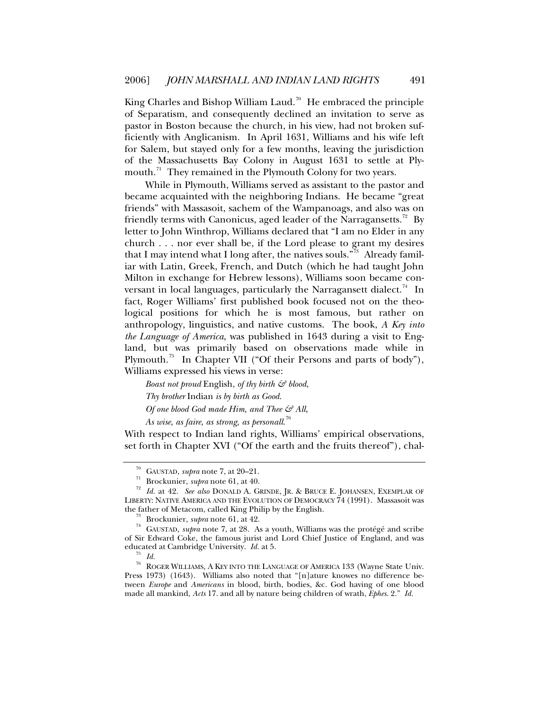King Charles and Bishop William Laud.<sup>[70](#page-10-0)</sup> He embraced the principle of Separatism, and consequently declined an invitation to serve as pastor in Boston because the church, in his view, had not broken sufficiently with Anglicanism. In April 1631, Williams and his wife left for Salem, but stayed only for a few months, leaving the jurisdiction of the Massachusetts Bay Colony in August 1631 to settle at Plymouth. $71$  They remained in the Plymouth Colony for two years.

While in Plymouth, Williams served as assistant to the pastor and became acquainted with the neighboring Indians. He became "great friends" with Massasoit, sachem of the Wampanoags, and also was on friendly terms with Canonicus, aged leader of the Narragansetts.<sup>[72](#page-10-2)</sup> By letter to John Winthrop, Williams declared that "I am no Elder in any church . . . nor ever shall be, if the Lord please to grant my desires that I may intend what I long after, the natives souls."<sup>[73](#page-10-3)</sup> Already familiar with Latin, Greek, French, and Dutch (which he had taught John Milton in exchange for Hebrew lessons), Williams soon became con-versant in local languages, particularly the Narragansett dialect.<sup>[74](#page-10-4)</sup> In fact, Roger Williams' first published book focused not on the theological positions for which he is most famous, but rather on anthropology, linguistics, and native customs. The book, *A Key into the Language of America*, was published in 1643 during a visit to England, but was primarily based on observations made while in Plymouth.<sup>[75](#page-10-5)</sup> In Chapter VII ("Of their Persons and parts of body"), Williams expressed his views in verse:

*Boast not proud* English, *of thy birth & blood*, *Thy brother* Indian *is by birth as Good*. *Of one blood God made Him, and Thee & All*,

*As wise, as faire, as strong, as personall*. [76](#page-10-6)

With respect to Indian land rights, Williams' empirical observations, set forth in Chapter XVI ("Of the earth and the fruits thereof"), chal-

<span id="page-10-2"></span><span id="page-10-1"></span><span id="page-10-0"></span><sup>&</sup>lt;sup>70</sup> GAUSTAD, *supra* note 7, at 20–21.<br><sup>71</sup> Brockunier, *supra* note 61, at 40.<br><sup>72</sup> Id. at 42. See also DONALD A. GRINDE, JR. & BRUCE E. JOHANSEN, EXEMPLAR OF LIBERTY: NATIVE AMERICA AND THE EVOLUTION OF DEMOCRACY 74 (1991). Massasoit was the father of Metacom, called King Philip by the English.

<span id="page-10-4"></span><span id="page-10-3"></span><sup>&</sup>lt;sup>73</sup> Brockunier, *supra* note 61, at 42.<br><sup>74</sup> GAUSTAD, *supra* note 7, at 28. As a youth, Williams was the protégé and scribe of Sir Edward Coke, the famous jurist and Lord Chief Justice of England, and was educated at Cambridge University. *Id.* at 5.<br><sup>75</sup> *Id.* 200 FR WILLAMS A KEV NTO THE LAN

<span id="page-10-6"></span><span id="page-10-5"></span>ROGER WILLIAMS, A KEY INTO THE LANGUAGE OF AMERICA 133 (Wayne State Univ. Press 1973) (1643). Williams also noted that "[n]ature knowes no difference between *Europe* and *Americans* in blood, birth, bodies, &c. God having of one blood made all mankind, *Acts* 17. and all by nature being children of wrath, *Ephes*. 2." *Id.*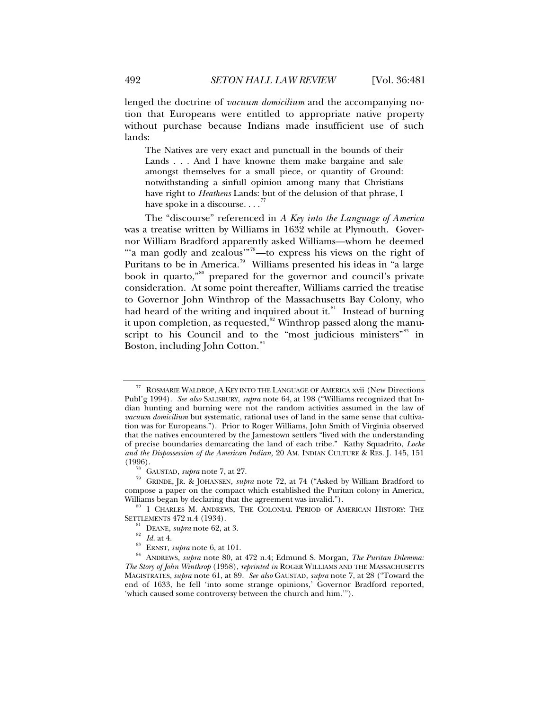lenged the doctrine of *vacuum domicilium* and the accompanying notion that Europeans were entitled to appropriate native property without purchase because Indians made insufficient use of such lands:

The Natives are very exact and punctuall in the bounds of their Lands . . . And I have knowne them make bargaine and sale amongst themselves for a small piece, or quantity of Ground: notwithstanding a sinfull opinion among many that Christians have right to *Heathens* Lands: but of the delusion of that phrase, I have spoke in a discourse.  $\ldots$ 

The "discourse" referenced in *A Key into the Language of America* was a treatise written by Williams in 1632 while at Plymouth. Governor William Bradford apparently asked Williams—whom he deemed "'a man godly and zealous'"[78](#page-11-1)—to express his views on the right of Puritans to be in America.<sup>[79](#page-11-2)</sup> Williams presented his ideas in "a large" book in quarto,"<sup>[80](#page-11-3)</sup> prepared for the governor and council's private consideration. At some point thereafter, Williams carried the treatise to Governor John Winthrop of the Massachusetts Bay Colony, who had heard of the writing and inquired about it. ${}^{81}$  ${}^{81}$  ${}^{81}$  Instead of burning it upon completion, as requested, $82$  Winthrop passed along the manu-script to his Council and to the "most judicious ministers"<sup>[83](#page-11-6)</sup> in Boston, including John Cotton.<sup>[84](#page-11-7)</sup>

<span id="page-11-0"></span>ROSMARIE WALDROP, A KEY INTO THE LANGUAGE OF AMERICA xvii (New Directions Publ'g 1994). *See also* SALISBURY, *supra* note 64, at 198 ("Williams recognized that Indian hunting and burning were not the random activities assumed in the law of *vacuum domicilium* but systematic, rational uses of land in the same sense that cultivation was for Europeans."). Prior to Roger Williams, John Smith of Virginia observed that the natives encountered by the Jamestown settlers "lived with the understanding of precise boundaries demarcating the land of each tribe." Kathy Squadrito, *Locke and the Dispossession of the American Indian*, 20 AM. INDIAN CULTURE & RES. J. 145, 151

<span id="page-11-2"></span><span id="page-11-1"></span><sup>(1996).&</sup>lt;br><sup>78</sup> GAUSTAD, *supra* note 7, at 27.<br><sup>79</sup> GRINDE, JR. & JOHANSEN, *supra* note 72, at 74 ("Asked by William Bradford to compose a paper on the compact which established the Puritan colony in America,

<span id="page-11-3"></span>Williams began by declaring that the agreement was invalid.").<br><sup>80</sup> 1 CHARLES M. ANDREWS, THE COLONIAL PERIOD OF AMERICAN HISTORY: THE

<span id="page-11-7"></span><span id="page-11-6"></span><span id="page-11-5"></span><span id="page-11-4"></span>SETTLEMENTS 472 n.4 (1934).<br>
<sup>81</sup> DEANE, *supra* note 62, at 3.<br>
<sup>83</sup> *Id.* at 4.<br>
<sup>83</sup> ERNST, *supra* note 6, at 101.<br>
<sup>84</sup> ANDREWS, *supra* note 80, at 472 n.4; Edmund S. Morgan, *The Puritan Dilemma*: *The Story of John Winthrop* (1958), *reprinted in* ROGER WILLIAMS AND THE MASSACHUSETTS MAGISTRATES, *supra* note 61, at 89. *See also* GAUSTAD, *supra* note 7, at 28 ("Toward the end of 1633, he fell 'into some strange opinions,' Governor Bradford reported, 'which caused some controversy between the church and him.'").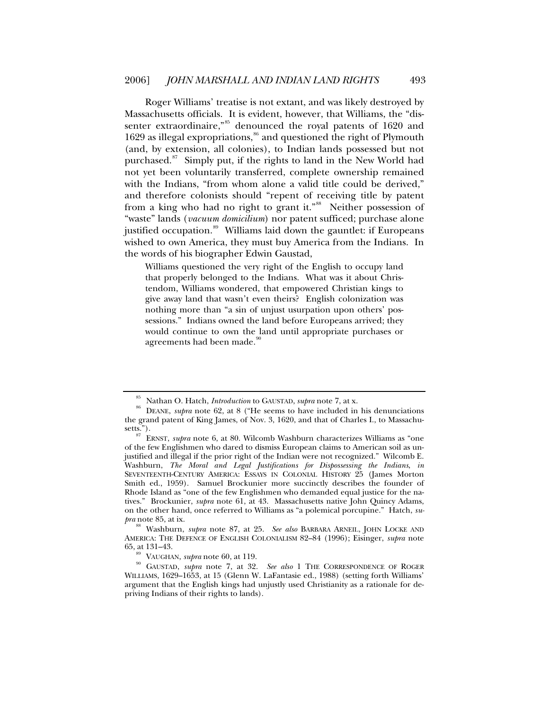Roger Williams' treatise is not extant, and was likely destroyed by Massachusetts officials. It is evident, however, that Williams, the "dis-senter extraordinaire,"<sup>[85](#page-12-0)</sup> denounced the royal patents of 1620 and 1629 as illegal expropriations,<sup>[86](#page-12-1)</sup> and questioned the right of Plymouth (and, by extension, all colonies), to Indian lands possessed but not purchased.<sup>[87](#page-12-2)</sup> Simply put, if the rights to land in the New World had not yet been voluntarily transferred, complete ownership remained with the Indians, "from whom alone a valid title could be derived," and therefore colonists should "repent of receiving title by patent from a king who had no right to grant it."<sup>[88](#page-12-3)</sup> Neither possession of "waste" lands (*vacuum domicilium*) nor patent sufficed; purchase alone justified occupation.<sup>[89](#page-12-4)</sup> Williams laid down the gauntlet: if Europeans wished to own America, they must buy America from the Indians. In the words of his biographer Edwin Gaustad,

Williams questioned the very right of the English to occupy land that properly belonged to the Indians. What was it about Christendom, Williams wondered, that empowered Christian kings to give away land that wasn't even theirs? English colonization was nothing more than "a sin of unjust usurpation upon others' possessions." Indians owned the land before Europeans arrived; they would continue to own the land until appropriate purchases or agreements had been made.<sup>[90](#page-12-5)</sup>

<span id="page-12-1"></span><span id="page-12-0"></span><sup>&</sup>lt;sup>85</sup> Nathan O. Hatch, *Introduction* to GAUSTAD, *supra* note 7, at x.<br><sup>86</sup> DEANE, *supra* note 62, at 8 ("He seems to have included in his denunciations the grand patent of King James, of Nov. 3, 1620, and that of Charles I., to Massachusetts.").

<span id="page-12-2"></span> $\frac{87}{2}$  ERNST, *supra* note 6, at 80. Wilcomb Washburn characterizes Williams as "one of the few Englishmen who dared to dismiss European claims to American soil as unjustified and illegal if the prior right of the Indian were not recognized." Wilcomb E. Washburn, *The Moral and Legal Justifications for Dispossessing the Indians*, *in*  SEVENTEENTH-CENTURY AMERICA: ESSAYS IN COLONIAL HISTORY 25 (James Morton Smith ed., 1959). Samuel Brockunier more succinctly describes the founder of Rhode Island as "one of the few Englishmen who demanded equal justice for the natives." Brockunier, *supra* note 61, at 43. Massachusetts native John Quincy Adams, on the other hand, once referred to Williams as "a polemical porcupine." Hatch, *su-*

<span id="page-12-3"></span>*Washburn, <i>supra* note 87, at 25. *See also* BARBARA ARNEIL, JOHN LOCKE AND AMERICA: THE DEFENCE OF ENGLISH COLONIALISM 82–84 (1996); Eisinger, *supra* note

<span id="page-12-5"></span><span id="page-12-4"></span><sup>&</sup>lt;sup>89</sup> VAUGHAN, *supra* note 60, at 119.<br><sup>90</sup> GAUSTAD, *supra* note 7, at 32. *See also* 1 THE CORRESPONDENCE OF ROGER WILLIAMS, 1629–1653, at 15 (Glenn W. LaFantasie ed., 1988) (setting forth Williams' argument that the English kings had unjustly used Christianity as a rationale for depriving Indians of their rights to lands).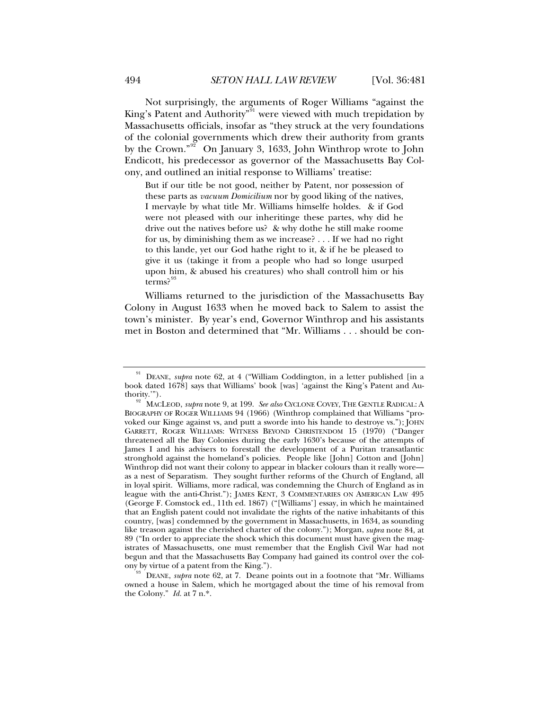Not surprisingly, the arguments of Roger Williams "against the King's Patent and Authority<sup>"[91](#page-13-0)</sup> were viewed with much trepidation by Massachusetts officials, insofar as "they struck at the very foundations of the colonial governments which drew their authority from grants by the Crown."[92](#page-13-1) On January 3, 1633, John Winthrop wrote to John Endicott, his predecessor as governor of the Massachusetts Bay Colony, and outlined an initial response to Williams' treatise:

But if our title be not good, neither by Patent, nor possession of these parts as *vacuum Domicilium* nor by good liking of the natives, I mervayle by what title Mr. Williams himselfe holdes. & if God were not pleased with our inheritinge these partes, why did he drive out the natives before us? & why dothe he still make roome for us, by diminishing them as we increase? . . . If we had no right to this lande, yet our God hathe right to it, & if he be pleased to give it us (takinge it from a people who had so longe usurped upon him, & abused his creatures) who shall controll him or his  $terms?$ <sup>[93](#page-13-2)</sup>

Williams returned to the jurisdiction of the Massachusetts Bay Colony in August 1633 when he moved back to Salem to assist the town's minister. By year's end, Governor Winthrop and his assistants met in Boston and determined that "Mr. Williams . . . should be con-

<span id="page-13-0"></span>DEANE, *supra* note 62, at 4 ("William Coddington, in a letter published [in a book dated 1678] says that Williams' book [was] 'against the King's Patent and Au-

<span id="page-13-1"></span>thority.'"). 92 MACLEOD, *supra* note 9, at 199. *See also* CYCLONE COVEY, THE GENTLE RADICAL: <sup>A</sup> BIOGRAPHY OF ROGER WILLIAMS 94 (1966) (Winthrop complained that Williams "provoked our Kinge against vs, and putt a sworde into his hande to destroye vs."); JOHN GARRETT, ROGER WILLIAMS: WITNESS BEYOND CHRISTENDOM 15 (1970) ("Danger threatened all the Bay Colonies during the early 1630's because of the attempts of James I and his advisers to forestall the development of a Puritan transatlantic stronghold against the homeland's policies. People like [John] Cotton and [John] Winthrop did not want their colony to appear in blacker colours than it really wore as a nest of Separatism. They sought further reforms of the Church of England, all in loyal spirit. Williams, more radical, was condemning the Church of England as in league with the anti-Christ."); JAMES KENT, 3 COMMENTARIES ON AMERICAN LAW 495 (George F. Comstock ed., 11th ed. 1867) ("[Williams'] essay, in which he maintained that an English patent could not invalidate the rights of the native inhabitants of this country, [was] condemned by the government in Massachusetts, in 1634, as sounding like treason against the cherished charter of the colony."); Morgan, *supra* note 84, at 89 ("In order to appreciate the shock which this document must have given the magistrates of Massachusetts, one must remember that the English Civil War had not begun and that the Massachusetts Bay Company had gained its control over the colony by virtue of a patent from the King.").

<span id="page-13-2"></span>DEANE, *supra* note 62, at 7. Deane points out in a footnote that "Mr. Williams" owned a house in Salem, which he mortgaged about the time of his removal from the Colony." *Id.* at 7 n.\*.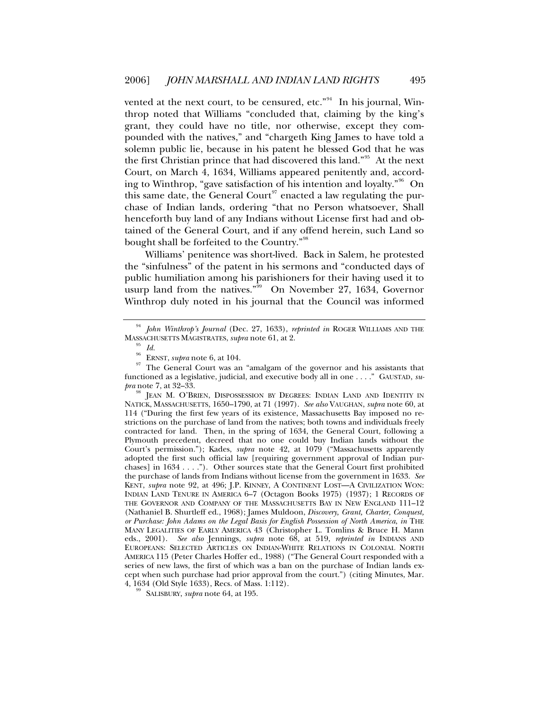vented at the next court, to be censured, etc."<sup>[94](#page-14-0)</sup> In his journal, Winthrop noted that Williams "concluded that, claiming by the king's grant, they could have no title, nor otherwise, except they compounded with the natives," and "chargeth King James to have told a solemn public lie, because in his patent he blessed God that he was the first Christian prince that had discovered this land."[95](#page-14-1) At the next Court, on March 4, 1634, Williams appeared penitently and, according to Winthrop, "gave satisfaction of his intention and loyalty."[96](#page-14-2) On this same date, the General Court<sup>[97](#page-14-3)</sup> enacted a law regulating the purchase of Indian lands, ordering "that no Person whatsoever, Shall henceforth buy land of any Indians without License first had and obtained of the General Court, and if any offend herein, such Land so bought shall be forfeited to the Country."<sup>[98](#page-14-4)</sup>

Williams' penitence was short-lived. Back in Salem, he protested the "sinfulness" of the patent in his sermons and "conducted days of public humiliation among his parishioners for their having used it to usurp land from the natives." $\frac{99}{99}$  $\frac{99}{99}$  $\frac{99}{99}$  On November 27, 1634, Governor Winthrop duly noted in his journal that the Council was informed

<span id="page-14-1"></span><span id="page-14-0"></span><sup>94</sup> *John Winthrop's Journal* (Dec. 27, 1633), *reprinted in* ROGER WILLIAMS AND THE MASSACHUSETTS MAGISTRATES, *supra* note 61, at 2.<br><sup>95</sup> *Id.* ERNST, *supra* note 6, at 104.

<span id="page-14-3"></span><span id="page-14-2"></span><sup>&</sup>lt;sup>97</sup> The General Court was an "amalgam of the governor and his assistants that functioned as a legislative, judicial, and executive body all in one . . . ." GAUSTAD, *supra* note 7, at 32–33.

<span id="page-14-4"></span>JEAN M. O'BRIEN, DISPOSSESSION BY DEGREES: INDIAN LAND AND IDENTITY IN NATICK, MASSACHUSETTS, 1650–1790, at 71 (1997). *See also* VAUGHAN, *supra* note 60, at 114 ("During the first few years of its existence, Massachusetts Bay imposed no restrictions on the purchase of land from the natives; both towns and individuals freely contracted for land. Then, in the spring of 1634, the General Court, following a Plymouth precedent, decreed that no one could buy Indian lands without the Court's permission."); Kades, *supra* note 42, at 1079 ("Massachusetts apparently adopted the first such official law [requiring government approval of Indian purchases] in 1634 . . . ."). Other sources state that the General Court first prohibited the purchase of lands from Indians without license from the government in 1633. *See* KENT, *supra* note 92, at 496; J.P. KINNEY, A CONTINENT LOST—A CIVILIZATION WON: INDIAN LAND TENURE IN AMERICA 6–7 (Octagon Books 1975) (1937); 1 RECORDS OF THE GOVERNOR AND COMPANY OF THE MASSACHUSETTS BAY IN NEW ENGLAND 111–12 (Nathaniel B. Shurtleff ed., 1968); James Muldoon, *Discovery, Grant, Charter, Conquest, or Purchase: John Adams on the Legal Basis for English Possession of North America*, *in* THE MANY LEGALITIES OF EARLY AMERICA 43 (Christopher L. Tomlins & Bruce H. Mann eds., 2001). *See also* Jennings, *supra* note 68, at 519, *reprinted in* INDIANS AND EUROPEANS: SELECTED ARTICLES ON INDIAN-WHITE RELATIONS IN COLONIAL NORTH AMERICA 115 (Peter Charles Hoffer ed., 1988) ("The General Court responded with a series of new laws, the first of which was a ban on the purchase of Indian lands except when such purchase had prior approval from the court.") (citing Minutes, Mar.

<span id="page-14-5"></span><sup>&</sup>lt;sup>99</sup> SALISBURY, *supra* note 64, at 195.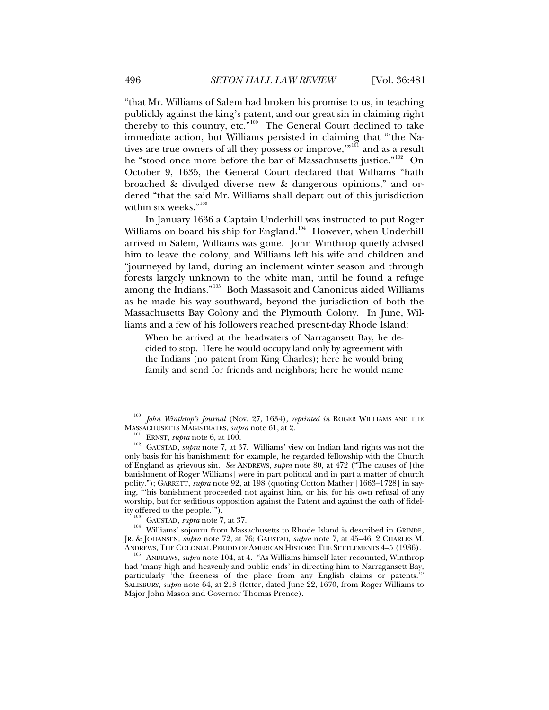"that Mr. Williams of Salem had broken his promise to us, in teaching publickly against the king's patent, and our great sin in claiming right thereby to this country, etc."<sup>[100](#page-15-0)</sup> The General Court declined to take immediate action, but Williams persisted in claiming that "'the Na-tives are true owners of all they possess or improve,"<sup>[101](#page-15-1)</sup> and as a result he "stood once more before the bar of Massachusetts justice."<sup>[102](#page-15-2)</sup> On October 9, 1635, the General Court declared that Williams "hath broached & divulged diverse new & dangerous opinions," and ordered "that the said Mr. Williams shall depart out of this jurisdiction within six weeks."<sup>[103](#page-15-3)</sup>

In January 1636 a Captain Underhill was instructed to put Roger Williams on board his ship for England.<sup>[104](#page-15-4)</sup> However, when Underhill arrived in Salem, Williams was gone. John Winthrop quietly advised him to leave the colony, and Williams left his wife and children and "journeyed by land, during an inclement winter season and through forests largely unknown to the white man, until he found a refuge among the Indians."[105](#page-15-5) Both Massasoit and Canonicus aided Williams as he made his way southward, beyond the jurisdiction of both the Massachusetts Bay Colony and the Plymouth Colony. In June, Williams and a few of his followers reached present-day Rhode Island:

When he arrived at the headwaters of Narragansett Bay, he decided to stop. Here he would occupy land only by agreement with the Indians (no patent from King Charles); here he would bring family and send for friends and neighbors; here he would name

<span id="page-15-0"></span><sup>&</sup>lt;sup>100</sup> John Winthrop's Journal (Nov. 27, 1634), *reprinted in* ROGER WILLIAMS AND THE MASSACHUSETTS MAGISTRATES, *supra* note 61, at 2.

<span id="page-15-2"></span><span id="page-15-1"></span><sup>&</sup>lt;sup>101</sup> ERNST, *supra* note 6, at 100.  $\frac{102}{102}$  GAUSTAD, *supra* note 7, at 37. Williams' view on Indian land rights was not the only basis for his banishment; for example, he regarded fellowship with the Church of England as grievous sin. *See* ANDREWS, *supra* note 80, at 472 ("The causes of [the banishment of Roger Williams] were in part political and in part a matter of church polity."); GARRETT, *supra* note 92, at 198 (quoting Cotton Mather [1663–1728] in saying, "'his banishment proceeded not against him, or his, for his own refusal of any worship, but for seditious opposition against the Patent and against the oath of fidel-

<span id="page-15-4"></span><span id="page-15-3"></span>ity offered to the people.'").<br><sup>103</sup> GAUSTAD, *supra* note 7, at 37.<br><sup>104</sup> Williams' sojourn from Massachusetts to Rhode Island is described in GRINDE, JR. & JOHANSEN, *supra* note 72, at 76; GAUSTAD, *supra* note 7, at 45–46; 2 CHARLES M. ANDREWS, THE COLONIAL PERIOD OF AMERICAN HISTORY: THE SETTLEMENTS 4–5 (1936). 105 ANDREWS, *supra* note 104, at 4. "As Williams himself later recounted, Winthrop

<span id="page-15-5"></span>had 'many high and heavenly and public ends' in directing him to Narragansett Bay, particularly 'the freeness of the place from any English claims or patents.' SALISBURY, *supra* note 64, at 213 (letter, dated June 22, 1670, from Roger Williams to Major John Mason and Governor Thomas Prence).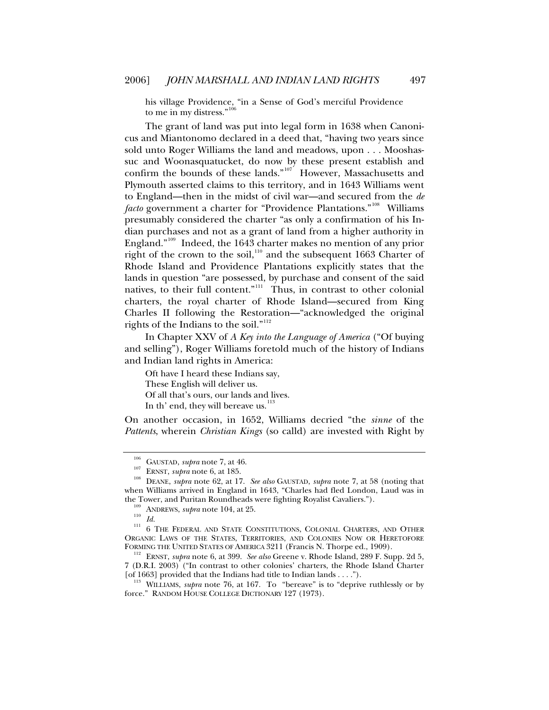his village Providence, "in a Sense of God's merciful Providence to me in my distress."<sup>[106](#page-16-0)</sup>

The grant of land was put into legal form in 1638 when Canonicus and Miantonomo declared in a deed that, "having two years since sold unto Roger Williams the land and meadows, upon . . . Mooshassuc and Woonasquatucket, do now by these present establish and confirm the bounds of these lands."<sup>[107](#page-16-1)</sup> However, Massachusetts and Plymouth asserted claims to this territory, and in 1643 Williams went to England—then in the midst of civil war—and secured from the *de facto* government a charter for "Providence Plantations."<sup>[108](#page-16-2)</sup> Williams presumably considered the charter "as only a confirmation of his Indian purchases and not as a grant of land from a higher authority in England."[109](#page-16-3) Indeed, the 1643 charter makes no mention of any prior right of the crown to the soil,<sup>[110](#page-16-4)</sup> and the subsequent 1663 Charter of Rhode Island and Providence Plantations explicitly states that the lands in question "are possessed, by purchase and consent of the said natives, to their full content." $\prod_{i=1}^{n}$  Thus, in contrast to other colonial charters, the royal charter of Rhode Island—secured from King Charles II following the Restoration—"acknowledged the original rights of the Indians to the soil."<sup>[112](#page-16-6)</sup>

In Chapter XXV of *A Key into the Language of America* ("Of buying and selling"), Roger Williams foretold much of the history of Indians and Indian land rights in America:

Oft have I heard these Indians say, These English will deliver us. Of all that's ours, our lands and lives. In th' end, they will bereave us. $113$ 

On another occasion, in 1652, Williams decried "the *sinne* of the *Pattents*, wherein *Christian Kings* (so calld) are invested with Right by

<span id="page-16-6"></span><sup>112</sup> ERNST, *supra* note 6, at 399. *See also* Greene v. Rhode Island, 289 F. Supp. 2d 5, 7 (D.R.I. 2003) ("In contrast to other colonies' charters, the Rhode Island Charter [of 1663] provided that the Indians had title to Indian lands . . . ."). 113 WILLIAMS, *supra* note 76, at 167. To "bereave" is to "deprive ruthlessly or by

<span id="page-16-7"></span>force." RANDOM HOUSE COLLEGE DICTIONARY 127 (1973).

<span id="page-16-1"></span><span id="page-16-0"></span><sup>&</sup>lt;sup>106</sup> GAUSTAD, *supra* note 7, at 46.<br><sup>107</sup> ERNST, *supra* note 6, at 185.<br><sup>108</sup> DEANE, *supra* note 62, at 17. *See also* GAUSTAD, *supra* note 7, at 58 (noting that when Williams arrived in England in 1643, "Charles had fled London, Laud was in

<span id="page-16-5"></span><span id="page-16-4"></span><span id="page-16-3"></span><span id="page-16-2"></span>the Tower, and Puritan Roundheads were fighting Royalist Cavaliers.").<br><sup>109</sup> ANDREWS, *supra* note 104, at 25.<br><sup>111</sup> 6 THE FEDERAL AND STATE CONSTITUTIONS, COLONIAL CHARTERS, AND OTHER ORGANIC LAWS OF THE STATES, TERRITORIES, AND COLONIES NOW OR HERETOFORE FORMING THE UNITED STATES OF AMERICA 3211 (Francis N. Thorpe ed., 1909).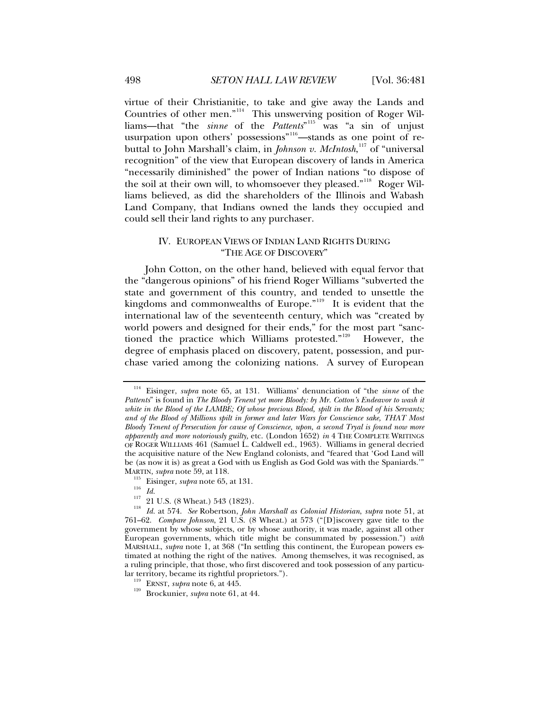<span id="page-17-0"></span>virtue of their Christianitie, to take and give away the Lands and Countries of other men."[114](#page-17-1) This unswerving position of Roger Williams—that "the *sinne* of the *Pattents*" [115](#page-17-2) was "a sin of unjust usurpation upon others' possessions"<sup>[116](#page-17-3)</sup>—stands as one point of rebuttal to John Marshall's claim, in *Johnson v. McIntosh*, [117](#page-17-4) of "universal recognition" of the view that European discovery of lands in America "necessarily diminished" the power of Indian nations "to dispose of the soil at their own will, to whomsoever they pleased."<sup>[118](#page-17-5)</sup> Roger Williams believed, as did the shareholders of the Illinois and Wabash Land Company, that Indians owned the lands they occupied and could sell their land rights to any purchaser.

# IV. EUROPEAN VIEWS OF INDIAN LAND RIGHTS DURING "THE AGE OF DISCOVERY"

John Cotton, on the other hand, believed with equal fervor that the "dangerous opinions" of his friend Roger Williams "subverted the state and government of this country, and tended to unsettle the kingdoms and commonwealths of Europe."<sup>[119](#page-17-6)</sup> It is evident that the international law of the seventeenth century, which was "created by world powers and designed for their ends," for the most part "sanc-tioned the practice which Williams protested."<sup>[120](#page-17-7)</sup> However, the degree of emphasis placed on discovery, patent, possession, and purchase varied among the colonizing nations. A survey of European

<span id="page-17-1"></span><sup>114</sup> Eisinger, *supra* note 65, at 131. Williams' denunciation of "the *sinne* of the *Pattents*" is found in *The Bloody Tenent yet more Bloody: by Mr. Cotton's Endeavor to wash it white in the Blood of the LAMBE; Of whose precious Blood, spilt in the Blood of his Servants; and of the Blood of Millions spilt in former and later Wars for Conscience sake, THAT Most Bloody Tenent of Persecution for cause of Conscience, upon, a second Tryal is found now more apparently and more notoriously guilty,* etc. (London 1652) *in* 4 THE COMPLETE WRITINGS OF ROGER WILLIAMS 461 (Samuel L. Caldwell ed., 1963). Williams in general decried the acquisitive nature of the New England colonists, and "feared that 'God Land will be (as now it is) as great a God with us English as God Gold was with the Spaniards.'" MARTIN, *supra* note 59, at 118.

<span id="page-17-5"></span><span id="page-17-4"></span><span id="page-17-3"></span><span id="page-17-2"></span><sup>&</sup>lt;sup>115</sup> Eisinger, *supra* note 65, at 131.<br><sup>116</sup> *Id.*<br><sup>117</sup> 21 U.S. (8 Wheat.) 543 (1823).<br><sup>118</sup> *Id.* at 574. *See* Robertson, *John Marshall as Colonial Historian*, *supra* note 51, at 761–62. *Compare Johnson*, 21 U.S. (8 Wheat.) at 573 ("[D]iscovery gave title to the government by whose subjects, or by whose authority, it was made, against all other European governments, which title might be consummated by possession.") *with* MARSHALL, *supra* note 1, at 368 ("In settling this continent, the European powers estimated at nothing the right of the natives. Among themselves, it was recognised, as a ruling principle, that those, who first discovered and took possession of any particu-

<span id="page-17-7"></span><span id="page-17-6"></span><sup>&</sup>lt;sup>119</sup> ERNST, *supra* note 6, at 445. <sup>120</sup> Brockunier, *supra* note 61, at 44.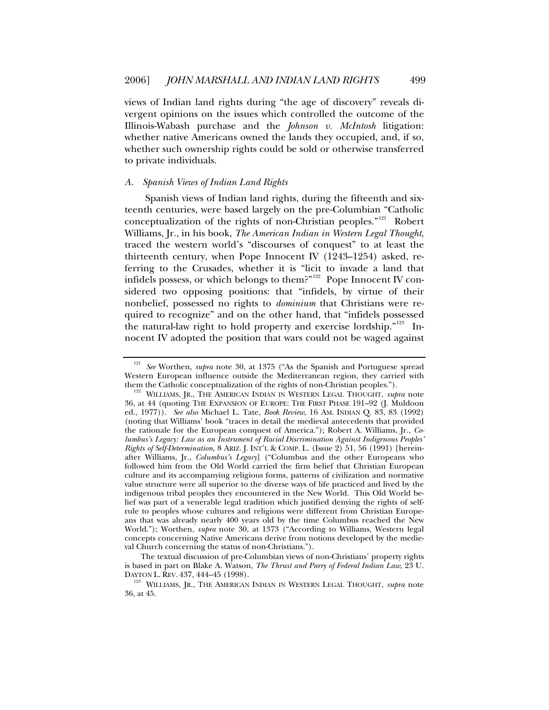<span id="page-18-0"></span>views of Indian land rights during "the age of discovery" reveals divergent opinions on the issues which controlled the outcome of the Illinois-Wabash purchase and the *Johnson v. McIntosh* litigation: whether native Americans owned the lands they occupied, and, if so, whether such ownership rights could be sold or otherwise transferred to private individuals.

#### *A. Spanish Views of Indian Land Rights*

Spanish views of Indian land rights, during the fifteenth and sixteenth centuries, were based largely on the pre-Columbian "Catholic conceptualization of the rights of non-Christian peoples."[121](#page-18-1) Robert Williams, Jr., in his book, *The American Indian in Western Legal Thought*, traced the western world's "discourses of conquest" to at least the thirteenth century, when Pope Innocent IV (1243–1254) asked, referring to the Crusades, whether it is "licit to invade a land that infidels possess, or which belongs to them?"<sup>[122](#page-18-2)</sup> Pope Innocent IV considered two opposing positions: that "infidels, by virtue of their nonbelief, possessed no rights to *dominium* that Christians were required to recognize" and on the other hand, that "infidels possessed the natural-law right to hold property and exercise lordship."<sup>[123](#page-18-3)</sup> Innocent IV adopted the position that wars could not be waged against

The textual discussion of pre-Columbian views of non-Christians' property rights is based in part on Blake A. Watson, *The Thrust and Parry of Federal Indian Law*, 23 U.

<span id="page-18-1"></span><sup>121</sup> *See* Worthen, *supra* note 30, at 1375 ("As the Spanish and Portuguese spread Western European influence outside the Mediterranean region, they carried with them the Catholic conceptualization of the rights of non-Christian peoples.").

<span id="page-18-2"></span> $122$  WILLIAMS, JR., THE AMERICAN INDIAN IN WESTERN LEGAL THOUGHT, *supra* note 36, at 44 (quoting THE EXPANSION OF EUROPE: THE FIRST PHASE 191–92 (J. Muldoon ed., 1977)). *See also* Michael L. Tate, *Book Review*, 16 AM. INDIAN Q. 83, 83 (1992) (noting that Williams' book "traces in detail the medieval antecedents that provided the rationale for the European conquest of America."); Robert A. Williams, Jr., *Columbus's Legacy: Law as an Instrument of Racial Discrimination Against Indigenous Peoples' Rights of Self-Determination*, 8 ARIZ. J. INT'L & COMP. L. (Issue 2) 51, 56 (1991) [hereinafter Williams, Jr., *Columbus's Legacy*] ("Columbus and the other Europeans who followed him from the Old World carried the firm belief that Christian European culture and its accompanying religious forms, patterns of civilization and normative value structure were all superior to the diverse ways of life practiced and lived by the indigenous tribal peoples they encountered in the New World. This Old World belief was part of a venerable legal tradition which justified denying the rights of selfrule to peoples whose cultures and religions were different from Christian Europeans that was already nearly 400 years old by the time Columbus reached the New World."); Worthen, *supra* note 30, at 1373 ("According to Williams, Western legal concepts concerning Native Americans derive from notions developed by the medieval Church concerning the status of non-Christians.").

<span id="page-18-3"></span>DAYTON L. REV. 437, 444–45 (1998). 123 WILLIAMS, JR., THE AMERICAN INDIAN IN WESTERN LEGAL THOUGHT, *supra* note 36, at 45.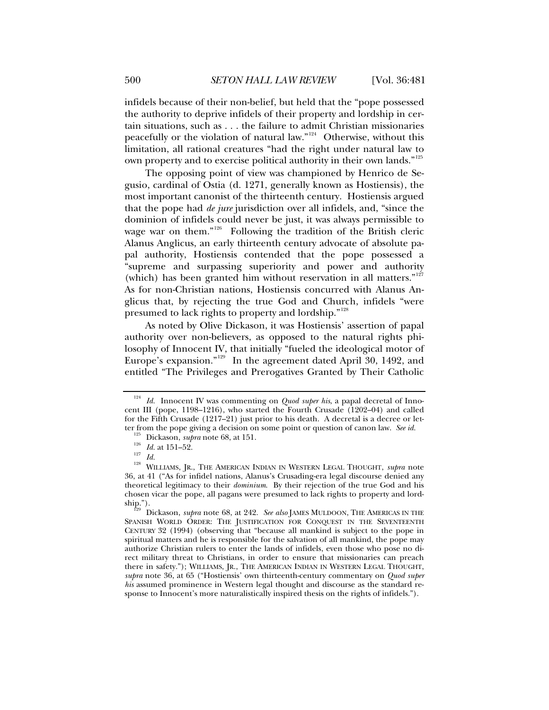infidels because of their non-belief, but held that the "pope possessed the authority to deprive infidels of their property and lordship in certain situations, such as . . . the failure to admit Christian missionaries peacefully or the violation of natural law."[124](#page-19-0) Otherwise, without this limitation, all rational creatures "had the right under natural law to own property and to exercise political authority in their own lands."<sup>[125](#page-19-1)</sup>

The opposing point of view was championed by Henrico de Segusio, cardinal of Ostia (d. 1271, generally known as Hostiensis), the most important canonist of the thirteenth century. Hostiensis argued that the pope had *de jure* jurisdiction over all infidels, and, "since the dominion of infidels could never be just, it was always permissible to wage war on them."<sup>[126](#page-19-2)</sup> Following the tradition of the British cleric Alanus Anglicus, an early thirteenth century advocate of absolute papal authority, Hostiensis contended that the pope possessed a "supreme and surpassing superiority and power and authority (which) has been granted him without reservation in all matters."<sup>[127](#page-19-3)</sup> As for non-Christian nations, Hostiensis concurred with Alanus Anglicus that, by rejecting the true God and Church, infidels "were presumed to lack rights to property and lordship."[128](#page-19-4)

As noted by Olive Dickason, it was Hostiensis' assertion of papal authority over non-believers, as opposed to the natural rights philosophy of Innocent IV, that initially "fueled the ideological motor of Europe's expansion."[129](#page-19-5) In the agreement dated April 30, 1492, and entitled "The Privileges and Prerogatives Granted by Their Catholic

<span id="page-19-0"></span><sup>&</sup>lt;sup>124</sup> *Id.* Innocent IV was commenting on *Quod super his*, a papal decretal of Innocent III (pope, 1198–1216), who started the Fourth Crusade (1202–04) and called for the Fifth Crusade (1217–21) just prior to his death. A decretal is a decree or let-<br>ter from the pope giving a decision on some point or question of canon law. See id.

<span id="page-19-4"></span><span id="page-19-3"></span><span id="page-19-2"></span><span id="page-19-1"></span><sup>&</sup>lt;sup>125</sup> Dickason, *supra* note 68, at 151.<br><sup>126</sup> Id. at 151–52.<br><sup>127</sup> Id.<br><sup>128</sup> WILLIAMS, JR., THE AMERICAN INDIAN IN WESTERN LEGAL THOUGHT, *supra* note 36, at 41 ("As for infidel nations, Alanus's Crusading-era legal discourse denied any theoretical legitimacy to their *dominium*. By their rejection of the true God and his chosen vicar the pope, all pagans were presumed to lack rights to property and lordship."). 129 Dickason, *supra* note 68, at 242. *See also* JAMES MULDOON, THE AMERICAS IN THE

<span id="page-19-5"></span>SPANISH WORLD ORDER: THE JUSTIFICATION FOR CONQUEST IN THE SEVENTEENTH CENTURY 32 (1994) (observing that "because all mankind is subject to the pope in spiritual matters and he is responsible for the salvation of all mankind, the pope may authorize Christian rulers to enter the lands of infidels, even those who pose no direct military threat to Christians, in order to ensure that missionaries can preach there in safety."); WILLIAMS, JR., THE AMERICAN INDIAN IN WESTERN LEGAL THOUGHT, *supra* note 36, at 65 ("Hostiensis' own thirteenth-century commentary on *Quod super his* assumed prominence in Western legal thought and discourse as the standard response to Innocent's more naturalistically inspired thesis on the rights of infidels.").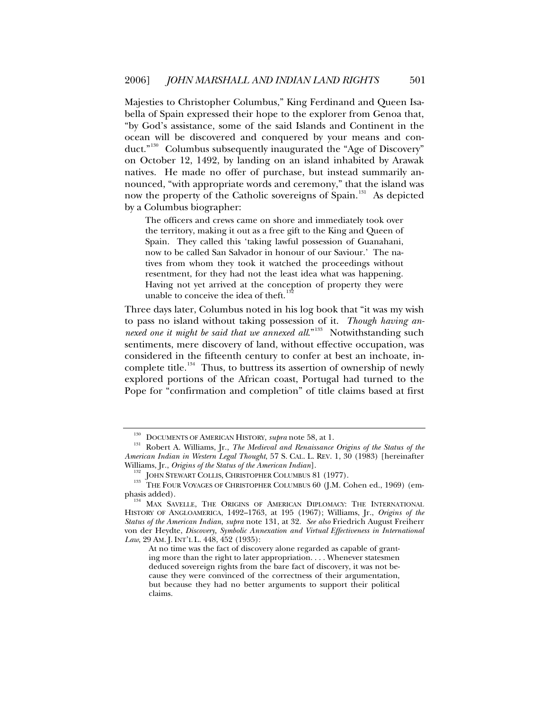Majesties to Christopher Columbus," King Ferdinand and Queen Isabella of Spain expressed their hope to the explorer from Genoa that, "by God's assistance, some of the said Islands and Continent in the ocean will be discovered and conquered by your means and con-duct."<sup>[130](#page-20-0)</sup> Columbus subsequently inaugurated the "Age of Discovery" on October 12, 1492, by landing on an island inhabited by Arawak natives. He made no offer of purchase, but instead summarily announced, "with appropriate words and ceremony," that the island was now the property of the Catholic sovereigns of Spain.<sup>[131](#page-20-1)</sup> As depicted by a Columbus biographer:

The officers and crews came on shore and immediately took over the territory, making it out as a free gift to the King and Queen of Spain. They called this 'taking lawful possession of Guanahani, now to be called San Salvador in honour of our Saviour.' The natives from whom they took it watched the proceedings without resentment, for they had not the least idea what was happening. Having not yet arrived at the conception of property they were unable to conceive the idea of theft.

Three days later, Columbus noted in his log book that "it was my wish to pass no island without taking possession of it. *Though having annexed one it might be said that we annexed all.*"<sup>[133](#page-20-3)</sup> Notwithstanding such sentiments, mere discovery of land, without effective occupation, was considered in the fifteenth century to confer at best an inchoate, in-complete title.<sup>[134](#page-20-4)</sup> Thus, to buttress its assertion of ownership of newly explored portions of the African coast, Portugal had turned to the Pope for "confirmation and completion" of title claims based at first

<span id="page-20-1"></span><span id="page-20-0"></span><sup>&</sup>lt;sup>130</sup> DOCUMENTS OF AMERICAN HISTORY, *supra* note 58, at 1.<br><sup>131</sup> Robert A. Williams, Jr., *The Medieval and Renaissance Origins of the Status of the American Indian in Western Legal Thought*, 57 S. CAL. L. REV. 1, 30 (1983) [hereinafter

<span id="page-20-3"></span><span id="page-20-2"></span>Williams, Jr., *Origins of the Status of the American Indian*].<br><sup>132</sup> JOHN STEWART COLLIS, CHRISTOPHER COLUMBUS 81 (1977).<br><sup>133</sup> THE FOUR VOYAGES OF CHRISTOPHER COLUMBUS 60 (J.M. Cohen ed., 1969) (emphasis added). 134 MAX SAVELLE, THE ORIGINS OF AMERICAN DIPLOMACY: THE INTERNATIONAL

<span id="page-20-4"></span>HISTORY OF ANGLOAMERICA, 1492–1763, at 195 (1967); Williams, Jr., *Origins of the Status of the American Indian*, *supra* note 131, at 32. *See also* Friedrich August Freiherr von der Heydte, *Discovery, Symbolic Annexation and Virtual Effectiveness in International Law*, 29 AM. J. INT'L L. 448, 452 (1935):

At no time was the fact of discovery alone regarded as capable of granting more than the right to later appropriation. . . . Whenever statesmen deduced sovereign rights from the bare fact of discovery, it was not because they were convinced of the correctness of their argumentation, but because they had no better arguments to support their political claims.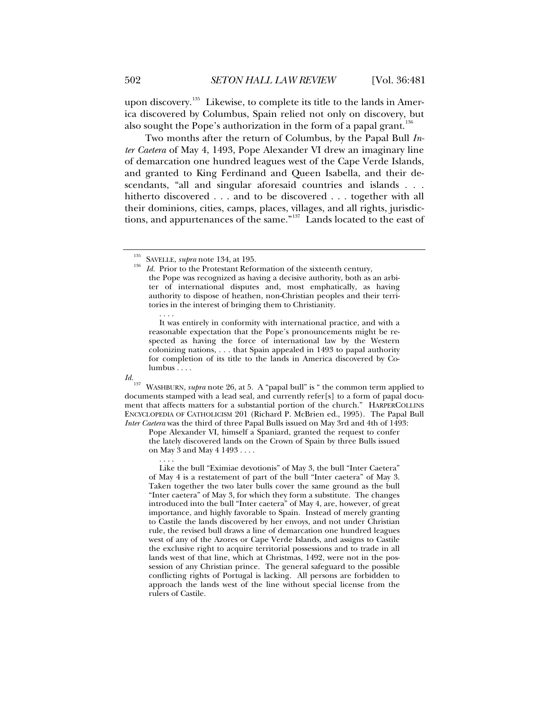upon discovery.<sup>[135](#page-21-0)</sup> Likewise, to complete its title to the lands in America discovered by Columbus, Spain relied not only on discovery, but also sought the Pope's authorization in the form of a papal grant.<sup>[136](#page-21-1)</sup>

Two months after the return of Columbus, by the Papal Bull *Inter Caetera* of May 4, 1493, Pope Alexander VI drew an imaginary line of demarcation one hundred leagues west of the Cape Verde Islands, and granted to King Ferdinand and Queen Isabella, and their descendants, "all and singular aforesaid countries and islands . . . hitherto discovered . . . and to be discovered . . . together with all their dominions, cities, camps, places, villages, and all rights, jurisdictions, and appurtenances of the same."[137](#page-21-2) Lands located to the east of

 . . . . It was entirely in conformity with international practice, and with a reasonable expectation that the Pope's pronouncements might be respected as having the force of international law by the Western colonizing nations, . . . that Spain appealed in 1493 to papal authority for completion of its title to the lands in America discovered by Columbus . . . .

<span id="page-21-2"></span>*Id.*<br><sup>137</sup> WASHBURN, *supra* note 26, at 5. A "papal bull" is " the common term applied to documents stamped with a lead seal, and currently refer[s] to a form of papal document that affects matters for a substantial portion of the church." HARPERCOLLINS ENCYCLOPEDIA OF CATHOLICISM 201 (Richard P. McBrien ed., 1995). The Papal Bull *Inter Caetera* was the third of three Papal Bulls issued on May 3rd and 4th of 1493:

Pope Alexander VI, himself a Spaniard, granted the request to confer the lately discovered lands on the Crown of Spain by three Bulls issued on May 3 and May 4 1493 . . . .

 . . . . Like the bull "Eximiae devotionis" of May 3, the bull "Inter Caetera" of May 4 is a restatement of part of the bull "Inter caetera" of May 3. Taken together the two later bulls cover the same ground as the bull "Inter caetera" of May 3, for which they form a substitute. The changes introduced into the bull "Inter caetera" of May 4, are, however, of great importance, and highly favorable to Spain. Instead of merely granting to Castile the lands discovered by her envoys, and not under Christian rule, the revised bull draws a line of demarcation one hundred leagues west of any of the Azores or Cape Verde Islands, and assigns to Castile the exclusive right to acquire territorial possessions and to trade in all lands west of that line, which at Christmas, 1492, were not in the possession of any Christian prince. The general safeguard to the possible conflicting rights of Portugal is lacking. All persons are forbidden to approach the lands west of the line without special license from the rulers of Castile.

<span id="page-21-1"></span><span id="page-21-0"></span><sup>&</sup>lt;sup>135</sup> SAVELLE, *supra* note 134, at 195.<br><sup>136</sup> *Id.* Prior to the Protestant Reformation of the sixteenth century, the Pope was recognized as having a decisive authority, both as an arbiter of international disputes and, most emphatically, as having authority to dispose of heathen, non-Christian peoples and their territories in the interest of bringing them to Christianity.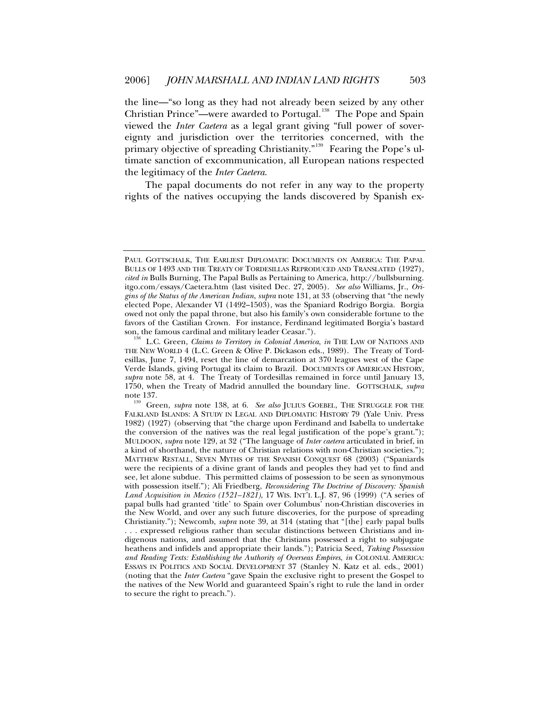the line—"so long as they had not already been seized by any other Christian Prince"—were awarded to Portugal.<sup>[138](#page-22-0)</sup> The Pope and Spain viewed the *Inter Caetera* as a legal grant giving "full power of sovereignty and jurisdiction over the territories concerned, with the primary objective of spreading Christianity."<sup>[139](#page-22-1)</sup> Fearing the Pope's ultimate sanction of excommunication, all European nations respected the legitimacy of the *Inter Caetera*.

The papal documents do not refer in any way to the property rights of the natives occupying the lands discovered by Spanish ex-

PAUL GOTTSCHALK, THE EARLIEST DIPLOMATIC DOCUMENTS ON AMERICA: THE PAPAL BULLS OF 1493 AND THE TREATY OF TORDESILLAS REPRODUCED AND TRANSLATED (1927), *cited in* Bulls Burning, The Papal Bulls as Pertaining to America, http://bullsburning. itgo.com/essays/Caetera.htm (last visited Dec. 27, 2005). *See also* Williams, Jr., *Origins of the Status of the American Indian*, *supra* note 131, at 33 (observing that "the newly elected Pope, Alexander VI (1492–1503), was the Spaniard Rodrigo Borgia. Borgia owed not only the papal throne, but also his family's own considerable fortune to the favors of the Castilian Crown. For instance, Ferdinand legitimated Borgia's bastard son, the famous cardinal and military leader Ceasar.").

<span id="page-22-0"></span>L.C. Green, *Claims to Territory in Colonial America*, *in* THE LAW OF NATIONS AND THE NEW WORLD 4 (L.C. Green & Olive P. Dickason eds., 1989). The Treaty of Tordesillas, June 7, 1494, reset the line of demarcation at 370 leagues west of the Cape Verde Islands, giving Portugal its claim to Brazil. DOCUMENTS OF AMERICAN HISTORY, *supra* note 58, at 4. The Treaty of Tordesillas remained in force until January 13, 1750, when the Treaty of Madrid annulled the boundary line. GOTTSCHALK, *supra* 

<span id="page-22-1"></span><sup>&</sup>lt;sup>139</sup> Green, *supra* note 138, at 6. *See also* JULIUS GOEBEL, THE STRUGGLE FOR THE FALKLAND ISLANDS: A STUDY IN LEGAL AND DIPLOMATIC HISTORY 79 (Yale Univ. Press 1982) (1927) (observing that "the charge upon Ferdinand and Isabella to undertake the conversion of the natives was the real legal justification of the pope's grant."); MULDOON, *supra* note 129, at 32 ("The language of *Inter caetera* articulated in brief, in a kind of shorthand, the nature of Christian relations with non-Christian societies."); MATTHEW RESTALL, SEVEN MYTHS OF THE SPANISH CONQUEST 68 (2003) ("Spaniards were the recipients of a divine grant of lands and peoples they had yet to find and see, let alone subdue. This permitted claims of possession to be seen as synonymous with possession itself."); Ali Friedberg, *Reconsidering The Doctrine of Discovery: Spanish Land Acquisition in Mexico (1521–1821)*, 17 WIS. INT'L L.J. 87, 96 (1999) ("A series of papal bulls had granted 'title' to Spain over Columbus' non-Christian discoveries in the New World, and over any such future discoveries, for the purpose of spreading Christianity."); Newcomb, *supra* note 39, at 314 (stating that "[the] early papal bulls

<sup>. . .</sup> expressed religious rather than secular distinctions between Christians and indigenous nations, and assumed that the Christians possessed a right to subjugate heathens and infidels and appropriate their lands."); Patricia Seed, *Taking Possession and Reading Texts: Establishing the Authority of Overseas Empires*, *in* COLONIAL AMERICA: ESSAYS IN POLITICS AND SOCIAL DEVELOPMENT 37 (Stanley N. Katz et al. eds., 2001) (noting that the *Inter Caetera* "gave Spain the exclusive right to present the Gospel to the natives of the New World and guaranteed Spain's right to rule the land in order to secure the right to preach.").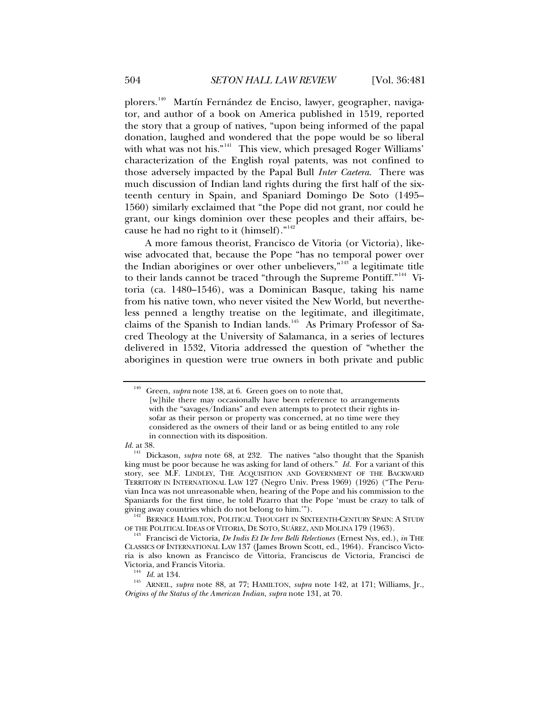plorers.[140](#page-23-0) Martín Fernández de Enciso, lawyer, geographer, navigator, and author of a book on America published in 1519, reported the story that a group of natives, "upon being informed of the papal donation, laughed and wondered that the pope would be so liberal with what was not his."<sup>[141](#page-23-1)</sup> This view, which presaged Roger Williams' characterization of the English royal patents, was not confined to those adversely impacted by the Papal Bull *Inter Caetera*. There was much discussion of Indian land rights during the first half of the sixteenth century in Spain, and Spaniard Domingo De Soto (1495– 1560) similarly exclaimed that "the Pope did not grant, nor could he grant, our kings dominion over these peoples and their affairs, be-cause he had no right to it (himself)."<sup>[142](#page-23-2)</sup>

A more famous theorist, Francisco de Vitoria (or Victoria), likewise advocated that, because the Pope "has no temporal power over the Indian aborigines or over other unbelievers,"[143](#page-23-3) a legitimate title to their lands cannot be traced "through the Supreme Pontiff."<sup>[144](#page-23-4)</sup> Vitoria (ca. 1480–1546), was a Dominican Basque, taking his name from his native town, who never visited the New World, but nevertheless penned a lengthy treatise on the legitimate, and illegitimate, claims of the Spanish to Indian lands.<sup>[145](#page-23-5)</sup> As Primary Professor of Sacred Theology at the University of Salamanca, in a series of lectures delivered in 1532, Vitoria addressed the question of "whether the aborigines in question were true owners in both private and public

*Id.* at 38.

<span id="page-23-2"></span> $^{142}$  Bernice Hamilton, Political Thought in Sixteenth-Century Spain: A Study of the Political Ideas of Vitoria, De Soto, Suárez, and Molina 179 (1963).

<span id="page-23-0"></span>Green, *supra* note 138, at 6. Green goes on to note that, [w]hile there may occasionally have been reference to arrangements with the "savages/Indians" and even attempts to protect their rights insofar as their person or property was concerned, at no time were they considered as the owners of their land or as being entitled to any role in connection with its disposition.

<span id="page-23-1"></span><sup>&</sup>lt;sup>141</sup> Dickason, *supra* note 68, at 232. The natives "also thought that the Spanish king must be poor because he was asking for land of others." *Id.* For a variant of this story, see M.F. LINDLEY, THE ACQUISITION AND GOVERNMENT OF THE BACKWARD TERRITORY IN INTERNATIONAL LAW 127 (Negro Univ. Press 1969) (1926) ("The Peruvian Inca was not unreasonable when, hearing of the Pope and his commission to the Spaniards for the first time, he told Pizarro that the Pope 'must be crazy to talk of giving away countries which do not belong to him."").

<span id="page-23-3"></span>Francisci de Victoria, *De Indis Et De Ivre Belli Relectiones* (Ernest Nys, ed.), *in* THE CLASSICS OF INTERNATIONAL LAW 137 (James Brown Scott, ed., 1964). Francisco Victoria is also known as Francisco de Vittoria, Franciscus de Victoria, Francisci de

<span id="page-23-5"></span><span id="page-23-4"></span>Victoria, and Francis Vitoria.<br><sup>144</sup> *Id.* at 134.<br><sup>145</sup> ARNEIL, *supra* note 88, at 77; HAMILTON, *supra* note 142, at 171; Williams, Jr., *Origins of the Status of the American Indian*, *supra* note 131, at 70.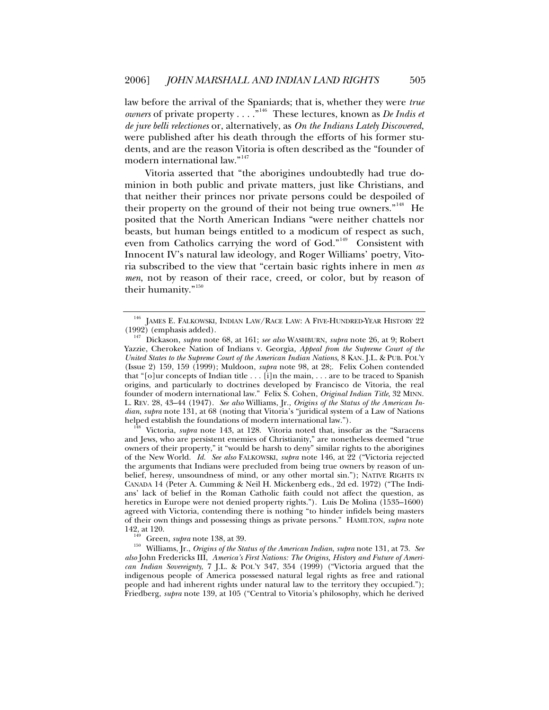law before the arrival of the Spaniards; that is, whether they were *true owners* of private property . . . .<sup>"[146](#page-24-0)</sup> These lectures, known as *De Indis et de jure belli relectiones* or, alternatively, as *On the Indians Lately Discovered*, were published after his death through the efforts of his former students, and are the reason Vitoria is often described as the "founder of modern international law."<sup>[147](#page-24-1)</sup>

Vitoria asserted that "the aborigines undoubtedly had true dominion in both public and private matters, just like Christians, and that neither their princes nor private persons could be despoiled of their property on the ground of their not being true owners."<sup>[148](#page-24-2)</sup> He posited that the North American Indians "were neither chattels nor beasts, but human beings entitled to a modicum of respect as such, even from Catholics carrying the word of God."<sup>[149](#page-24-3)</sup> Consistent with Innocent IV's natural law ideology, and Roger Williams' poetry, Vitoria subscribed to the view that "certain basic rights inhere in men *as men*, not by reason of their race, creed, or color, but by reason of their humanity."<sup>[150](#page-24-4)</sup>

<span id="page-24-2"></span>and Jews, who are persistent enemies of Christianity," are nonetheless deemed "true owners of their property," it "would be harsh to deny" similar rights to the aborigines of the New World. *Id. See also* FALKOWSKI, *supra* note 146, at 22 ("Victoria rejected the arguments that Indians were precluded from being true owners by reason of unbelief, heresy, unsoundness of mind, or any other mortal sin."); NATIVE RIGHTS IN CANADA 14 (Peter A. Cumming & Neil H. Mickenberg eds., 2d ed. 1972) ("The Indians' lack of belief in the Roman Catholic faith could not affect the question, as heretics in Europe were not denied property rights."). Luis De Molina (1535–1600) agreed with Victoria, contending there is nothing "to hinder infidels being masters of their own things and possessing things as private persons." HAMILTON, *supra* note

<span id="page-24-0"></span> $^{146}$  JAMES E. FALKOWSKI, INDIAN LAW/RACE LAW: A FIVE-HUNDRED-YEAR HISTORY 22 (1992) (emphasis added).

<span id="page-24-1"></span><sup>&</sup>lt;sup>147</sup> Dickason, *supra* note 68, at 161; *see also* WASHBURN, *supra* note 26, at 9; Robert Yazzie, Cherokee Nation of Indians v. Georgia*, Appeal from the Supreme Court of the United States to the Supreme Court of the American Indian Nations*, 8 KAN. J.L. & PUB. POL'Y (Issue 2) 159, 159 (1999); Muldoon, *supra* note 98, at 28;. Felix Cohen contended that " $[o]$ ur concepts of Indian title . . .  $[i]$ n the main, . . . are to be traced to Spanish origins, and particularly to doctrines developed by Francisco de Vitoria, the real founder of modern international law." Felix S. Cohen, *Original Indian Title*, 32 MINN. L. REV. 28, 43–44 (1947). *See also* Williams, Jr., *Origins of the Status of the American Indian*, *supra* note 131, at 68 (noting that Vitoria's "juridical system of a Law of Nations helped establish the foundations of modern international law."). 148 Victoria, *supra* note 143, at 128. Vitoria noted that, insofar as the "Saracens

<span id="page-24-4"></span><span id="page-24-3"></span><sup>142,</sup> at 120. 149 Green, *supra* note 138, at 39. 150 Williams, Jr., *Origins of the Status of the American Indian*, *supra* note 131, at 73. *See also* John Fredericks III, *America's First Nations: The Origins, History and Future of American Indian Sovereignty*, 7 J.L. & POL'Y 347, 354 (1999) ("Victoria argued that the indigenous people of America possessed natural legal rights as free and rational people and had inherent rights under natural law to the territory they occupied."); Friedberg, *supra* note 139, at 105 ("Central to Vitoria's philosophy, which he derived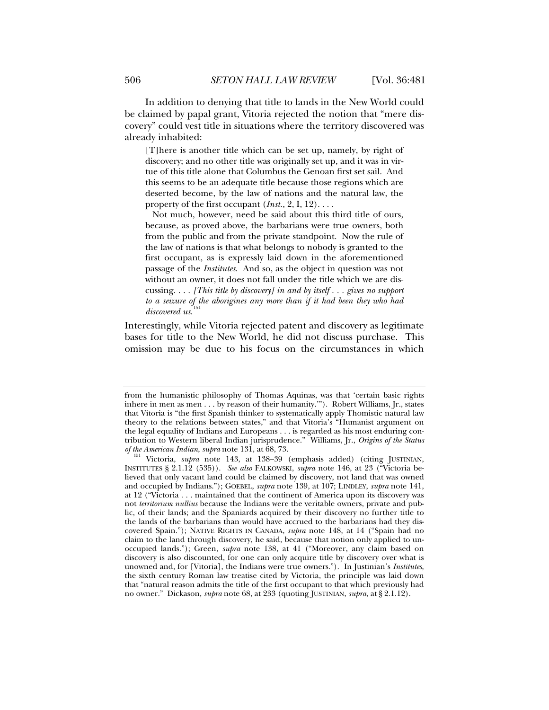In addition to denying that title to lands in the New World could be claimed by papal grant, Vitoria rejected the notion that "mere discovery" could vest title in situations where the territory discovered was already inhabited:

[T]here is another title which can be set up, namely, by right of discovery; and no other title was originally set up, and it was in virtue of this title alone that Columbus the Genoan first set sail. And this seems to be an adequate title because those regions which are deserted become, by the law of nations and the natural law, the property of the first occupant (*Inst.*, 2, I, 12). . . .

 Not much, however, need be said about this third title of ours, because, as proved above, the barbarians were true owners, both from the public and from the private standpoint. Now the rule of the law of nations is that what belongs to nobody is granted to the first occupant, as is expressly laid down in the aforementioned passage of the *Institutes*. And so, as the object in question was not without an owner, it does not fall under the title which we are discussing. . . . *[This title by discovery] in and by itself . . . gives no support to a seizure of the aborigines any more than if it had been they who had discovered us*. [151](#page-25-0)

Interestingly, while Vitoria rejected patent and discovery as legitimate bases for title to the New World, he did not discuss purchase. This omission may be due to his focus on the circumstances in which

from the humanistic philosophy of Thomas Aquinas, was that 'certain basic rights inhere in men as men . . . by reason of their humanity.'"). Robert Williams, Jr., states that Vitoria is "the first Spanish thinker to systematically apply Thomistic natural law theory to the relations between states," and that Vitoria's "Humanist argument on the legal equality of Indians and Europeans . . . is regarded as his most enduring contribution to Western liberal Indian jurisprudence." Williams, Jr., *Origins of the Status* 

<span id="page-25-0"></span><sup>&</sup>lt;sup>151</sup> Victoria, *supra* note 143, at 138-39 (emphasis added) (citing JUSTINIAN, INSTITUTES § 2.1.12 (535)). *See also* FALKOWSKI, *supra* note 146, at 23 ("Victoria believed that only vacant land could be claimed by discovery, not land that was owned and occupied by Indians."); GOEBEL, *supra* note 139, at 107; LINDLEY, *supra* note 141, at 12 ("Victoria . . . maintained that the continent of America upon its discovery was not *territorium nullius* because the Indians were the veritable owners, private and public, of their lands; and the Spaniards acquired by their discovery no further title to the lands of the barbarians than would have accrued to the barbarians had they discovered Spain."); NATIVE RIGHTS IN CANADA, *supra* note 148, at 14 ("Spain had no claim to the land through discovery, he said, because that notion only applied to unoccupied lands."); Green, *supra* note 138, at 41 ("Moreover, any claim based on discovery is also discounted, for one can only acquire title by discovery over what is unowned and, for [Vitoria], the Indians were true owners."). In Justinian's *Institutes*, the sixth century Roman law treatise cited by Victoria, the principle was laid down that "natural reason admits the title of the first occupant to that which previously had no owner." Dickason, *supra* note 68, at 233 (quoting JUSTINIAN, *supra*, at § 2.1.12).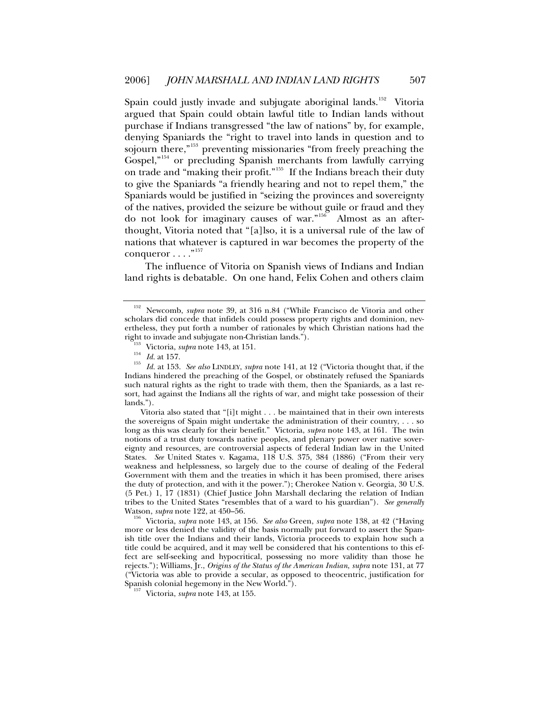Spain could justly invade and subjugate aboriginal lands.<sup>[152](#page-26-0)</sup> Vitoria argued that Spain could obtain lawful title to Indian lands without purchase if Indians transgressed "the law of nations" by, for example, denying Spaniards the "right to travel into lands in question and to sojourn there,"<sup>[153](#page-26-1)</sup> preventing missionaries "from freely preaching the Gospel,"[154](#page-26-2) or precluding Spanish merchants from lawfully carrying on trade and "making their profit."<sup>[155](#page-26-3)</sup> If the Indians breach their duty to give the Spaniards "a friendly hearing and not to repel them," the Spaniards would be justified in "seizing the provinces and sovereignty of the natives, provided the seizure be without guile or fraud and they do not look for imaginary causes of war."[156](#page-26-4) Almost as an afterthought, Vitoria noted that "[a]lso, it is a universal rule of the law of nations that whatever is captured in war becomes the property of the conqueror  $\dots$ ."<sup>[157](#page-26-5)</sup>

The influence of Vitoria on Spanish views of Indians and Indian land rights is debatable. On one hand, Felix Cohen and others claim

Vitoria also stated that "[i]t might . . . be maintained that in their own interests the sovereigns of Spain might undertake the administration of their country, . . . so long as this was clearly for their benefit." Victoria, *supra* note 143, at 161. The twin notions of a trust duty towards native peoples, and plenary power over native sovereignty and resources, are controversial aspects of federal Indian law in the United States. *See* United States v. Kagama, 118 U.S. 375, 384 (1886) ("From their very weakness and helplessness, so largely due to the course of dealing of the Federal Government with them and the treaties in which it has been promised, there arises the duty of protection, and with it the power."); Cherokee Nation v. Georgia, 30 U.S. (5 Pet.) 1, 17 (1831) (Chief Justice John Marshall declaring the relation of Indian tribes to the United States "resembles that of a ward to his guardian"). *See generally*

<span id="page-26-4"></span><sup>156</sup> Victoria, *supra* note 143, at 156. *See also* Green, *supra* note 138, at 42 ("Having more or less denied the validity of the basis normally put forward to assert the Spanish title over the Indians and their lands, Victoria proceeds to explain how such a title could be acquired, and it may well be considered that his contentions to this effect are self-seeking and hypocritical, possessing no more validity than those he rejects."); Williams, Jr., *Origins of the Status of the American Indian*, *supra* note 131, at 77 ("Victoria was able to provide a secular, as opposed to theocentric, justification for Spanish colonial hegemony in the New World."). 157 Victoria, *supra* note 143, at 155.

<span id="page-26-0"></span><sup>152</sup> Newcomb, *supra* note 39, at 316 n.84 ("While Francisco de Vitoria and other scholars did concede that infidels could possess property rights and dominion, nevertheless, they put forth a number of rationales by which Christian nations had the right to invade and subjugate non-Christian lands.").<br>
<sup>153</sup> Victoria, *supra* note 143, at 151.<br>
<sup>154</sup> Id. at 157.<br>
<sup>155</sup> Id. at 153. *See also* LINDLEY, *supra* note 141, at 12 ("Victoria thought that, if the

<span id="page-26-3"></span><span id="page-26-2"></span><span id="page-26-1"></span>Indians hindered the preaching of the Gospel, or obstinately refused the Spaniards such natural rights as the right to trade with them, then the Spaniards, as a last resort, had against the Indians all the rights of war, and might take possession of their lands.").

<span id="page-26-5"></span>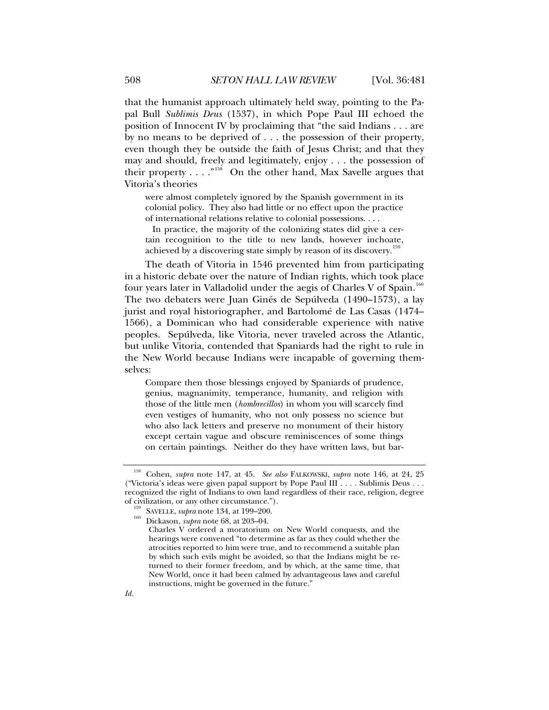that the humanist approach ultimately held sway, pointing to the Papal Bull *Sublimis Deus* (1537), in which Pope Paul III echoed the position of Innocent IV by proclaiming that "the said Indians . . . are by no means to be deprived of . . . the possession of their property, even though they be outside the faith of Jesus Christ; and that they may and should, freely and legitimately, enjoy . . . the possession of their property  $\dots$ ."<sup>[158](#page-27-0)</sup> On the other hand, Max Savelle argues that Vitoria's theories

were almost completely ignored by the Spanish government in its colonial policy. They also had little or no effect upon the practice of international relations relative to colonial possessions. . . .

 In practice, the majority of the colonizing states did give a certain recognition to the title to new lands, however inchoate, achieved by a discovering state simply by reason of its discovery.<sup>[159](#page-27-1)</sup>

The death of Vitoria in 1546 prevented him from participating in a historic debate over the nature of Indian rights, which took place four years later in Valladolid under the aegis of Charles V of Spain.<sup>[160](#page-27-2)</sup> The two debaters were Juan Ginés de Sepúlveda (1490–1573), a lay jurist and royal historiographer, and Bartolomé de Las Casas (1474– 1566), a Dominican who had considerable experience with native peoples. Sepúlveda, like Vitoria, never traveled across the Atlantic, but unlike Vitoria, contended that Spaniards had the right to rule in the New World because Indians were incapable of governing themselves:

Compare then those blessings enjoyed by Spaniards of prudence, genius, magnanimity, temperance, humanity, and religion with those of the little men (*hombrecillos*) in whom you will scarcely find even vestiges of humanity, who not only possess no science but who also lack letters and preserve no monument of their history except certain vague and obscure reminiscences of some things on certain paintings. Neither do they have written laws, but bar-

*Id.*

<span id="page-27-1"></span><span id="page-27-0"></span><sup>158</sup> Cohen, *supra* note 147, at 45. *See also* FALKOWSKI, *supra* note 146, at 24, 25 ("Victoria's ideas were given papal support by Pope Paul III . . . . Sublimis Deus . . . recognized the right of Indians to own land regardless of their race, religion, degree

<span id="page-27-2"></span><sup>&</sup>lt;sup>159</sup> SAVELLE, *supra* note 134, at 199–200.<br><sup>160</sup> Dickason, *supra* note 68, at 203–04.

Charles V ordered a moratorium on New World conquests, and the hearings were convened "to determine as far as they could whether the atrocities reported to him were true, and to recommend a suitable plan by which such evils might be avoided, so that the Indians might be returned to their former freedom, and by which, at the same time, that New World, once it had been calmed by advantageous laws and careful instructions, might be governed in the future."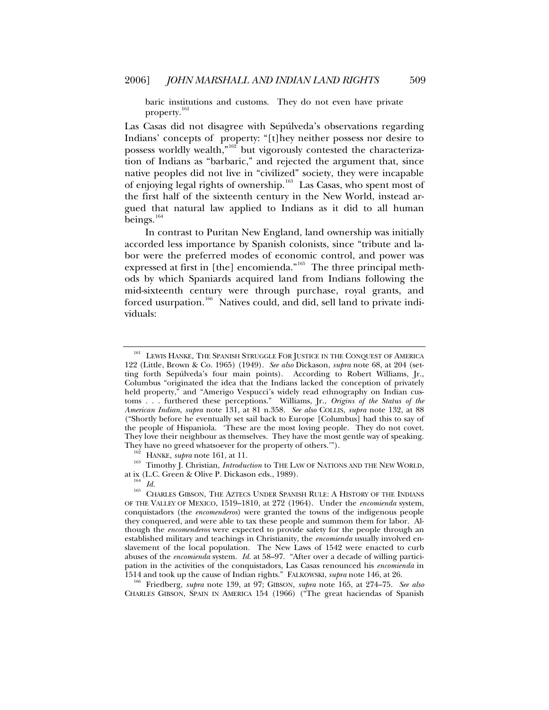baric institutions and customs. They do not even have private property.<sup>1</sup>

Las Casas did not disagree with Sepúlveda's observations regarding Indians' concepts of property: "[t]hey neither possess nor desire to possess worldly wealth,<sup>"[162](#page-28-1)</sup> but vigorously contested the characterization of Indians as "barbaric," and rejected the argument that, since native peoples did not live in "civilized" society, they were incapable of enjoying legal rights of ownership.[163](#page-28-2) Las Casas, who spent most of the first half of the sixteenth century in the New World, instead argued that natural law applied to Indians as it did to all human beings.<sup>[164](#page-28-3)</sup>

In contrast to Puritan New England, land ownership was initially accorded less importance by Spanish colonists, since "tribute and labor were the preferred modes of economic control, and power was expressed at first in [the] encomienda."<sup>[165](#page-28-4)</sup> The three principal methods by which Spaniards acquired land from Indians following the mid-sixteenth century were through purchase, royal grants, and forced usurpation.<sup>[166](#page-28-5)</sup> Natives could, and did, sell land to private individuals:

<span id="page-28-2"></span><span id="page-28-1"></span>They have no greed whatsoever for the property of others.'").<br><sup>162</sup> HANKE, *supra* note 161, at 11.<br><sup>163</sup> Timothy J. Christian, *Introduction* to THE LAW OF NATIONS AND THE NEW WORLD,<br>at ix (L.C. Green & Olive P. Dickason

<span id="page-28-5"></span>CHARLES GIBSON, SPAIN IN AMERICA 154 (1966) ("The great haciendas of Spanish

<span id="page-28-0"></span><sup>&</sup>lt;sup>161</sup> LEWIS HANKE, THE SPANISH STRUGGLE FOR JUSTICE IN THE CONQUEST OF AMERICA 122 (Little, Brown & Co. 1965) (1949). *See also* Dickason, *supra* note 68, at 204 (setting forth Sepúlveda's four main points). According to Robert Williams, Jr., Columbus "originated the idea that the Indians lacked the conception of privately held property," and "Amerigo Vespucci's widely read ethnography on Indian customs . . . furthered these perceptions." Williams, Jr., *Origins of the Status of the American Indian*, *supra* note 131, at 81 n.358. *See also* COLLIS, *supra* note 132, at 88 ("Shortly before he eventually set sail back to Europe [Columbus] had this to say of the people of Hispaniola. 'These are the most loving people. They do not covet. They love their neighbour as themselves. They have the most gentle way of speaking.

<span id="page-28-4"></span><span id="page-28-3"></span><sup>&</sup>lt;sup>104</sup> Id.<br><sup>165</sup> Charles Gibson, The Aztecs Under Spanish Rule: A History of the Indians OF THE VALLEY OF MEXICO, 1519–1810, at 272 (1964). Under the *encomienda* system, conquistadors (the *encomenderos*) were granted the towns of the indigenous people they conquered, and were able to tax these people and summon them for labor. Although the *encomenderos* were expected to provide safety for the people through an established military and teachings in Christianity, the *encomienda* usually involved enslavement of the local population. The New Laws of 1542 were enacted to curb abuses of the *encomienda* system. *Id.* at 58–97. "After over a decade of willing participation in the activities of the conquistadors, Las Casas renounced his *encomienda* in 1514 and took up the cause of Indian rights." FALKOWSKI, *supra* note 146, at 26. 166 Friedberg, *supra* note 139, at 97; GIBSON, *supra* note 165, at 274–75. *See also*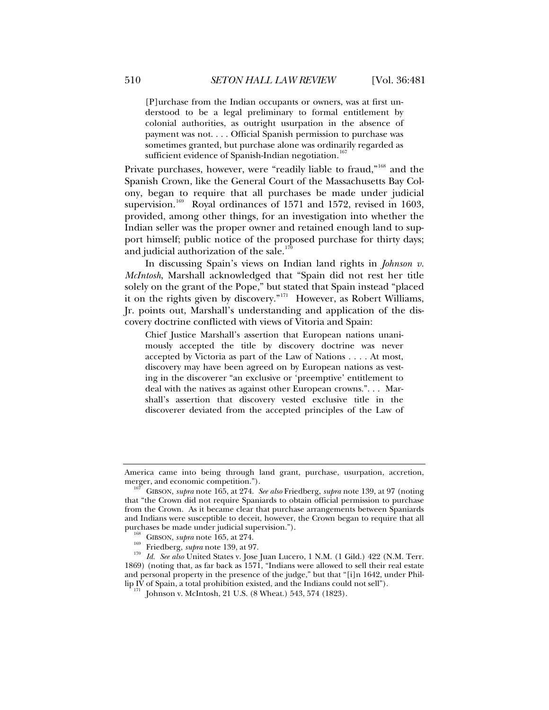[P]urchase from the Indian occupants or owners, was at first understood to be a legal preliminary to formal entitlement by colonial authorities, as outright usurpation in the absence of payment was not. . . . Official Spanish permission to purchase was sometimes granted, but purchase alone was ordinarily regarded as sufficient evidence of Spanish-Indian negotiation.<sup>[167](#page-29-0)</sup>

Private purchases, however, were "readily liable to fraud,"<sup>[168](#page-29-1)</sup> and the Spanish Crown, like the General Court of the Massachusetts Bay Colony, began to require that all purchases be made under judicial supervision.<sup>[169](#page-29-2)</sup> Royal ordinances of 1571 and 1572, revised in 1603, provided, among other things, for an investigation into whether the Indian seller was the proper owner and retained enough land to support himself; public notice of the proposed purchase for thirty days; and judicial authorization of the sale. $170$ 

In discussing Spain's views on Indian land rights in *Johnson v. McIntosh*, Marshall acknowledged that "Spain did not rest her title solely on the grant of the Pope," but stated that Spain instead "placed it on the rights given by discovery."[171](#page-29-4) However, as Robert Williams, Jr. points out, Marshall's understanding and application of the discovery doctrine conflicted with views of Vitoria and Spain:

Chief Justice Marshall's assertion that European nations unanimously accepted the title by discovery doctrine was never accepted by Victoria as part of the Law of Nations . . . . At most, discovery may have been agreed on by European nations as vesting in the discoverer "an exclusive or 'preemptive' entitlement to deal with the natives as against other European crowns.". . . Marshall's assertion that discovery vested exclusive title in the discoverer deviated from the accepted principles of the Law of

America came into being through land grant, purchase, usurpation, accretion, merger, and economic competition.").

<span id="page-29-0"></span>GIBSON, *supra* note 165, at 274. *See also* Friedberg, *supra* note 139, at 97 (noting that "the Crown did not require Spaniards to obtain official permission to purchase from the Crown. As it became clear that purchase arrangements between Spaniards and Indians were susceptible to deceit, however, the Crown began to require that all

<span id="page-29-3"></span><span id="page-29-2"></span><span id="page-29-1"></span><sup>&</sup>lt;sup>168</sup> GIBSON, *supra* note 165, at 274.<br><sup>169</sup> Friedberg, *supra* note 139, at 97.<br><sup>170</sup> Id. See also United States v. Jose Juan Lucero, 1 N.M. (1 Gild.) 422 (N.M. Terr. 1869) (noting that, as far back as 1571, "Indians were allowed to sell their real estate and personal property in the presence of the judge," but that "[i]n 1642, under Phil-<br>lip IV of Spain, a total prohibition existed, and the Indians could not sell").

<span id="page-29-4"></span> $171$  Johnson v. McIntosh, 21 U.S. (8 Wheat.) 543, 574 (1823).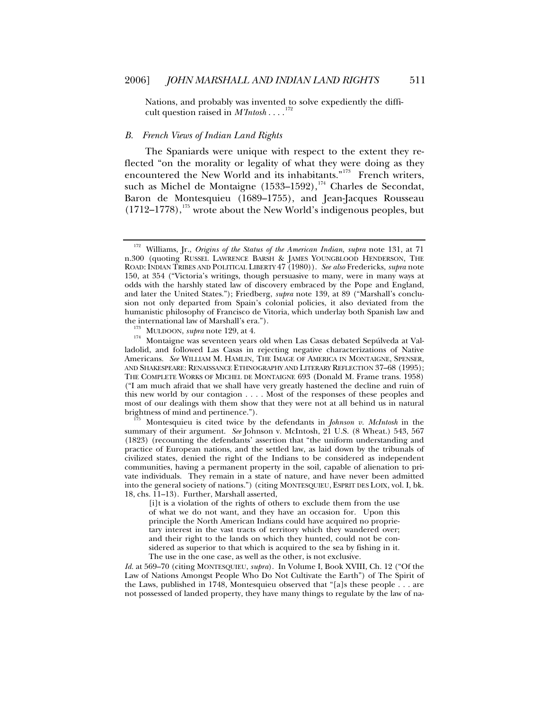<span id="page-30-0"></span>Nations, and probably was invented to solve expediently the difficult question raised in  $M'Intosh \dots$ <sup>[172](#page-30-1)</sup>

#### *B. French Views of Indian Land Rights*

The Spaniards were unique with respect to the extent they reflected "on the morality or legality of what they were doing as they encountered the New World and its inhabitants."<sup>[173](#page-30-2)</sup> French writers, such as Michel de Montaigne  $(1533-1592),$ <sup>[174](#page-30-3)</sup> Charles de Secondat, Baron de Montesquieu (1689–1755), and Jean-Jacques Rousseau  $(1712-1778)$ ,<sup>[175](#page-30-4)</sup> wrote about the New World's indigenous peoples, but

<span id="page-30-4"></span>Montesquieu is cited twice by the defendants in *Johnson v. McIntosh* in the summary of their argument. *See* Johnson v. McIntosh, 21 U.S. (8 Wheat.) 543, 567 (1823) (recounting the defendants' assertion that "the uniform understanding and practice of European nations, and the settled law, as laid down by the tribunals of civilized states, denied the right of the Indians to be considered as independent communities, having a permanent property in the soil, capable of alienation to private individuals. They remain in a state of nature, and have never been admitted into the general society of nations.") (citing MONTESQUIEU, ESPRIT DES LOIX, vol. I, bk. 18, chs. 11–13). Further, Marshall asserted,

[i]t is a violation of the rights of others to exclude them from the use of what we do not want, and they have an occasion for. Upon this principle the North American Indians could have acquired no proprietary interest in the vast tracts of territory which they wandered over; and their right to the lands on which they hunted, could not be considered as superior to that which is acquired to the sea by fishing in it. The use in the one case, as well as the other, is not exclusive.

*Id.* at 569–70 (citing MONTESQUIEU, *supra*). In Volume I, Book XVIII, Ch. 12 ("Of the Law of Nations Amongst People Who Do Not Cultivate the Earth") of The Spirit of the Laws, published in 1748, Montesquieu observed that "[a]s these people . . . are not possessed of landed property, they have many things to regulate by the law of na-

<span id="page-30-1"></span><sup>172</sup> Williams, Jr., *Origins of the Status of the American Indian*, *supra* note 131, at 71 n.300 (quoting RUSSEL LAWRENCE BARSH & JAMES YOUNGBLOOD HENDERSON, THE ROAD: INDIAN TRIBES AND POLITICAL LIBERTY 47 (1980)). *See also* Fredericks, *supra* note 150, at 354 ("Victoria's writings, though persuasive to many, were in many ways at odds with the harshly stated law of discovery embraced by the Pope and England, and later the United States."); Friedberg, *supra* note 139, at 89 ("Marshall's conclusion not only departed from Spain's colonial policies, it also deviated from the humanistic philosophy of Francisco de Vitoria, which underlay both Spanish law and

<span id="page-30-3"></span><span id="page-30-2"></span>the international law of Marshall's era.").<br><sup>173</sup> MULDOON, *supra* note 129, at 4.<br><sup>174</sup> Montaigne was seventeen years old when Las Casas debated Sepúlveda at Valladolid, and followed Las Casas in rejecting negative characterizations of Native Americans. *See* WILLIAM M. HAMLIN, THE IMAGE OF AMERICA IN MONTAIGNE, SPENSER, AND SHAKESPEARE: RENAISSANCE ETHNOGRAPHY AND LITERARY REFLECTION 37–68 (1995); THE COMPLETE WORKS OF MICHEL DE MONTAIGNE 693 (Donald M. Frame trans. 1958) ("I am much afraid that we shall have very greatly hastened the decline and ruin of this new world by our contagion . . . . Most of the responses of these peoples and most of our dealings with them show that they were not at all behind us in natural brightness of mind and pertinence.").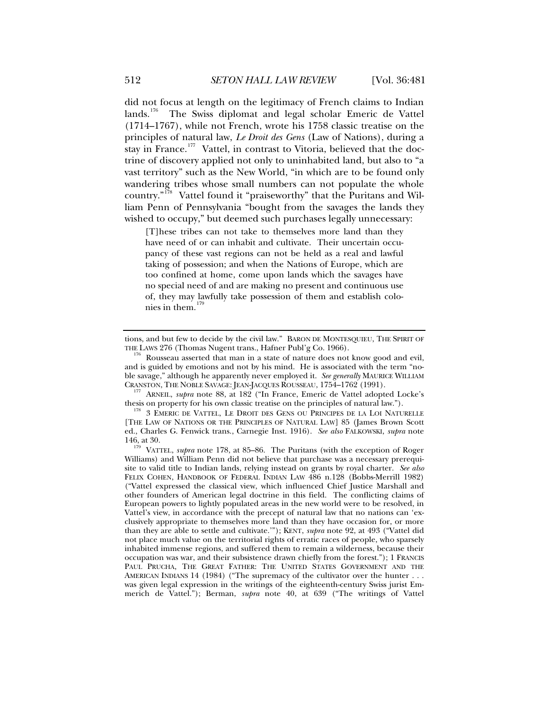did not focus at length on the legitimacy of French claims to Indian lands.<sup>[176](#page-31-0)</sup> The Swiss diplomat and legal scholar Emeric de Vattel (1714–1767), while not French, wrote his 1758 classic treatise on the principles of natural law, *Le Droit des Gens* (Law of Nations), during a stay in France.<sup>[177](#page-31-1)</sup> Vattel, in contrast to Vitoria, believed that the doctrine of discovery applied not only to uninhabited land, but also to "a vast territory" such as the New World, "in which are to be found only wandering tribes whose small numbers can not populate the whole country."<sup>[178](#page-31-2)</sup> Vattel found it "praiseworthy" that the Puritans and William Penn of Pennsylvania "bought from the savages the lands they wished to occupy," but deemed such purchases legally unnecessary:

[T]hese tribes can not take to themselves more land than they have need of or can inhabit and cultivate. Their uncertain occupancy of these vast regions can not be held as a real and lawful taking of possession; and when the Nations of Europe, which are too confined at home, come upon lands which the savages have no special need of and are making no present and continuous use of, they may lawfully take possession of them and establish colonies in them.[179](#page-31-3)

<span id="page-31-1"></span><sup>177</sup> ARNEIL, *supra* note 88, at 182 ("In France, Emeric de Vattel adopted Locke's thesis on property for his own classic treatise on the principles of natural law.").

<span id="page-31-2"></span> $^{178}$ 3 EMERIC DE VATTEL, LE DROIT DES GENS OU PRINCIPES DE LA LOI NATURELLE [THE LAW OF NATIONS OR THE PRINCIPLES OF NATURAL LAW] 85 (James Brown Scott ed., Charles G. Fenwick trans., Carnegie Inst. 1916). *See also* FALKOWSKI, *supra* note

<span id="page-31-3"></span>146, at 30. 179 VATTEL, *supra* note 178, at 85–86. The Puritans (with the exception of Roger Williams) and William Penn did not believe that purchase was a necessary prerequisite to valid title to Indian lands, relying instead on grants by royal charter. *See also* FELIX COHEN, HANDBOOK OF FEDERAL INDIAN LAW 486 n.128 (Bobbs-Merrill 1982) ("Vattel expressed the classical view, which influenced Chief Justice Marshall and other founders of American legal doctrine in this field. The conflicting claims of European powers to lightly populated areas in the new world were to be resolved, in Vattel's view, in accordance with the precept of natural law that no nations can 'exclusively appropriate to themselves more land than they have occasion for, or more than they are able to settle and cultivate.'"); KENT, *supra* note 92, at 493 ("Vattel did not place much value on the territorial rights of erratic races of people, who sparsely inhabited immense regions, and suffered them to remain a wilderness, because their occupation was war, and their subsistence drawn chiefly from the forest."); 1 FRANCIS PAUL PRUCHA, THE GREAT FATHER: THE UNITED STATES GOVERNMENT AND THE AMERICAN INDIANS 14 (1984) ("The supremacy of the cultivator over the hunter . . . was given legal expression in the writings of the eighteenth-century Swiss jurist Emmerich de Vattel."); Berman, *supra* note 40, at 639 ("The writings of Vattel

tions, and but few to decide by the civil law." BARON DE MONTESQUIEU, THE SPIRIT OF THE LAWS 276 (Thomas Nugent trans., Hafner Publ'g Co. 1966).

<span id="page-31-0"></span>Rousseau asserted that man in a state of nature does not know good and evil, and is guided by emotions and not by his mind. He is associated with the term "noble savage," although he apparently never employed it. *See generally* MAURICE WILLIAM CRANSTON, THE NOBLE SAVAGE: JEAN-JACQUES ROUSSEAU, 1754-1762 (1991).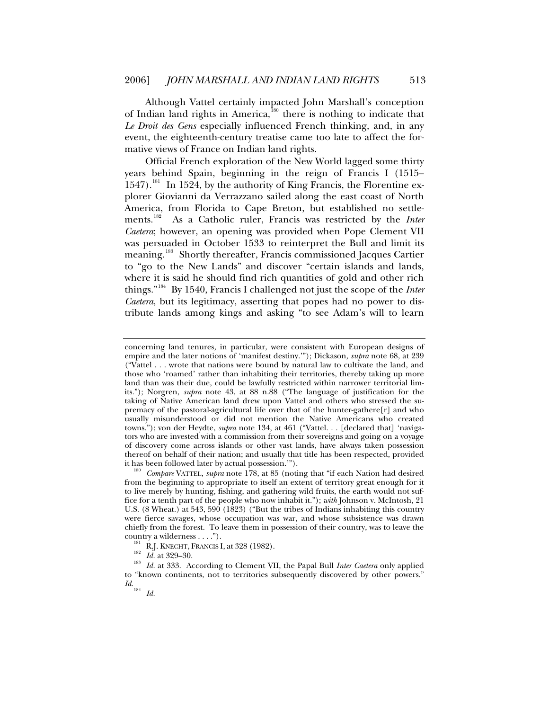Although Vattel certainly impacted John Marshall's conception of Indian land rights in America, ${}^{180}$  ${}^{180}$  ${}^{180}$  there is nothing to indicate that *Le Droit des Gens* especially influenced French thinking, and, in any event, the eighteenth-century treatise came too late to affect the formative views of France on Indian land rights.

Official French exploration of the New World lagged some thirty years behind Spain, beginning in the reign of Francis I (1515–  $1547$ ).<sup>[181](#page-32-1)</sup> In 1524, by the authority of King Francis, the Florentine explorer Giovianni da Verrazzano sailed along the east coast of North America, from Florida to Cape Breton, but established no settlements.[182](#page-32-2) As a Catholic ruler, Francis was restricted by the *Inter Caetera*; however, an opening was provided when Pope Clement VII was persuaded in October 1533 to reinterpret the Bull and limit its meaning.<sup>[183](#page-32-3)</sup> Shortly thereafter, Francis commissioned Jacques Cartier to "go to the New Lands" and discover "certain islands and lands, where it is said he should find rich quantities of gold and other rich things."[184](#page-32-4) By 1540, Francis I challenged not just the scope of the *Inter Caetera*, but its legitimacy, asserting that popes had no power to distribute lands among kings and asking "to see Adam's will to learn

concerning land tenures, in particular, were consistent with European designs of empire and the later notions of 'manifest destiny.'"); Dickason, *supra* note 68, at 239 ("Vattel . . . wrote that nations were bound by natural law to cultivate the land, and those who 'roamed' rather than inhabiting their territories, thereby taking up more land than was their due, could be lawfully restricted within narrower territorial limits."); Norgren, *supra* note 43, at 88 n.88 ("The language of justification for the taking of Native American land drew upon Vattel and others who stressed the supremacy of the pastoral-agricultural life over that of the hunter-gathere $[r]$  and who usually misunderstood or did not mention the Native Americans who created towns."); von der Heydte, *supra* note 134, at 461 ("Vattel. . . [declared that] 'navigators who are invested with a commission from their sovereigns and going on a voyage of discovery come across islands or other vast lands, have always taken possession thereof on behalf of their nation; and usually that title has been respected, provided it has been followed later by actual possession.").

<span id="page-32-0"></span>Compare VATTEL, supra note 178, at 85 (noting that "if each Nation had desired from the beginning to appropriate to itself an extent of territory great enough for it to live merely by hunting, fishing, and gathering wild fruits, the earth would not suffice for a tenth part of the people who now inhabit it."); *with* Johnson v. McIntosh, 21 U.S. (8 Wheat.) at 543, 590 (1823) ("But the tribes of Indians inhabiting this country were fierce savages, whose occupation was war, and whose subsistence was drawn chiefly from the forest. To leave them in possession of their country, was to leave the

<span id="page-32-4"></span><span id="page-32-3"></span><span id="page-32-2"></span><span id="page-32-1"></span>country a wilderness . . . .").<br><sup>181</sup> R.J. KNECHT, FRANCIS I, at 328 (1982).<br><sup>182</sup> *Id.* at 329–30.<br><sup>183</sup> *Id.* at 333. According to Clement VII, the Papal Bull *Inter Caetera* only applied to "known continents, not to territories subsequently discovered by other powers."  $\frac{Id.}{184}$  *Id.*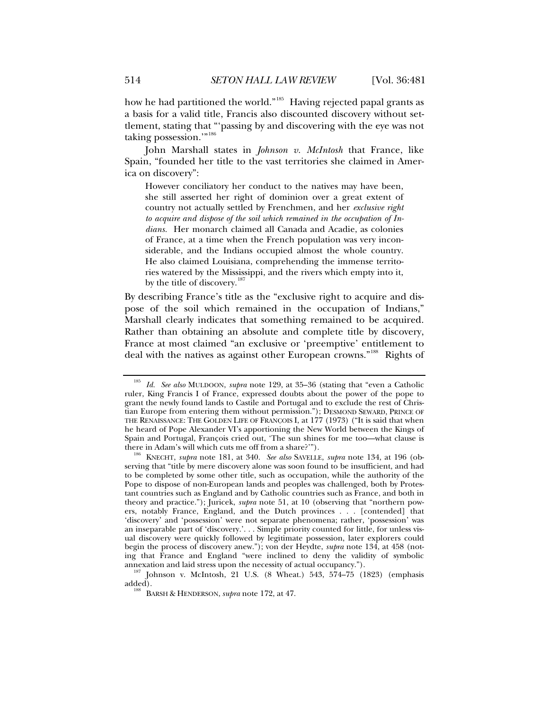how he had partitioned the world."<sup>[185](#page-33-0)</sup> Having rejected papal grants as a basis for a valid title, Francis also discounted discovery without settlement, stating that "'passing by and discovering with the eye was not taking possession."<sup>,[186](#page-33-1)</sup>

John Marshall states in *Johnson v. McIntosh* that France, like Spain, "founded her title to the vast territories she claimed in America on discovery":

However conciliatory her conduct to the natives may have been, she still asserted her right of dominion over a great extent of country not actually settled by Frenchmen, and her *exclusive right to acquire and dispose of the soil which remained in the occupation of Indians.* Her monarch claimed all Canada and Acadie, as colonies of France, at a time when the French population was very inconsiderable, and the Indians occupied almost the whole country. He also claimed Louisiana, comprehending the immense territories watered by the Mississippi, and the rivers which empty into it, by the title of discovery.<sup>[187](#page-33-2)</sup>

By describing France's title as the "exclusive right to acquire and dispose of the soil which remained in the occupation of Indians," Marshall clearly indicates that something remained to be acquired. Rather than obtaining an absolute and complete title by discovery, France at most claimed "an exclusive or 'preemptive' entitlement to deal with the natives as against other European crowns."<sup>[188](#page-33-3)</sup> Rights of

<span id="page-33-0"></span><sup>185</sup> *Id. See also* MULDOON, *supra* note 129, at 35–36 (stating that "even a Catholic ruler, King Francis I of France, expressed doubts about the power of the pope to grant the newly found lands to Castile and Portugal and to exclude the rest of Christian Europe from entering them without permission."); DESMOND SEWARD, PRINCE OF THE RENAISSANCE: THE GOLDEN LIFE OF FRANÇOIS I, at 177 (1973) ("It is said that when he heard of Pope Alexander VI's apportioning the New World between the Kings of Spain and Portugal, François cried out, 'The sun shines for me too—what clause is there in Adam's will which cuts me off from a share?'").

<span id="page-33-1"></span><sup>&</sup>lt;sup>186</sup> KNECHT, *supra* note 181, at 340. *See also* SAVELLE, *supra* note 134, at 196 (observing that "title by mere discovery alone was soon found to be insufficient, and had to be completed by some other title, such as occupation, while the authority of the Pope to dispose of non-European lands and peoples was challenged, both by Protestant countries such as England and by Catholic countries such as France, and both in theory and practice."); Juricek, *supra* note 51, at 10 (observing that "northern powers, notably France, England, and the Dutch provinces . . . [contended] that 'discovery' and 'possession' were not separate phenomena; rather, 'possession' was an inseparable part of 'discovery.'. . . Simple priority counted for little, for unless visual discovery were quickly followed by legitimate possession, later explorers could begin the process of discovery anew."); von der Heydte, *supra* note 134, at 458 (noting that France and England "were inclined to deny the validity of symbolic annexation and laid stress upon the necessity of actual occupancy.").<br><sup>187</sup> Johnson v. McIntosh, 21 U.S. (8 Wheat.) 543, 574–75 (1823) (emphasis

<span id="page-33-3"></span><span id="page-33-2"></span>added). 188 BARSH & HENDERSON, *supra* note 172, at 47.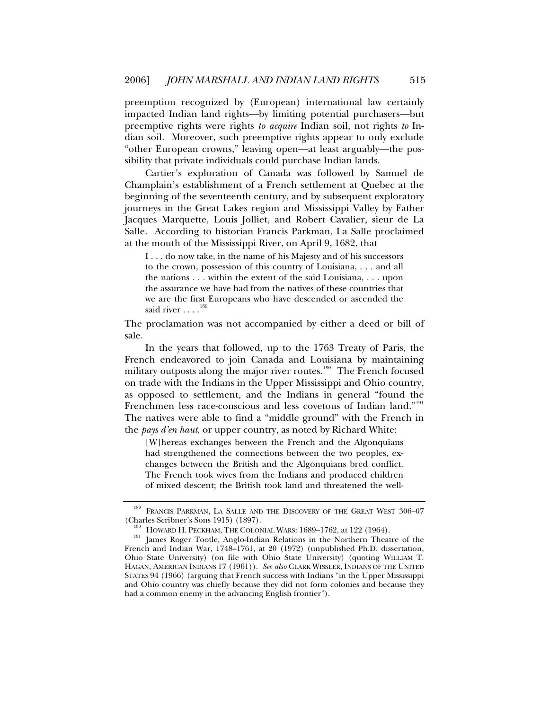preemption recognized by (European) international law certainly impacted Indian land rights—by limiting potential purchasers—but preemptive rights were rights *to acquire* Indian soil, not rights *to* Indian soil. Moreover, such preemptive rights appear to only exclude "other European crowns," leaving open—at least arguably—the possibility that private individuals could purchase Indian lands.

Cartier's exploration of Canada was followed by Samuel de Champlain's establishment of a French settlement at Quebec at the beginning of the seventeenth century, and by subsequent exploratory journeys in the Great Lakes region and Mississippi Valley by Father Jacques Marquette, Louis Jolliet, and Robert Cavalier, sieur de La Salle. According to historian Francis Parkman, La Salle proclaimed at the mouth of the Mississippi River, on April 9, 1682, that

I . . . do now take, in the name of his Majesty and of his successors to the crown, possession of this country of Louisiana, . . . and all the nations . . . within the extent of the said Louisiana, . . . upon the assurance we have had from the natives of these countries that we are the first Europeans who have descended or ascended the said river . . . .<sup>[189](#page-34-0)</sup>

The proclamation was not accompanied by either a deed or bill of sale.

In the years that followed, up to the 1763 Treaty of Paris, the French endeavored to join Canada and Louisiana by maintaining military outposts along the major river routes.<sup>[190](#page-34-1)</sup> The French focused on trade with the Indians in the Upper Mississippi and Ohio country, as opposed to settlement, and the Indians in general "found the Frenchmen less race-conscious and less covetous of Indian land."<sup>[191](#page-34-2)</sup> The natives were able to find a "middle ground" with the French in the *pays d'en haut*, or upper country, as noted by Richard White:

[W]hereas exchanges between the French and the Algonquians had strengthened the connections between the two peoples, exchanges between the British and the Algonquians bred conflict. The French took wives from the Indians and produced children of mixed descent; the British took land and threatened the well-

<span id="page-34-0"></span> $^{189}$  FRANCIS PARKMAN, LA SALLE AND THE DISCOVERY OF THE GREAT WEST 306–07 (Charles Scribner's Sons 1915) (1897).

<span id="page-34-2"></span><span id="page-34-1"></span><sup>&</sup>lt;sup>190</sup> HOWARD H. PECKHAM, THE COLONIAL WARS: 1689–1762, at 122 (1964). <br><sup>191</sup> James Roger Tootle, Anglo-Indian Relations in the Northern Theatre of the French and Indian War, 1748–1761, at 20 (1972) (unpublished Ph.D. dissertation, Ohio State University) (on file with Ohio State University) (quoting WILLIAM T. HAGAN, AMERICAN INDIANS 17 (1961)). *See also* CLARK WISSLER, INDIANS OF THE UNITED STATES 94 (1966) (arguing that French success with Indians "in the Upper Mississippi and Ohio country was chiefly because they did not form colonies and because they had a common enemy in the advancing English frontier").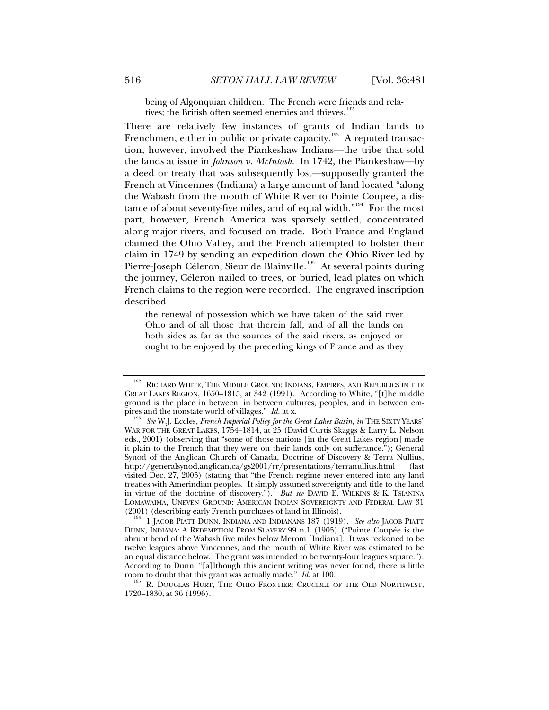being of Algonquian children. The French were friends and rela-tives; the British often seemed enemies and thieves.<sup>[192](#page-35-0)</sup>

There are relatively few instances of grants of Indian lands to Frenchmen, either in public or private capacity.<sup>[193](#page-35-1)</sup> A reputed transaction, however, involved the Piankeshaw Indians—the tribe that sold the lands at issue in *Johnson v. McIntosh*. In 1742, the Piankeshaw—by a deed or treaty that was subsequently lost—supposedly granted the French at Vincennes (Indiana) a large amount of land located "along the Wabash from the mouth of White River to Pointe Coupee, a dis-tance of about seventy-five miles, and of equal width."<sup>[194](#page-35-2)</sup> For the most part, however, French America was sparsely settled, concentrated along major rivers, and focused on trade. Both France and England claimed the Ohio Valley, and the French attempted to bolster their claim in 1749 by sending an expedition down the Ohio River led by Pierre-Joseph Céleron, Sieur de Blainville.<sup>[195](#page-35-3)</sup> At several points during the journey, Céleron nailed to trees, or buried, lead plates on which French claims to the region were recorded. The engraved inscription described

the renewal of possession which we have taken of the said river Ohio and of all those that therein fall, and of all the lands on both sides as far as the sources of the said rivers, as enjoyed or ought to be enjoyed by the preceding kings of France and as they

<span id="page-35-0"></span><sup>&</sup>lt;sup>192</sup> RICHARD WHITE, THE MIDDLE GROUND: INDIANS, EMPIRES, AND REPUBLICS IN THE GREAT LAKES REGION, 1650–1815, at 342 (1991). According to White, "[t]he middle ground is the place in between: in between cultures, peoples, and in between empires and the nonstate world of villages."  $Id$  at x.

<span id="page-35-1"></span>pires and the nonstate world of villages." *Id.* at x. 193 *See* W.J. Eccles, *French Imperial Policy for the Great Lakes Basin*, *in* THE SIXTY YEARS' WAR FOR THE GREAT LAKES, 1754–1814, at 25 (David Curtis Skaggs & Larry L. Nelson eds., 2001) (observing that "some of those nations [in the Great Lakes region] made it plain to the French that they were on their lands only on sufferance."); General Synod of the Anglican Church of Canada, Doctrine of Discovery & Terra Nullius, http://generalsynod.anglican.ca/gs2001/rr/presentations/terranullius.html (last visited Dec. 27, 2005) (stating that "the French regime never entered into any land treaties with Amerindian peoples. It simply assumed sovereignty and title to the land in virtue of the doctrine of discovery."). *But see* DAVID E. WILKINS & K. TSIANINA LOMAWAIMA, UNEVEN GROUND: AMERICAN INDIAN SOVEREIGNTY AND FEDERAL LAW 31 (2001) (describing early French purchases of land in Illinois).

<span id="page-35-2"></span><sup>&</sup>lt;sup>194</sup> 1 JACOB PIATT DUNN, INDIANA AND INDIANANS 187 (1919). See also JACOB PIATT DUNN, INDIANA: A REDEMPTION FROM SLAVERY 99 n.1 (1905) ("Pointe Coupée is the abrupt bend of the Wabash five miles below Merom [Indiana]. It was reckoned to be twelve leagues above Vincennes, and the mouth of White River was estimated to be an equal distance below. The grant was intended to be twenty-four leagues square."). According to Dunn, "[a]lthough this ancient writing was never found, there is little room to doubt that this grant was actually made." *Id.* at 100.<br><sup>195</sup> R. DOUGLAS HURT, THE OHIO FRONTIER: CRUCIBLE OF THE OLD NORTHWEST,

<span id="page-35-3"></span><sup>1720–1830,</sup> at 36 (1996).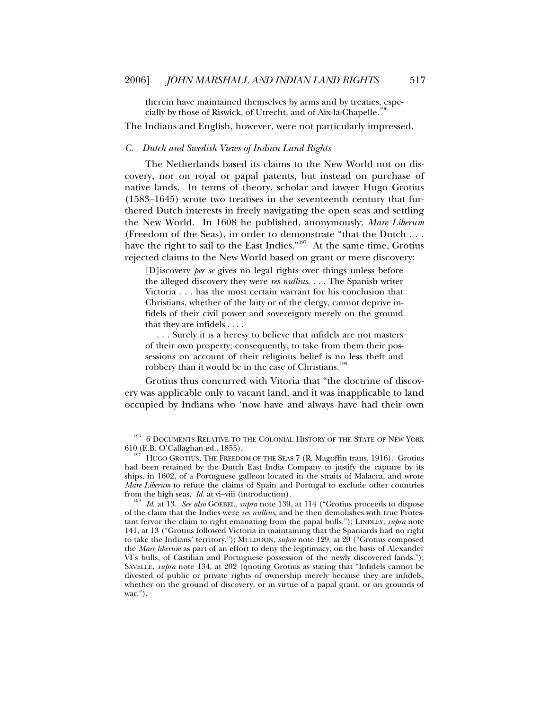<span id="page-36-0"></span>therein have maintained themselves by arms and by treaties, especially by those of Riswick, of Utrecht, and of Aix-la-Chapelle.1

The Indians and English, however, were not particularly impressed.

## *C. Dutch and Swedish Views of Indian Land Rights*

The Netherlands based its claims to the New World not on discovery, nor on royal or papal patents, but instead on purchase of native lands. In terms of theory, scholar and lawyer Hugo Grotius (1583–1645) wrote two treatises in the seventeenth century that furthered Dutch interests in freely navigating the open seas and settling the New World. In 1608 he published, anonymously, *Mare Liberum* (Freedom of the Seas), in order to demonstrate "that the Dutch . . . have the right to sail to the East Indies."<sup>[197](#page-36-2)</sup> At the same time, Grotius rejected claims to the New World based on grant or mere discovery:

[D]iscovery *per se* gives no legal rights over things unless before the alleged discovery they were *res nullius*. . . . The Spanish writer Victoria . . . has the most certain warrant for his conclusion that Christians, whether of the laity or of the clergy, cannot deprive infidels of their civil power and sovereignty merely on the ground that they are infidels . . . .

 . . . Surely it is a heresy to believe that infidels are not masters of their own property; consequently, to take from them their possessions on account of their religious belief is no less theft and robbery than it would be in the case of Christians.<sup>[198](#page-36-3)</sup>

Grotius thus concurred with Vitoria that "the doctrine of discovery was applicable only to vacant land, and it was inapplicable to land occupied by Indians who 'now have and always have had their own

<span id="page-36-1"></span> $^{196}\,$  6 DOCUMENTS RELATIVE TO THE COLONIAL HISTORY OF THE STATE OF NEW YORK 610 (E.B. O'Callaghan ed., 1855).

<span id="page-36-2"></span><sup>&</sup>lt;sup>197</sup> HUGO GROTIUS, THE FREEDOM OF THE SEAS 7 (R. Magoffin trans. 1916). Grotius had been retained by the Dutch East India Company to justify the capture by its ships, in 1602, of a Portuguese galleon located in the straits of Malacca, and wrote *Mare Liberum* to refute the claims of Spain and Portugal to exclude other countries from the high seas. *Id.* at vi–viii (introduction). 198 *Id*. at 13. *See also* GOEBEL, *supra* note 139, at 114 ("Grotius proceeds to dispose

<span id="page-36-3"></span>of the claim that the Indies were *res nullius*, and he then demolishes with true Protestant fervor the claim to right emanating from the papal bulls."); LINDLEY, *supra* note 141, at 13 ("Grotius followed Victoria in maintaining that the Spaniards had no right to take the Indians' territory."); MULDOON, *supra* note 129, at 29 ("Grotius composed the *Mare liberum* as part of an effort to deny the legitimacy, on the basis of Alexander VI's bulls, of Castilian and Portuguese possession of the newly discovered lands."); SAVELLE, *supra* note 134, at 202 (quoting Grotius as stating that "Infidels cannot be divested of public or private rights of ownership merely because they are infidels, whether on the ground of discovery, or in virtue of a papal grant, or on grounds of war.").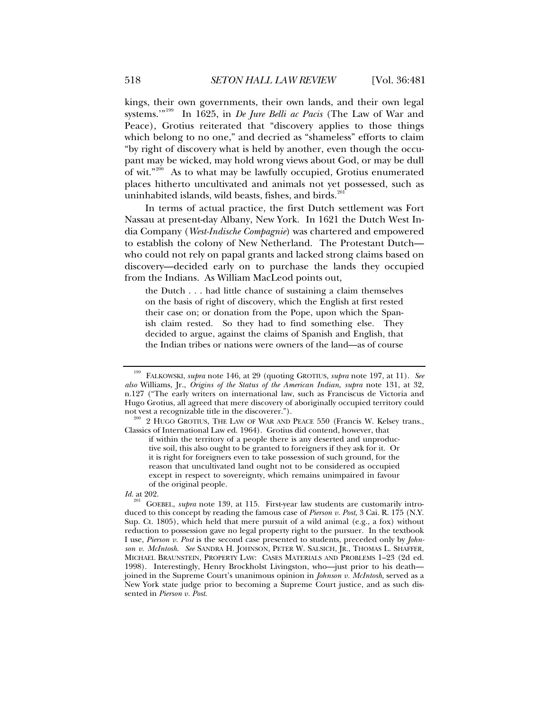kings, their own governments, their own lands, and their own legal systems.'"[199](#page-37-0) In 1625, in *De Jure Belli ac Pacis* (The Law of War and Peace), Grotius reiterated that "discovery applies to those things which belong to no one," and decried as "shameless" efforts to claim "by right of discovery what is held by another, even though the occupant may be wicked, may hold wrong views about God, or may be dull of wit."<sup>[200](#page-37-1)</sup> As to what may be lawfully occupied, Grotius enumerated places hitherto uncultivated and animals not yet possessed, such as uninhabited islands, wild beasts, fishes, and birds. $201$ 

In terms of actual practice, the first Dutch settlement was Fort Nassau at present-day Albany, New York. In 1621 the Dutch West India Company (*West-Indische Compagnie*) was chartered and empowered to establish the colony of New Netherland. The Protestant Dutch who could not rely on papal grants and lacked strong claims based on discovery—decided early on to purchase the lands they occupied from the Indians. As William MacLeod points out,

the Dutch . . . had little chance of sustaining a claim themselves on the basis of right of discovery, which the English at first rested their case on; or donation from the Pope, upon which the Spanish claim rested. So they had to find something else. They decided to argue, against the claims of Spanish and English, that the Indian tribes or nations were owners of the land—as of course

<span id="page-37-0"></span><sup>199</sup> FALKOWSKI, *supra* note 146, at 29 (quoting GROTIUS, *supra* note 197, at 11). *See also* Williams, Jr., *Origins of the Status of the American Indian*, *supra* note 131, at 32, n.127 ("The early writers on international law, such as Franciscus de Victoria and Hugo Grotius, all agreed that mere discovery of aboriginally occupied territory could not vest a recognizable title in the discoverer.").

<span id="page-37-1"></span> $1000$  2 HUGO GROTIUS, THE LAW OF WAR AND PEACE 550 (Francis W. Kelsey trans., Classics of International Law ed. 1964). Grotius did contend, however, that

if within the territory of a people there is any deserted and unproductive soil, this also ought to be granted to foreigners if they ask for it. Or it is right for foreigners even to take possession of such ground, for the reason that uncultivated land ought not to be considered as occupied except in respect to sovereignty, which remains unimpaired in favour of the original people.

*Id.* at 202.

<span id="page-37-2"></span><sup>&</sup>lt;sup>201</sup> GOEBEL, *supra* note 139, at 115. First-year law students are customarily introduced to this concept by reading the famous case of *Pierson v. Post*, 3 Cai. R. 175 (N.Y. Sup. Ct. 1805), which held that mere pursuit of a wild animal (e.g., a fox) without reduction to possession gave no legal property right to the pursuer. In the textbook I use, *Pierson v. Post* is the second case presented to students, preceded only by *Johnson v. McIntosh*. *See* SANDRA H. JOHNSON, PETER W. SALSICH, JR., THOMAS L. SHAFFER, MICHAEL BRAUNSTEIN, PROPERTY LAW: CASES MATERIALS AND PROBLEMS 1–23 (2d ed. 1998). Interestingly, Henry Brockholst Livingston, who—just prior to his death joined in the Supreme Court's unanimous opinion in *Johnson v. McIntosh*, served as a New York state judge prior to becoming a Supreme Court justice, and as such dissented in *Pierson v. Post*.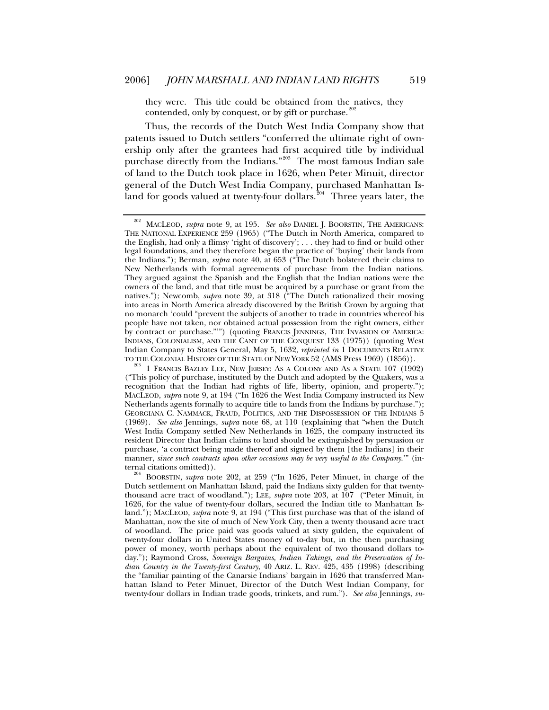they were. This title could be obtained from the natives, they contended, only by conquest, or by gift or purchase. $20$ 

Thus, the records of the Dutch West India Company show that patents issued to Dutch settlers "conferred the ultimate right of ownership only after the grantees had first acquired title by individual purchase directly from the Indians."<sup>[203](#page-38-1)</sup> The most famous Indian sale of land to the Dutch took place in 1626, when Peter Minuit, director general of the Dutch West India Company, purchased Manhattan Is-land for goods valued at twenty-four dollars.<sup>[204](#page-38-2)</sup> Three years later, the

<span id="page-38-0"></span><sup>202</sup> MACLEOD, *supra* note 9, at 195. *See also* DANIEL J. BOORSTIN, THE AMERICANS: THE NATIONAL EXPERIENCE 259 (1965) ("The Dutch in North America, compared to the English, had only a flimsy 'right of discovery'; . . . they had to find or build other legal foundations, and they therefore began the practice of 'buying' their lands from the Indians."); Berman, *supra* note 40, at 653 ("The Dutch bolstered their claims to New Netherlands with formal agreements of purchase from the Indian nations. They argued against the Spanish and the English that the Indian nations were the owners of the land, and that title must be acquired by a purchase or grant from the natives."); Newcomb, *supra* note 39, at 318 ("The Dutch rationalized their moving into areas in North America already discovered by the British Crown by arguing that no monarch 'could "prevent the subjects of another to trade in countries whereof his people have not taken, nor obtained actual possession from the right owners, either by contract or purchase."'") (quoting FRANCIS JENNINGS, THE INVASION OF AMERICA: INDIANS, COLONIALISM, AND THE CANT OF THE CONQUEST 133 (1975)) (quoting West Indian Company to States General, May 5, 1632, *reprinted in* 1 DOCUMENTS RELATIVE TO THE COLONIAL HISTORY OF THE STATE OF NEW YORK 52 (AMS Press 1969) (1856)).

<span id="page-38-1"></span> $^{203}$  1 Francis Bazley Lee, New Jersey: As a Colony and As a State 107 (1902) ("This policy of purchase, instituted by the Dutch and adopted by the Quakers, was a recognition that the Indian had rights of life, liberty, opinion, and property."); MACLEOD, *supra* note 9, at 194 ("In 1626 the West India Company instructed its New Netherlands agents formally to acquire title to lands from the Indians by purchase."); GEORGIANA C. NAMMACK, FRAUD, POLITICS, AND THE DISPOSSESSION OF THE INDIANS 5 (1969). *See also* Jennings, *supra* note 68, at 110 (explaining that "when the Dutch West India Company settled New Netherlands in 1625, the company instructed its resident Director that Indian claims to land should be extinguished by persuasion or purchase, 'a contract being made thereof and signed by them [the Indians] in their manner, *since such contracts upon other occasions may be very useful to the Company*.'" (internal citations omitted)). 204 BOORSTIN, *supra* note 202, at 259 ("In 1626, Peter Minuet, in charge of the

<span id="page-38-2"></span>Dutch settlement on Manhattan Island, paid the Indians sixty gulden for that twentythousand acre tract of woodland."); LEE, *supra* note 203, at 107 ("Peter Minuit, in 1626, for the value of twenty-four dollars, secured the Indian title to Manhattan Island."); MACLEOD, *supra* note 9, at 194 ("This first purchase was that of the island of Manhattan, now the site of much of New York City, then a twenty thousand acre tract of woodland. The price paid was goods valued at sixty gulden, the equivalent of twenty-four dollars in United States money of to-day but, in the then purchasing power of money, worth perhaps about the equivalent of two thousand dollars today."); Raymond Cross, *Sovereign Bargains, Indian Takings, and the Preservation of Indian Country in the Twenty-first Century*, 40 ARIZ. L. REV. 425, 435 (1998) (describing the "familiar painting of the Canarsie Indians' bargain in 1626 that transferred Manhattan Island to Peter Minuet, Director of the Dutch West Indian Company, for twenty-four dollars in Indian trade goods, trinkets, and rum."). *See also* Jennings, *su-*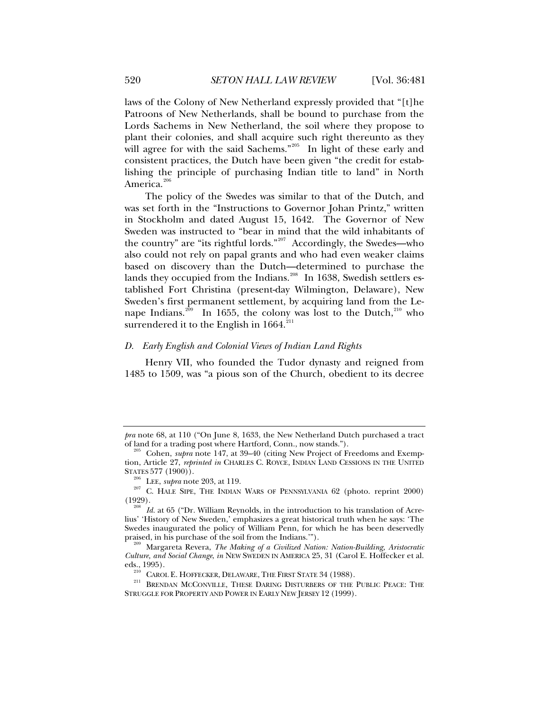<span id="page-39-0"></span>laws of the Colony of New Netherland expressly provided that "[t]he Patroons of New Netherlands, shall be bound to purchase from the Lords Sachems in New Netherland, the soil where they propose to plant their colonies, and shall acquire such right thereunto as they will agree for with the said Sachems."<sup>[205](#page-39-1)</sup> In light of these early and consistent practices, the Dutch have been given "the credit for establishing the principle of purchasing Indian title to land" in North America.<sup>[206](#page-39-2)</sup>

The policy of the Swedes was similar to that of the Dutch, and was set forth in the "Instructions to Governor Johan Printz," written in Stockholm and dated August 15, 1642. The Governor of New Sweden was instructed to "bear in mind that the wild inhabitants of the country" are "its rightful lords."[207](#page-39-3) Accordingly, the Swedes—who also could not rely on papal grants and who had even weaker claims based on discovery than the Dutch—determined to purchase the lands they occupied from the Indians.<sup>[208](#page-39-4)</sup> In 1638, Swedish settlers established Fort Christina (present-day Wilmington, Delaware), New Sweden's first permanent settlement, by acquiring land from the Le-nape Indians.<sup>[209](#page-39-5)</sup> In 1655, the colony was lost to the Dutch,<sup>[210](#page-39-6)</sup> who surrendered it to the English in  $1664$ <sup>[211](#page-39-7)</sup>

# *D. Early English and Colonial Views of Indian Land Rights*

Henry VII, who founded the Tudor dynasty and reigned from 1485 to 1509, was "a pious son of the Church, obedient to its decree

*pra* note 68, at 110 ("On June 8, 1633, the New Netherland Dutch purchased a tract of land for a trading post where Hartford, Conn., now stands."). 205 Cohen, *supra* note 147, at 39–40 (citing New Project of Freedoms and Exemp-

<span id="page-39-1"></span>tion, Article 27, *reprinted in* CHARLES C. ROYCE, INDIAN LAND CESSIONS IN THE UNITED STATES 577 (1900)).

<span id="page-39-3"></span><span id="page-39-2"></span><sup>&</sup>lt;sup>206</sup> LEE, *supra* note 203, at 119.  $\frac{207}{207}$  C. HALE SIPE, THE INDIAN WARS OF PENNSYLVANIA 62 (photo. reprint 2000) (1929).

<span id="page-39-4"></span>Id. at 65 ("Dr. William Reynolds, in the introduction to his translation of Acrelius' 'History of New Sweden,' emphasizes a great historical truth when he says: 'The Swedes inaugurated the policy of William Penn, for which he has been deservedly praised, in his purchase of the soil from the Indians.").

<span id="page-39-5"></span><sup>&</sup>lt;sup>209</sup> Margareta Revera, The Making of a Civilized Nation: Nation-Building, Aristocratic *Culture, and Social Change*, *in* NEW SWEDEN IN AMERICA 25, 31 (Carol E. Hoffecker et al.

<span id="page-39-7"></span><span id="page-39-6"></span>eds., 1995).<br><sup>210</sup> Carol E. Hoffecker, Delaware, The First State 34 (1988).<br><sup>211</sup> Brendan McConville, These Daring Disturbers of the Public Peace: The STRUGGLE FOR PROPERTY AND POWER IN EARLY NEW JERSEY 12 (1999).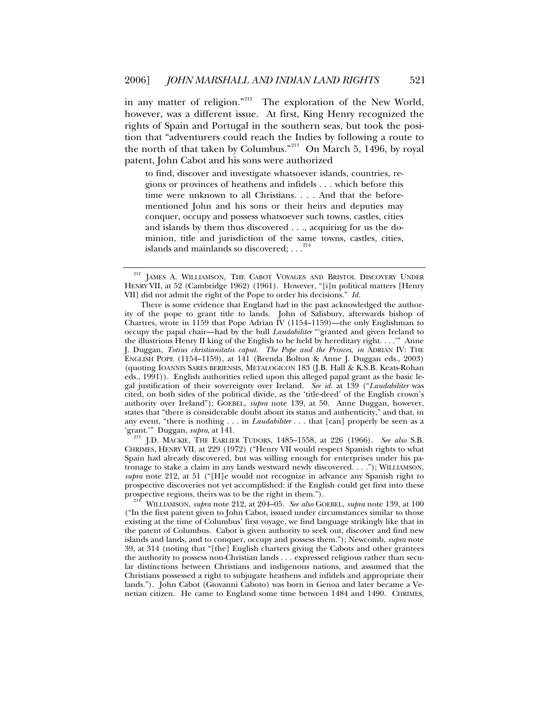in any matter of religion."<sup>[212](#page-40-0)</sup> The exploration of the New World, however, was a different issue. At first, King Henry recognized the rights of Spain and Portugal in the southern seas, but took the position that "adventurers could reach the Indies by following a route to the north of that taken by Columbus."<sup>[213](#page-40-1)</sup> On March 5, 1496, by royal patent, John Cabot and his sons were authorized

to find, discover and investigate whatsoever islands, countries, regions or provinces of heathens and infidels . . . which before this time were unknown to all Christians. . . . And that the beforementioned John and his sons or their heirs and deputies may conquer, occupy and possess whatsoever such towns, castles, cities and islands by them thus discovered . . ., acquiring for us the dominion, title and jurisdiction of the same towns, castles, cities, islands and mainlands so discovered; . . .  $2^{14}$ 

<span id="page-40-1"></span><sup>213</sup> J.D. MACKIE, THE EARLIER TUDORS, 1485–1558, at 226 (1966). *See also* S.B. CHRIMES, HENRY VII, at 229 (1972) ("Henry VII would respect Spanish rights to what Spain had already discovered, but was willing enough for enterprises under his patronage to stake a claim in any lands westward newly discovered. . . ."); WILLIAMSON, *supra* note 212, at 51 ("[H]e would not recognize in advance any Spanish right to prospective discoveries not yet accomplished: if the English could get first into these

<span id="page-40-2"></span>prospective regions, theirs was to be the right in them."). 214 WILLIAMSON, *supra* note 212, at 204–05. *See also* GOEBEL, *supra* note 139, at 100 ("In the first patent given to John Cabot, issued under circumstances similar to those existing at the time of Columbus' first voyage, we find language strikingly like that in the patent of Columbus. Cabot is given authority to seek out, discover and find new islands and lands, and to conquer, occupy and possess them."); Newcomb, *supra* note 39, at 314 (noting that "[the] English charters giving the Cabots and other grantees the authority to possess non-Christian lands . . . expressed religious rather than secular distinctions between Christians and indigenous nations, and assumed that the Christians possessed a right to subjugate heathens and infidels and appropriate their lands."). John Cabot (Giovanni Caboto) was born in Genoa and later became a Venetian citizen. He came to England some time between 1484 and 1490. CHRIMES,

<span id="page-40-0"></span>JAMES A. WILLIAMSON, THE CABOT VOYAGES AND BRISTOL DISCOVERY UNDER HENRY VII, at 52 (Cambridge 1962) (1961). However, "[i]n political matters [Henry VII] did not admit the right of the Pope to order his decisions." *Id.*

There is some evidence that England had in the past acknowledged the authority of the pope to grant title to lands. John of Salisbury, afterwards bishop of Chartres, wrote in 1159 that Pope Adrian IV (1154–1159)—the only Englishman to occupy the papal chair—had by the bull *Laudabiliter* "'granted and given Ireland to the illustrious Henry II king of the English to be held by hereditary right. . . .'" Anne J. Duggan, *Totius christianitatis caput*. *The Pope and the Princes*, *in* ADRIAN IV: THE ENGLISH POPE (1154–1159), at 141 (Brenda Bolton & Anne J. Duggan eds., 2003) (quoting IOANNIS SARES BERIENSIS, METALOGICON 183 (J.B. Hall & K.S.B. Keats-Rohan eds., 1991)). English authorities relied upon this alleged papal grant as the basic legal justification of their sovereignty over Ireland. *See id.* at 139 ("*Laudabiliter* was cited, on both sides of the political divide, as the 'title-deed' of the English crown's authority over Ireland"); GOEBEL, *supra* note 139, at 50. Anne Duggan, however, states that "there is considerable doubt about its status and authenticity," and that, in any event, "there is nothing . . . in *Laudabiliter* . . . that [can] properly be seen as a 'grant.'" Duggan, *supra*, at 141.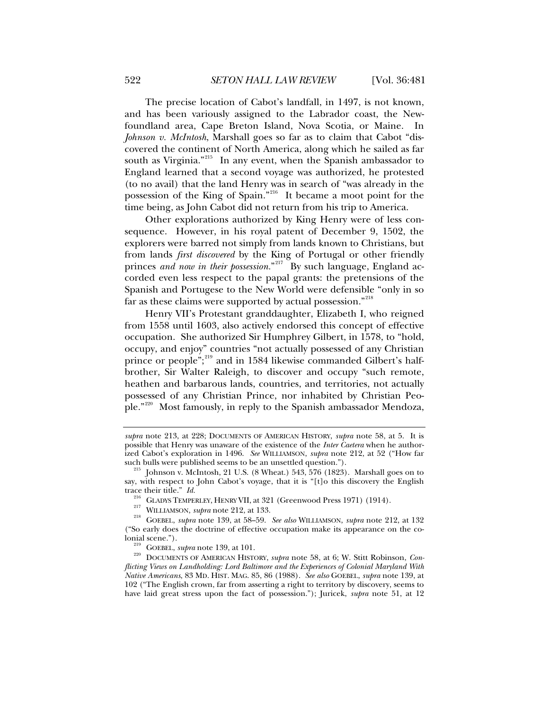The precise location of Cabot's landfall, in 1497, is not known, and has been variously assigned to the Labrador coast, the Newfoundland area, Cape Breton Island, Nova Scotia, or Maine. In *Johnson v. McIntosh*, Marshall goes so far as to claim that Cabot "discovered the continent of North America, along which he sailed as far south as Virginia."<sup>[215](#page-41-0)</sup> In any event, when the Spanish ambassador to England learned that a second voyage was authorized, he protested (to no avail) that the land Henry was in search of "was already in the possession of the King of Spain."[216](#page-41-1) It became a moot point for the time being, as John Cabot did not return from his trip to America.

Other explorations authorized by King Henry were of less consequence. However, in his royal patent of December 9, 1502, the explorers were barred not simply from lands known to Christians, but from lands *first discovered* by the King of Portugal or other friendly princes *and now in their possession*."<sup>[217](#page-41-2)</sup> By such language, England accorded even less respect to the papal grants: the pretensions of the Spanish and Portugese to the New World were defensible "only in so far as these claims were supported by actual possession."<sup>[218](#page-41-3)</sup>

Henry VII's Protestant granddaughter, Elizabeth I, who reigned from 1558 until 1603, also actively endorsed this concept of effective occupation. She authorized Sir Humphrey Gilbert, in 1578, to "hold, occupy, and enjoy" countries "not actually possessed of any Christian prince or people";<sup>[219](#page-41-4)</sup> and in 1584 likewise commanded Gilbert's halfbrother, Sir Walter Raleigh, to discover and occupy "such remote, heathen and barbarous lands, countries, and territories, not actually possessed of any Christian Prince, nor inhabited by Christian People."[220](#page-41-5) Most famously, in reply to the Spanish ambassador Mendoza,

*supra* note 213, at 228; DOCUMENTS OF AMERICAN HISTORY, *supra* note 58, at 5. It is possible that Henry was unaware of the existence of the *Inter Caetera* when he authorized Cabot's exploration in 1496. *See* WILLIAMSON, *supra* note 212, at 52 ("How far

<span id="page-41-0"></span>such bulls were published seems to be an unsettled question.").<br><sup>215</sup> Johnson v. McIntosh, 21 U.S. (8 Wheat.) 543, 576 (1823). Marshall goes on to say, with respect to John Cabot's voyage, that it is "[t]o this discovery the English trace their title."  $Id$ .

<span id="page-41-3"></span><span id="page-41-2"></span><span id="page-41-1"></span><sup>&</sup>lt;sup>216</sup> GLADYS TEMPERLEY, HENRY VII, at 321 (Greenwood Press 1971) (1914).<br><sup>217</sup> WILLIAMSON, *supra* note 212, at 133.<br><sup>218</sup> GOEBEL, *supra* note 139, at 58–59. *See also* WILLIAMSON, *supra* note 212, at 132 ("So early does the doctrine of effective occupation make its appearance on the co-

<span id="page-41-5"></span><span id="page-41-4"></span>lonial scene."). 219 GOEBEL, *supra* note 139, at 101. 220 DOCUMENTS OF AMERICAN HISTORY, *supra* note 58, at 6; W. Stitt Robinson, *Conflicting Views on Landholding: Lord Baltimore and the Experiences of Colonial Maryland With Native Americans*, 83 MD. HIST. MAG. 85, 86 (1988). *See also* GOEBEL, *supra* note 139, at 102 ("The English crown, far from asserting a right to territory by discovery, seems to have laid great stress upon the fact of possession."); Juricek, *supra* note 51, at 12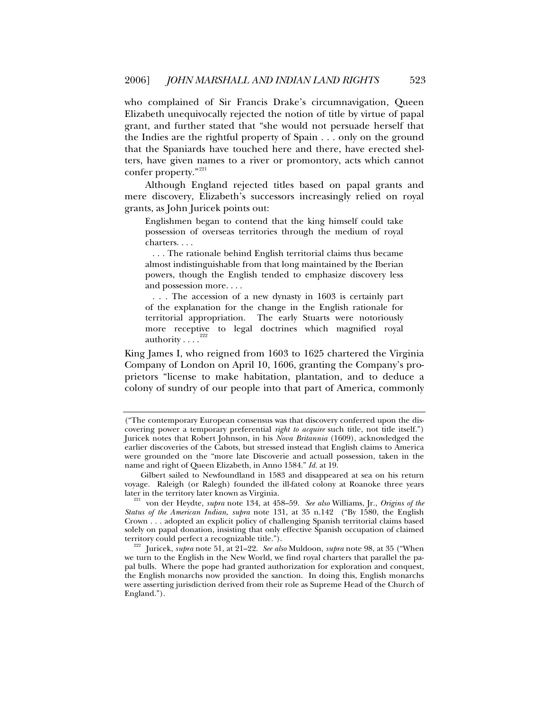who complained of Sir Francis Drake's circumnavigation, Queen Elizabeth unequivocally rejected the notion of title by virtue of papal grant, and further stated that "she would not persuade herself that the Indies are the rightful property of Spain . . . only on the ground that the Spaniards have touched here and there, have erected shelters, have given names to a river or promontory, acts which cannot confer property."<sup>[221](#page-42-0)</sup>

Although England rejected titles based on papal grants and mere discovery, Elizabeth's successors increasingly relied on royal grants, as John Juricek points out:

Englishmen began to contend that the king himself could take possession of overseas territories through the medium of royal charters. . . .

 . . . The rationale behind English territorial claims thus became almost indistinguishable from that long maintained by the Iberian powers, though the English tended to emphasize discovery less and possession more. . . .

 . . . The accession of a new dynasty in 1603 is certainly part of the explanation for the change in the English rationale for territorial appropriation. The early Stuarts were notoriously more receptive to legal doctrines which magnified royal authority  $\ldots$ <sup>[222](#page-42-1)</sup>

King James I, who reigned from 1603 to 1625 chartered the Virginia Company of London on April 10, 1606, granting the Company's proprietors "license to make habitation, plantation, and to deduce a colony of sundry of our people into that part of America, commonly

<sup>(&</sup>quot;The contemporary European consensus was that discovery conferred upon the discovering power a temporary preferential *right to acquire* such title, not title itself.") Juricek notes that Robert Johnson, in his *Nova Britannia* (1609), acknowledged the earlier discoveries of the Cabots, but stressed instead that English claims to America were grounded on the "more late Discoverie and actuall possession, taken in the name and right of Queen Elizabeth, in Anno 1584." *Id.* at 19.

Gilbert sailed to Newfoundland in 1583 and disappeared at sea on his return voyage. Raleigh (or Ralegh) founded the ill-fated colony at Roanoke three years<br>later in the territory later known as Virginia.

<span id="page-42-0"></span>von der Heydte, *supra* note 134, at 458–59. *See also* Williams, Jr., *Origins of the Status of the American Indian*, *supra* note 131, at 35 n.142 ("By 1580, the English Crown . . . adopted an explicit policy of challenging Spanish territorial claims based solely on papal donation, insisting that only effective Spanish occupation of claimed territory could perfect a recognizable title.").<br><sup>222</sup> Juricek, *supra* note 51, at 21–22. *See also* Muldoon, *supra* note 98, at 35 ("When

<span id="page-42-1"></span>we turn to the English in the New World, we find royal charters that parallel the papal bulls. Where the pope had granted authorization for exploration and conquest, the English monarchs now provided the sanction. In doing this, English monarchs were asserting jurisdiction derived from their role as Supreme Head of the Church of England.").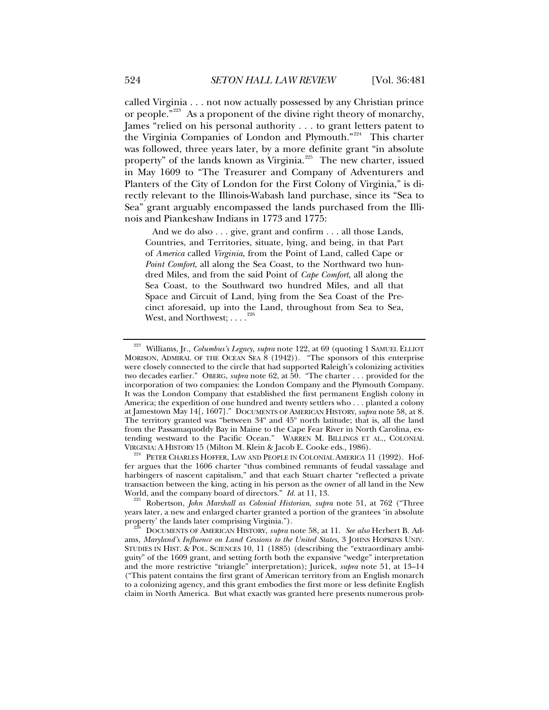called Virginia . . . not now actually possessed by any Christian prince or people."<sup>[223](#page-43-0)</sup> As a proponent of the divine right theory of monarchy, James "relied on his personal authority . . . to grant letters patent to the Virginia Companies of London and Plymouth."<sup>[224](#page-43-1)</sup> This charter was followed, three years later, by a more definite grant "in absolute property" of the lands known as Virginia.<sup>[225](#page-43-2)</sup> The new charter, issued in May 1609 to "The Treasurer and Company of Adventurers and Planters of the City of London for the First Colony of Virginia," is directly relevant to the Illinois-Wabash land purchase, since its "Sea to Sea" grant arguably encompassed the lands purchased from the Illinois and Piankeshaw Indians in 1773 and 1775:

 And we do also . . . give, grant and confirm . . . all those Lands, Countries, and Territories, situate, lying, and being, in that Part of *America* called *Virginia*, from the Point of Land, called Cape or *Point Comfort*, all along the Sea Coast, to the Northward two hundred Miles, and from the said Point of *Cape Comfort*, all along the Sea Coast, to the Southward two hundred Miles, and all that Space and Circuit of Land, lying from the Sea Coast of the Precinct aforesaid, up into the Land, throughout from Sea to Sea, West, and Northwest;  $\ldots$ <sup>[226](#page-43-3)</sup>

<span id="page-43-1"></span><sup>224</sup> PETER CHARLES HOFFER, LAW AND PEOPLE IN COLONIAL AMERICA 11 (1992). Hoffer argues that the 1606 charter "thus combined remnants of feudal vassalage and harbingers of nascent capitalism," and that each Stuart charter "reflected a private transaction between the king, acting in his person as the owner of all land in the New World, and the company board of directors."  $Id$  at 11, 13.

<span id="page-43-2"></span><sup>225</sup> Robertson, *John Marshall as Colonial Historian*, *supra* note 51, at 762 ("Three years later, a new and enlarged charter granted a portion of the grantees 'in absolute property' the lands later comprising Virginia."). 226 DOCUMENTS OF AMERICAN HISTORY, *supra* note 58, at 11. *See also* Herbert B. Ad-

<span id="page-43-0"></span><sup>223</sup> Williams, Jr., *Columbus's Legacy*, *supra* note 122, at 69 (quoting 1 SAMUEL ELLIOT MORISON, ADMIRAL OF THE OCEAN SEA 8 (1942)). "The sponsors of this enterprise were closely connected to the circle that had supported Raleigh's colonizing activities two decades earlier." OBERG, *supra* note 62, at 50. "The charter . . . provided for the incorporation of two companies: the London Company and the Plymouth Company. It was the London Company that established the first permanent English colony in America; the expedition of one hundred and twenty settlers who . . . planted a colony at Jamestown May 14[, 1607]." DOCUMENTS OF AMERICAN HISTORY, *supra* note 58, at 8. The territory granted was "between 34º and 45º north latitude; that is, all the land from the Passamaquoddy Bay in Maine to the Cape Fear River in North Carolina, extending westward to the Pacific Ocean." WARREN M. BILLINGS ET AL., COLONIAL VIRGINIA: A HISTORY 15 (Milton M. Klein & Jacob E. Cooke eds., 1986).

<span id="page-43-3"></span>ams, *Maryland's Influence on Land Cessions to the United States*, 3 JOHNS HOPKINS UNIV. STUDIES IN HIST. & POL. SCIENCES 10, 11 (1885) (describing the "extraordinary ambiguity" of the 1609 grant, and setting forth both the expansive "wedge" interpretation and the more restrictive "triangle" interpretation); Juricek, *supra* note 51, at 13–14 ("This patent contains the first grant of American territory from an English monarch to a colonizing agency, and this grant embodies the first more or less definite English claim in North America. But what exactly was granted here presents numerous prob-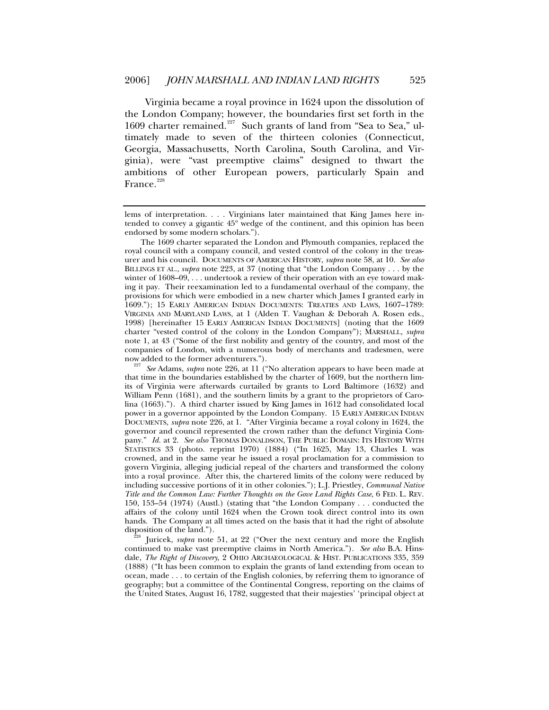Virginia became a royal province in 1624 upon the dissolution of the London Company; however, the boundaries first set forth in the 1609 charter remained.<sup>[227](#page-44-0)</sup> Such grants of land from "Sea to Sea," ultimately made to seven of the thirteen colonies (Connecticut, Georgia, Massachusetts, North Carolina, South Carolina, and Virginia), were "vast preemptive claims" designed to thwart the ambitions of other European powers, particularly Spain and France.<sup>[228](#page-44-1)</sup>

<span id="page-44-1"></span>disposition of the land.").<br><sup>228</sup> Juricek, *supra* note 51, at 22 ("Over the next century and more the English continued to make vast preemptive claims in North America."). *See also* B.A. Hinsdale, *The Right of Discovery*, 2 OHIO ARCHAEOLOGICAL & HIST. PUBLICATIONS 335, 359 (1888) ("It has been common to explain the grants of land extending from ocean to ocean, made . . . to certain of the English colonies, by referring them to ignorance of geography; but a committee of the Continental Congress, reporting on the claims of the United States, August 16, 1782, suggested that their majesties' 'principal object at

lems of interpretation. . . . Virginians later maintained that King James here intended to convey a gigantic 45º wedge of the continent, and this opinion has been endorsed by some modern scholars.").

The 1609 charter separated the London and Plymouth companies, replaced the royal council with a company council, and vested control of the colony in the treasurer and his council. DOCUMENTS OF AMERICAN HISTORY, *supra* note 58, at 10. *See also* BILLINGS ET AL., *supra* note 223, at 37 (noting that "the London Company . . . by the winter of  $1608-09$ , ... undertook a review of their operation with an eye toward making it pay. Their reexamination led to a fundamental overhaul of the company, the provisions for which were embodied in a new charter which James I granted early in 1609."); 15 EARLY AMERICAN INDIAN DOCUMENTS: TREATIES AND LAWS, 1607–1789: VIRGINIA AND MARYLAND LAWS, at 1 (Alden T. Vaughan & Deborah A. Rosen eds., 1998) [hereinafter 15 EARLY AMERICAN INDIAN DOCUMENTS] (noting that the 1609 charter "vested control of the colony in the London Company"); MARSHALL, *supra*  note 1, at 43 ("Some of the first nobility and gentry of the country, and most of the companies of London, with a numerous body of merchants and tradesmen, were

<span id="page-44-0"></span>now added to the former adventurers."). 227 *See* Adams, *supra* note 226, at 11 ("No alteration appears to have been made at that time in the boundaries established by the charter of 1609, but the northern limits of Virginia were afterwards curtailed by grants to Lord Baltimore (1632) and William Penn (1681), and the southern limits by a grant to the proprietors of Carolina (1663)."). A third charter issued by King James in 1612 had consolidated local power in a governor appointed by the London Company. 15 EARLY AMERICAN INDIAN DOCUMENTS, *supra* note 226, at 1. "After Virginia became a royal colony in 1624, the governor and council represented the crown rather than the defunct Virginia Company." *Id.* at 2. See also THOMAS DONALDSON, THE PUBLIC DOMAIN: ITS HISTORY WITH STATISTICS 33 (photo. reprint 1970) (1884) ("In 1625, May 13, Charles I. was crowned, and in the same year he issued a royal proclamation for a commission to govern Virginia, alleging judicial repeal of the charters and transformed the colony into a royal province. After this, the chartered limits of the colony were reduced by including successive portions of it in other colonies."); L.J. Priestley, *Communal Native Title and the Common Law: Further Thoughts on the Gove Land Rights Case*, 6 FED. L. REV. 150, 153–54 (1974) (Austl.) (stating that "the London Company . . . conducted the affairs of the colony until 1624 when the Crown took direct control into its own hands. The Company at all times acted on the basis that it had the right of absolute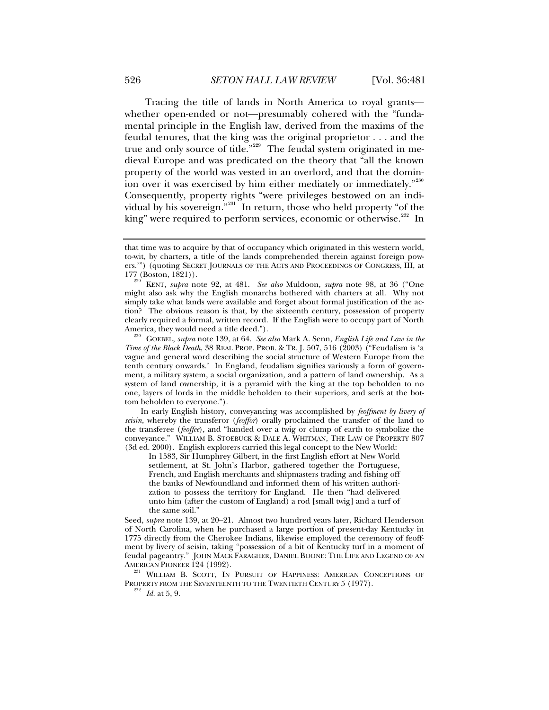Tracing the title of lands in North America to royal grants whether open-ended or not—presumably cohered with the "fundamental principle in the English law, derived from the maxims of the feudal tenures, that the king was the original proprietor . . . and the true and only source of title."[229](#page-45-0) The feudal system originated in medieval Europe and was predicated on the theory that "all the known property of the world was vested in an overlord, and that the domin-ion over it was exercised by him either mediately or immediately."<sup>[230](#page-45-1)</sup> Consequently, property rights "were privileges bestowed on an indi-vidual by his sovereign."<sup>[231](#page-45-2)</sup> In return, those who held property "of the king" were required to perform services, economic or otherwise.<sup>[232](#page-45-3)</sup> In

In early English history, conveyancing was accomplished by *feoffment by livery of seisin*, whereby the transferor (*feoffor*) orally proclaimed the transfer of the land to the transferee (*feoffee*), and "handed over a twig or clump of earth to symbolize the conveyance." WILLIAM B. STOEBUCK & DALE A. WHITMAN, THE LAW OF PROPERTY 807 (3d ed. 2000). English explorers carried this legal concept to the New World:

In 1583, Sir Humphrey Gilbert, in the first English effort at New World settlement, at St. John's Harbor, gathered together the Portuguese, French, and English merchants and shipmasters trading and fishing off the banks of Newfoundland and informed them of his written authorization to possess the territory for England. He then "had delivered unto him (after the custom of England) a rod [small twig] and a turf of the same soil."

Seed, *supra* note 139, at 20–21. Almost two hundred years later, Richard Henderson of North Carolina, when he purchased a large portion of present-day Kentucky in 1775 directly from the Cherokee Indians, likewise employed the ceremony of feoffment by livery of seisin, taking "possession of a bit of Kentucky turf in a moment of feudal pageantry." JOHN MACK FARAGHER, DANIEL BOONE: THE LIFE AND LEGEND OF AN

<span id="page-45-3"></span><span id="page-45-2"></span>AMERICAN PIONEER 124 (1992).<br><sup>231</sup> WILLIAM B. SCOTT, IN PURSUIT OF HAPPINESS: AMERICAN CONCEPTIONS OF PROPERTY FROM THE SEVENTEENTH TO THE TWENTIETH CENTURY 5 (1977). 232 *Id.* at 5, 9.

that time was to acquire by that of occupancy which originated in this western world, to-wit, by charters, a title of the lands comprehended therein against foreign powers.'") (quoting SECRET JOURNALS OF THE ACTS AND PROCEEDINGS OF CONGRESS, III, at 177 (Boston, 1821)).

<span id="page-45-0"></span>KENT, *supra* note 92, at 481. *See also* Muldoon, *supra* note 98, at 36 ("One might also ask why the English monarchs bothered with charters at all. Why not simply take what lands were available and forget about formal justification of the action? The obvious reason is that, by the sixteenth century, possession of property clearly required a formal, written record. If the English were to occupy part of North

<span id="page-45-1"></span>GOEBEL, supra note 139, at 64. See also Mark A. Senn, *English Life and Law in the Time of the Black Death*, 38 REAL PROP. PROB. & TR. *J.* 507, 516 (2003) ("Feudalism is 'a vague and general word describing the social structure of Western Europe from the tenth century onwards.' In England, feudalism signifies variously a form of government, a military system, a social organization, and a pattern of land ownership. As a system of land ownership, it is a pyramid with the king at the top beholden to no one, layers of lords in the middle beholden to their superiors, and serfs at the bottom beholden to everyone.").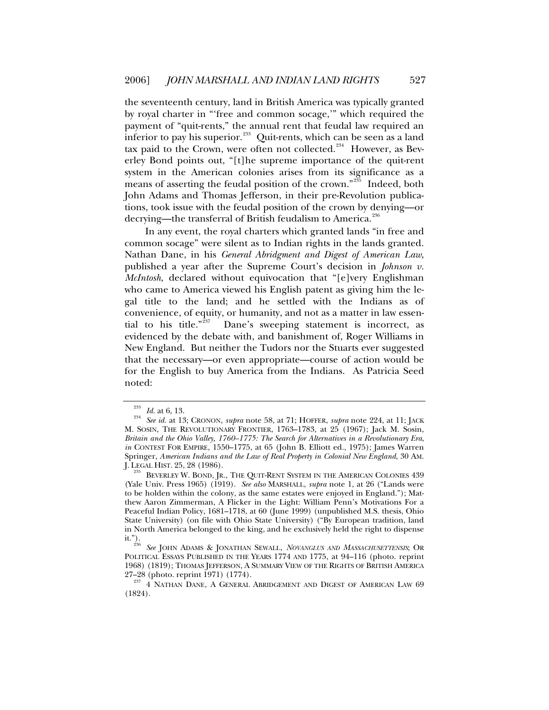the seventeenth century, land in British America was typically granted by royal charter in "'free and common socage,'" which required the payment of "quit-rents," the annual rent that feudal law required an inferior to pay his superior.<sup>[233](#page-46-0)</sup> Quit-rents, which can be seen as a land tax paid to the Crown, were often not collected.<sup>[234](#page-46-1)</sup> However, as Beverley Bond points out, "[t]he supreme importance of the quit-rent system in the American colonies arises from its significance as a means of asserting the feudal position of the crown." $235$  Indeed, both John Adams and Thomas Jefferson, in their pre-Revolution publications, took issue with the feudal position of the crown by denying—or decrying—the transferral of British feudalism to America.<sup>[236](#page-46-3)</sup>

In any event, the royal charters which granted lands "in free and common socage" were silent as to Indian rights in the lands granted. Nathan Dane, in his *General Abridgment and Digest of American Law*, published a year after the Supreme Court's decision in *Johnson v. McIntosh*, declared without equivocation that "[e]very Englishman who came to America viewed his English patent as giving him the legal title to the land; and he settled with the Indians as of convenience, of equity, or humanity, and not as a matter in law essen-tial to his title."<sup>[237](#page-46-4)</sup> Dane's sweeping statement is incorrect, as evidenced by the debate with, and banishment of, Roger Williams in New England. But neither the Tudors nor the Stuarts ever suggested that the necessary—or even appropriate—course of action would be for the English to buy America from the Indians. As Patricia Seed noted:

<span id="page-46-1"></span><span id="page-46-0"></span><sup>233</sup> *Id.* at 6, 13. 234 *See id.* at 13; CRONON, *supra* note 58, at 71; HOFFER, *supra* note 224, at 11; JACK M. SOSIN, THE REVOLUTIONARY FRONTIER, 1763–1783, at 25 (1967); Jack M. Sosin, *Britain and the Ohio Valley, 1760–1775: The Search for Alternatives in a Revolutionary Era*, *in* CONTEST FOR EMPIRE, 1550–1775, at 65 (John B. Elliott ed., 1975); James Warren Springer, *American Indians and the Law of Real Property in Colonial New England*, 30 AM. J. LEGAL HIST. 25, 28 (1986). 235 BEVERLEY W. BOND, JR., THE QUIT-RENT SYSTEM IN THE AMERICAN COLONIES 439

<span id="page-46-2"></span><sup>(</sup>Yale Univ. Press 1965) (1919). *See also* MARSHALL, *supra* note 1, at 26 ("Lands were to be holden within the colony, as the same estates were enjoyed in England."); Matthew Aaron Zimmerman, A Flicker in the Light: William Penn's Motivations For a Peaceful Indian Policy, 1681–1718, at 60 (June 1999) (unpublished M.S. thesis, Ohio State University) (on file with Ohio State University) ("By European tradition, land in North America belonged to the king, and he exclusively held the right to dispense it."). 236 *See* JOHN ADAMS & JONATHAN SEWALL, *NOVANGLUS AND MASSACHUSETTENSIS*; OR

<span id="page-46-3"></span>POLITICAL ESSAYS PUBLISHED IN THE YEARS 1774 AND 1775, at 94-116 (photo. reprint 1968) (1819); THOMAS JEFFERSON, A SUMMARY VIEW OF THE RIGHTS OF BRITISH AMERICA

<span id="page-46-4"></span><sup>27–28 (</sup>photo. reprint 1971) (1774). 237 4 NATHAN DANE, A GENERAL ABRIDGEMENT AND DIGEST OF AMERICAN LAW 69 (1824).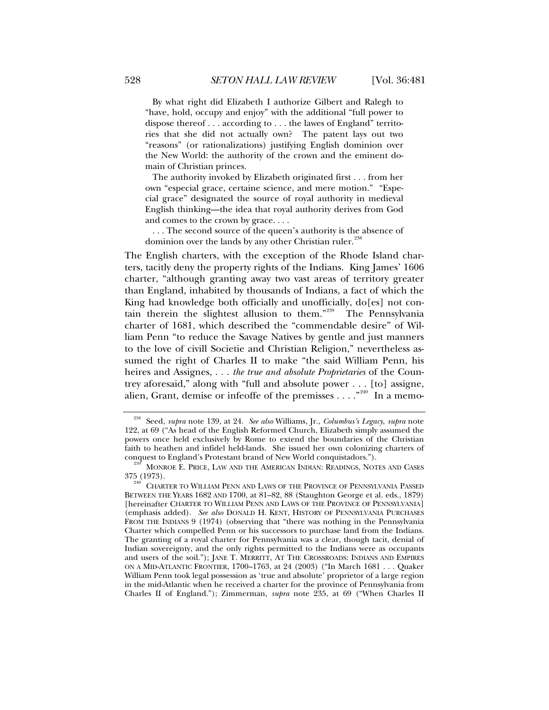By what right did Elizabeth I authorize Gilbert and Ralegh to "have, hold, occupy and enjoy" with the additional "full power to dispose thereof . . . according to . . . the lawes of England" territories that she did not actually own? The patent lays out two "reasons" (or rationalizations) justifying English dominion over the New World: the authority of the crown and the eminent domain of Christian princes.

 The authority invoked by Elizabeth originated first . . . from her own "especial grace, certaine science, and mere motion." "Especial grace" designated the source of royal authority in medieval English thinking—the idea that royal authority derives from God and comes to the crown by grace. . . .

 . . . The second source of the queen's authority is the absence of dominion over the lands by any other Christian ruler.<sup>2</sup>

The English charters, with the exception of the Rhode Island charters, tacitly deny the property rights of the Indians. King James' 1606 charter, "although granting away two vast areas of territory greater than England, inhabited by thousands of Indians, a fact of which the King had knowledge both officially and unofficially, do[es] not contain therein the slightest allusion to them."[239](#page-47-1) The Pennsylvania charter of 1681, which described the "commendable desire" of William Penn "to reduce the Savage Natives by gentle and just manners to the love of civill Societie and Christian Religion," nevertheless assumed the right of Charles II to make "the said William Penn, his heires and Assignes, . . . *the true and absolute Proprietaries* of the Countrey aforesaid," along with "full and absolute power . . . [to] assigne, alien, Grant, demise or infeoffe of the premisses  $\dots$ ."<sup>[240](#page-47-2)</sup> In a memo-

<span id="page-47-0"></span><sup>238</sup> Seed, *supra* note 139, at 24. *See also* Williams, Jr., *Columbus's Legacy*, *supra* note 122, at 69 ("As head of the English Reformed Church, Elizabeth simply assumed the powers once held exclusively by Rome to extend the boundaries of the Christian faith to heathen and infidel held-lands. She issued her own colonizing charters of conquest to England's Protestant brand of New World conquistadors.").

<span id="page-47-1"></span> $\frac{239}{239}$  MONROE E. PRICE, LAW AND THE AMERICAN INDIAN: READINGS, NOTES AND CASES 375 (1973).

<span id="page-47-2"></span>CHARTER TO WILLIAM PENN AND LAWS OF THE PROVINCE OF PENNSYLVANIA PASSED BETWEEN THE YEARS 1682 AND 1700, at 81–82, 88 (Staughton George et al. eds., 1879) [hereinafter CHARTER TO WILLIAM PENN AND LAWS OF THE PROVINCE OF PENNSYLVANIA] (emphasis added). *See also* DONALD H. KENT, HISTORY OF PENNSYLVANIA PURCHASES FROM THE INDIANS 9 (1974) (observing that "there was nothing in the Pennsylvania Charter which compelled Penn or his successors to purchase land from the Indians. The granting of a royal charter for Pennsylvania was a clear, though tacit, denial of Indian sovereignty, and the only rights permitted to the Indians were as occupants and users of the soil."); JANE T. MERRITT, AT THE CROSSROADS: INDIANS AND EMPIRES ON A MID-ATLANTIC FRONTIER, 1700–1763, at 24 (2003) ("In March 1681 . . . Quaker William Penn took legal possession as 'true and absolute' proprietor of a large region in the mid-Atlantic when he received a charter for the province of Pennsylvania from Charles II of England."); Zimmerman, *supra* note 235, at 69 ("When Charles II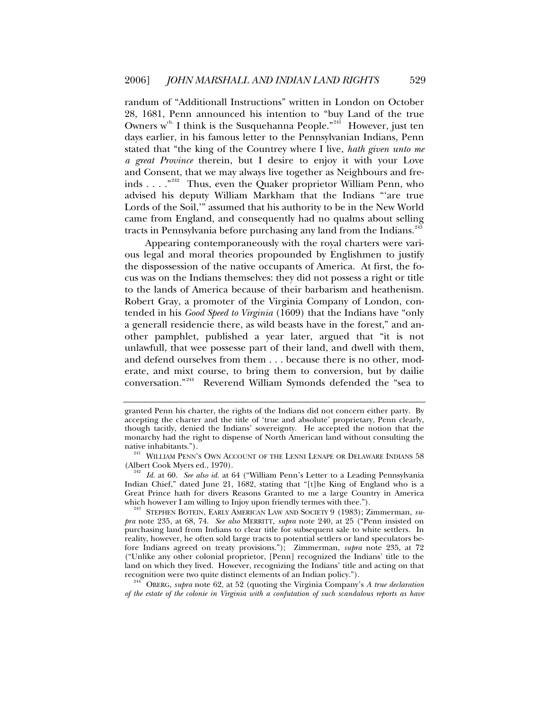randum of "Additionall Instructions" written in London on October 28, 1681, Penn announced his intention to "buy Land of the true Owners  $w^{ch}$  I think is the Susquehanna People."<sup>[241](#page-48-0)</sup> However, just ten days earlier, in his famous letter to the Pennsylvanian Indians, Penn stated that "the king of the Countrey where I live, *hath given unto me a great Province* therein, but I desire to enjoy it with your Love and Consent, that we may always live together as Neighbours and fre-inds . . . . "<sup>[242](#page-48-1)</sup> Thus, even the Quaker proprietor William Penn, who advised his deputy William Markham that the Indians "'are true Lords of the Soil,'" assumed that his authority to be in the New World came from England, and consequently had no qualms about selling tracts in Pennsylvania before purchasing any land from the Indians.<sup>[243](#page-48-2)</sup>

Appearing contemporaneously with the royal charters were various legal and moral theories propounded by Englishmen to justify the dispossession of the native occupants of America. At first, the focus was on the Indians themselves: they did not possess a right or title to the lands of America because of their barbarism and heathenism. Robert Gray, a promoter of the Virginia Company of London, contended in his *Good Speed to Virginia* (1609) that the Indians have "only a generall residencie there, as wild beasts have in the forest," and another pamphlet, published a year later, argued that "it is not unlawfull, that wee possesse part of their land, and dwell with them, and defend ourselves from them . . . because there is no other, moderate, and mixt course, to bring them to conversion, but by dailie conversation."[244](#page-48-3) Reverend William Symonds defended the "sea to

<span id="page-48-3"></span>*of the estate of the colonie in Virginia with a confutation of such scandalous reports as have* 

granted Penn his charter, the rights of the Indians did not concern either party. By accepting the charter and the title of 'true and absolute' proprietary, Penn clearly, though tacitly, denied the Indians' sovereignty. He accepted the notion that the monarchy had the right to dispense of North American land without consulting the native inhabitants.").

 $141$  WILLIAM PENN'S OWN ACCOUNT OF THE LENNI LENAPE OR DELAWARE INDIANS 58

<span id="page-48-1"></span><span id="page-48-0"></span><sup>(</sup>Albert Cook Myers ed., 1970). 242 *Id.* at 60. *See also id.* at 64 ("William Penn's Letter to a Leading Pennsylvania Indian Chief," dated June 21, 1682, stating that "[t]he King of England who is a Great Prince hath for divers Reasons Granted to me a large Country in America

<span id="page-48-2"></span><sup>&</sup>lt;sup>243</sup> STEPHEN BOTEIN, EARLY AMERICAN LAW AND SOCIETY 9 (1983); Zimmerman, *supra* note 235, at 68, 74. *See also* MERRITT, *supra* note 240, at 25 ("Penn insisted on purchasing land from Indians to clear title for subsequent sale to white settlers. In reality, however, he often sold large tracts to potential settlers or land speculators before Indians agreed on treaty provisions."); Zimmerman, *supra* note 235, at 72 ("Unlike any other colonial proprietor, [Penn] recognized the Indians' title to the land on which they lived. However, recognizing the Indians' title and acting on that recognition were two quite distinct elements of an Indian policy."). 244 OBERG, *supra* note 62, at 52 (quoting the Virginia Company's *A true declaration*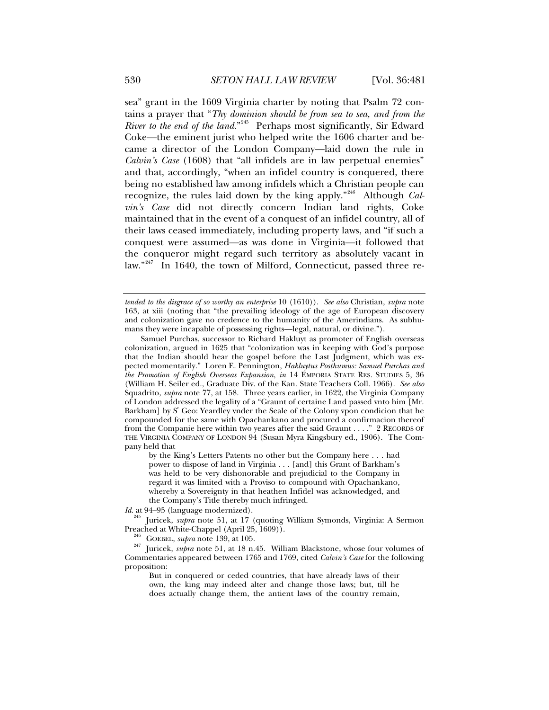sea" grant in the 1609 Virginia charter by noting that Psalm 72 contains a prayer that "*Thy dominion should be from sea to sea, and from the River to the end of the land.*"<sup>[245](#page-49-0)</sup> Perhaps most significantly, Sir Edward Coke—the eminent jurist who helped write the 1606 charter and became a director of the London Company—laid down the rule in *Calvin's Case* (1608) that "all infidels are in law perpetual enemies" and that, accordingly, "when an infidel country is conquered, there being no established law among infidels which a Christian people can recognize, the rules laid down by the king apply."[246](#page-49-1) Although *Calvin's Case* did not directly concern Indian land rights, Coke maintained that in the event of a conquest of an infidel country, all of their laws ceased immediately, including property laws, and "if such a conquest were assumed—as was done in Virginia—it followed that the conqueror might regard such territory as absolutely vacant in law."<sup>[247](#page-49-2)</sup> In 1640, the town of Milford, Connecticut, passed three re-

by the King's Letters Patents no other but the Company here . . . had power to dispose of land in Virginia . . . [and] this Grant of Barkham's was held to be very dishonorable and prejudicial to the Company in regard it was limited with a Proviso to compound with Opachankano, whereby a Sovereignty in that heathen Infidel was acknowledged, and the Company's Title thereby much infringed.

*Id.* at 94–95 (language modernized).

<span id="page-49-0"></span><sup>245</sup> Juricek, *supra* note 51, at 17 (quoting William Symonds, Virginia: A Sermon Preached at White-Chappel (April 25, 1609)).

But in conquered or ceded countries, that have already laws of their own, the king may indeed alter and change those laws; but, till he does actually change them, the antient laws of the country remain,

*tended to the disgrace of so worthy an enterprise* 10 (1610)). *See also* Christian, *supra* note 163, at xiii (noting that "the prevailing ideology of the age of European discovery and colonization gave no credence to the humanity of the Amerindians. As subhumans they were incapable of possessing rights—legal, natural, or divine.").

Samuel Purchas, successor to Richard Hakluyt as promoter of English overseas colonization, argued in 1625 that "colonization was in keeping with God's purpose that the Indian should hear the gospel before the Last Judgment, which was expected momentarily." Loren E. Pennington, *Hakluytus Posthumus: Samuel Purchas and the Promotion of English Overseas Expansion*, *in* 14 EMPORIA STATE RES. STUDIES 5, 36 (William H. Seiler ed., Graduate Div. of the Kan. State Teachers Coll. 1966). *See also* Squadrito, *supra* note 77, at 158. Three years earlier, in 1622, the Virginia Company of London addressed the legality of a "Graunt of certaine Land passed vnto him [Mr. Barkham] by S' Geo: Yeardley vnder the Seale of the Colony vpon condicion that he compounded for the same with Opachankano and procured a confirmacion thereof from the Companie here within two yeares after the said Graunt . . . ." 2 RECORDS OF THE VIRGINIA COMPANY OF LONDON 94 (Susan Myra Kingsbury ed., 1906). The Company held that

<span id="page-49-2"></span><span id="page-49-1"></span><sup>&</sup>lt;sup>246</sup> GOEBEL, *supra* note 139, at 105.<br><sup>247</sup> Juricek, *supra* note 51, at 18 n.45. William Blackstone, whose four volumes of Commentaries appeared between 1765 and 1769, cited *Calvin's Case* for the following proposition: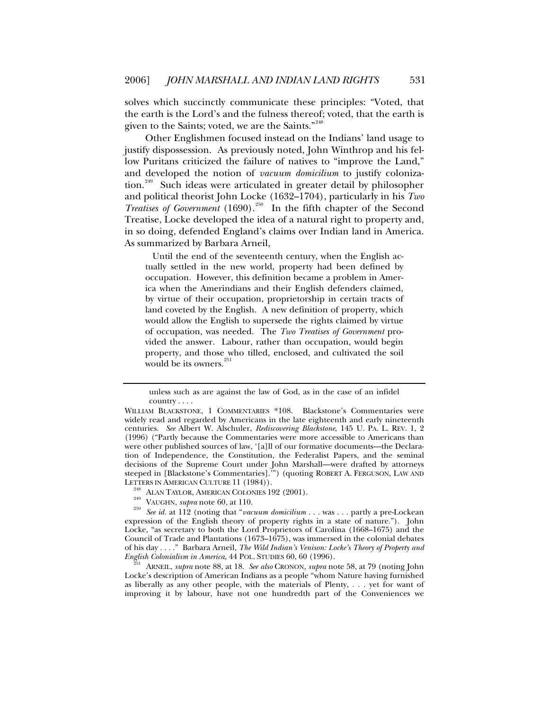solves which succinctly communicate these principles: "Voted, that the earth is the Lord's and the fulness thereof; voted, that the earth is given to the Saints; voted, we are the Saints."<sup>[248](#page-50-0)</sup>

Other Englishmen focused instead on the Indians' land usage to justify dispossession. As previously noted, John Winthrop and his fellow Puritans criticized the failure of natives to "improve the Land," and developed the notion of *vacuum domicilium* to justify coloniza-tion.<sup>[249](#page-50-1)</sup> Such ideas were articulated in greater detail by philosopher and political theorist John Locke (1632–1704), particularly in his *Two Treatises of Government* (1690).[250](#page-50-2) In the fifth chapter of the Second Treatise, Locke developed the idea of a natural right to property and, in so doing, defended England's claims over Indian land in America. As summarized by Barbara Arneil,

 Until the end of the seventeenth century, when the English actually settled in the new world, property had been defined by occupation. However, this definition became a problem in America when the Amerindians and their English defenders claimed, by virtue of their occupation, proprietorship in certain tracts of land coveted by the English. A new definition of property, which would allow the English to supersede the rights claimed by virtue of occupation, was needed. The *Two Treatises of Government* provided the answer. Labour, rather than occupation, would begin property, and those who tilled, enclosed, and cultivated the soil would be its owners.<sup>[251](#page-50-3)</sup>

<span id="page-50-3"></span>*ENGLIANEIL, supra* note 88, at 18. *See also* CRONON, *supra* note 58, at 79 (noting John Locke's description of American Indians as a people "whom Nature having furnished as liberally as any other people, with the materials of Plenty,  $\dots$  yet for want of improving it by labour, have not one hundredth part of the Conveniences we

unless such as are against the law of God, as in the case of an infidel country . . . .

WILLIAM BLACKSTONE, 1 COMMENTARIES \*108. Blackstone's Commentaries were widely read and regarded by Americans in the late eighteenth and early nineteenth centuries. *See* Albert W. Alschuler, *Rediscovering Blackstone*, 145 U. PA. L. REV. 1, 2 (1996) ("Partly because the Commentaries were more accessible to Americans than were other published sources of law, '[a]ll of our formative documents—the Declaration of Independence, the Constitution, the Federalist Papers, and the seminal decisions of the Supreme Court under John Marshall—were drafted by attorneys steeped in [Blackstone's Commentaries].'") (quoting ROBERT A. FERGUSON, LAW AND

<span id="page-50-2"></span><span id="page-50-1"></span><span id="page-50-0"></span><sup>&</sup>lt;sup>248</sup> ALAN TAYLOR, AMERICAN COLONIES 192 (2001).<br><sup>249</sup> VAUGHN, *supra* note 60, at 110.<br><sup>250</sup> See id. at 112 (noting that "*vacuum domicilium* . . . was . . . partly a pre-Lockean expression of the English theory of property rights in a state of nature."). John Locke, "as secretary to both the Lord Proprietors of Carolina (1668–1675) and the Council of Trade and Plantations (1673–1675), was immersed in the colonial debates of his day . . . ." Barbara Arneil, *The Wild Indian's Venison: Locke's Theory of Property and*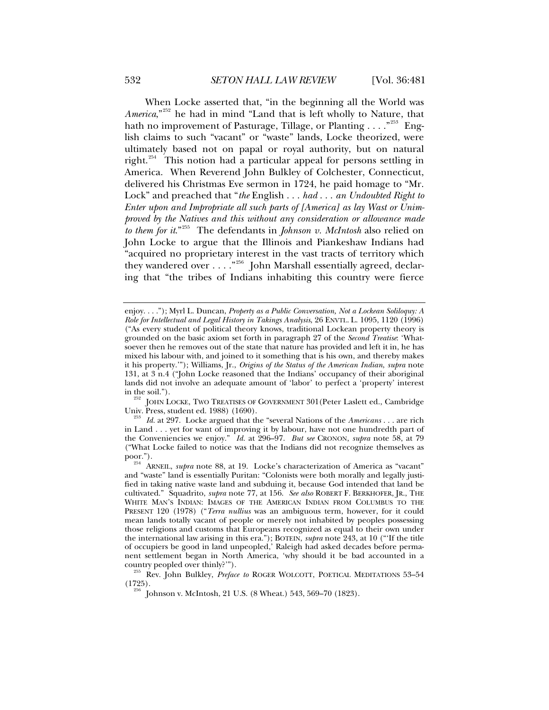When Locke asserted that, "in the beginning all the World was *America*,"[252](#page-51-0) he had in mind "Land that is left wholly to Nature, that hath no improvement of Pasturage, Tillage, or Planting . . . .  $^{253}$  $^{253}$  $^{253}$  English claims to such "vacant" or "waste" lands, Locke theorized, were ultimately based not on papal or royal authority, but on natural right.<sup>[254](#page-51-2)</sup> This notion had a particular appeal for persons settling in America. When Reverend John Bulkley of Colchester, Connecticut, delivered his Christmas Eve sermon in 1724, he paid homage to "Mr. Lock" and preached that "*the* English . . . *had* . . . *an Undoubted Right to Enter upon and Impropriate all such parts of [America] as lay Wast or Unimproved by the Natives and this without any consideration or allowance made to them for it*."[255](#page-51-3) The defendants in *Johnson v. McIntosh* also relied on John Locke to argue that the Illinois and Piankeshaw Indians had "acquired no proprietary interest in the vast tracts of territory which they wandered over . . . ."[256](#page-51-4) John Marshall essentially agreed, declaring that "the tribes of Indians inhabiting this country were fierce

<span id="page-51-0"></span>in the soil.").<br><sup>252</sup> JOHN LOCKE, TWO TREATISES OF GOVERNMENT 301 (Peter Laslett ed., Cambridge<br>Univ. Press, student ed. 1988) (1690).

enjoy. . . ."); Myrl L. Duncan, *Property as a Public Conversation, Not a Lockean Soliloquy: A Role for Intellectual and Legal History in Takings Analysis*, 26 ENVTL. L. 1095, 1120 (1996) ("As every student of political theory knows, traditional Lockean property theory is grounded on the basic axiom set forth in paragraph 27 of the *Second Treatise*: 'Whatsoever then he removes out of the state that nature has provided and left it in, he has mixed his labour with, and joined to it something that is his own, and thereby makes it his property.'"); Williams, Jr., *Origins of the Status of the American Indian*, *supra* note 131, at 3 n.4 ("John Locke reasoned that the Indians' occupancy of their aboriginal lands did not involve an adequate amount of 'labor' to perfect a 'property' interest

<span id="page-51-1"></span><sup>&</sup>lt;sup>253</sup> Id. at 297. Locke argued that the "several Nations of the *Americans* . . . are rich in Land . . . yet for want of improving it by labour, have not one hundredth part of the Conveniencies we enjoy." *Id.* at 296–97. *But see* CRONON, *supra* note 58, at 79 ("What Locke failed to notice was that the Indians did not recognize themselves as

<span id="page-51-2"></span><sup>&</sup>lt;sup>254</sup> ARNEIL, *supra* note 88, at 19. Locke's characterization of America as "vacant" and "waste" land is essentially Puritan: "Colonists were both morally and legally justified in taking native waste land and subduing it, because God intended that land be cultivated." Squadrito, *supra* note 77, at 156. *See also* ROBERT F. BERKHOFER, JR., THE WHITE MAN'S INDIAN: IMAGES OF THE AMERICAN INDIAN FROM COLUMBUS TO THE PRESENT 120 (1978) ("*Terra nullius* was an ambiguous term, however, for it could mean lands totally vacant of people or merely not inhabited by peoples possessing those religions and customs that Europeans recognized as equal to their own under the international law arising in this era."); BOTEIN, *supra* note 243, at 10 ("'If the title of occupiers be good in land unpeopled,' Raleigh had asked decades before permanent settlement began in North America, 'why should it be bad accounted in a

<span id="page-51-4"></span><span id="page-51-3"></span>country peopled over thinly?'").<br><sup>255</sup> Rev. John Bulkley, *Preface to* ROGER WOLCOTT, POETICAL MEDITATIONS 53–54 (1725).

<sup>(1725). 256</sup> Johnson v. McIntosh, 21 U.S. (8 Wheat.) 543, 569–70 (1823).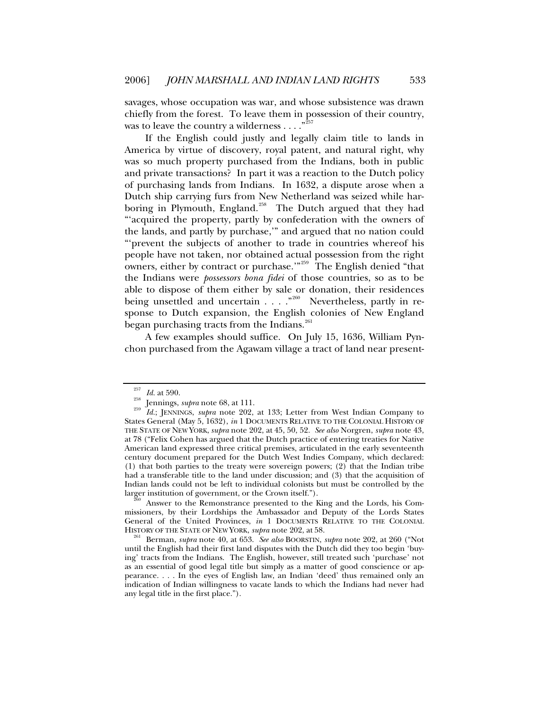savages, whose occupation was war, and whose subsistence was drawn chiefly from the forest. To leave them in possession of their country, was to leave the country a wilderness  $\dots$ ."

If the English could justly and legally claim title to lands in America by virtue of discovery, royal patent, and natural right, why was so much property purchased from the Indians, both in public and private transactions? In part it was a reaction to the Dutch policy of purchasing lands from Indians. In 1632, a dispute arose when a Dutch ship carrying furs from New Netherland was seized while har-boring in Plymouth, England.<sup>[258](#page-52-1)</sup> The Dutch argued that they had "'acquired the property, partly by confederation with the owners of the lands, and partly by purchase,'" and argued that no nation could "'prevent the subjects of another to trade in countries whereof his people have not taken, nor obtained actual possession from the right owners, either by contract or purchase."<sup>[259](#page-52-2)</sup> The English denied "that the Indians were *possessors bona fidei* of those countries, so as to be able to dispose of them either by sale or donation, their residences being unsettled and uncertain . . . . "<sup>[260](#page-52-3)</sup> Nevertheless, partly in response to Dutch expansion, the English colonies of New England began purchasing tracts from the Indians.<sup>[261](#page-52-4)</sup>

A few examples should suffice. On July 15, 1636, William Pynchon purchased from the Agawam village a tract of land near present-

<span id="page-52-3"></span>Answer to the Remonstrance presented to the King and the Lords, his Commissioners, by their Lordships the Ambassador and Deputy of the Lords States General of the United Provinces, *in* 1 DOCUMENTS RELATIVE TO THE COLONIAL HISTORY OF THE STATE OF NEW YORK, *supra* note 202, at 58.

<span id="page-52-2"></span><span id="page-52-1"></span><span id="page-52-0"></span><sup>257</sup> *Id.* at 590. 258 Jennings, *supra* note 68, at 111. 259 *Id.*; JENNINGS, *supra* note 202, at 133; Letter from West Indian Company to States General (May 5, 1632), *in* 1 DOCUMENTS RELATIVE TO THE COLONIAL HISTORY OF THE STATE OF NEW YORK, *supra* note 202, at 45, 50, 52. *See also* Norgren, *supra* note 43, at 78 ("Felix Cohen has argued that the Dutch practice of entering treaties for Native American land expressed three critical premises, articulated in the early seventeenth century document prepared for the Dutch West Indies Company, which declared: (1) that both parties to the treaty were sovereign powers; (2) that the Indian tribe had a transferable title to the land under discussion; and (3) that the acquisition of Indian lands could not be left to individual colonists but must be controlled by the larger institution of government, or the Crown itself.").

<span id="page-52-4"></span><sup>&</sup>lt;sup>261</sup> Berman, *supra* note 40, at 653. *See also* BOORSTIN, *supra* note 202, at 260 ("Not until the English had their first land disputes with the Dutch did they too begin 'buying' tracts from the Indians. The English, however, still treated such 'purchase' not as an essential of good legal title but simply as a matter of good conscience or appearance. . . . In the eyes of English law, an Indian 'deed' thus remained only an indication of Indian willingness to vacate lands to which the Indians had never had any legal title in the first place.").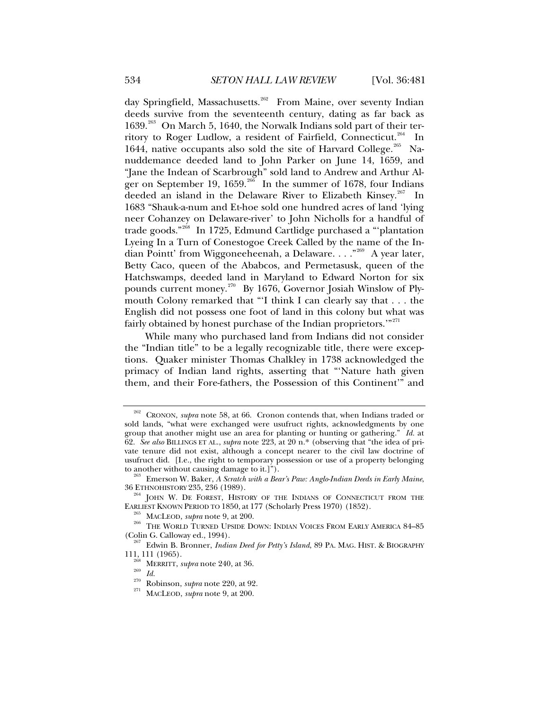day Springfield, Massachusetts.<sup>[262](#page-53-0)</sup> From Maine, over seventy Indian deeds survive from the seventeenth century, dating as far back as 1639.<sup>[263](#page-53-1)</sup> On March 5, 1640, the Norwalk Indians sold part of their ter-ritory to Roger Ludlow, a resident of Fairfield, Connecticut.<sup>[264](#page-53-2)</sup> In 1644, native occupants also sold the site of Harvard College.<sup>[265](#page-53-3)</sup> Nanuddemance deeded land to John Parker on June 14, 1659, and "Jane the Indean of Scarbrough" sold land to Andrew and Arthur Al-ger on September 19, 1659.<sup>[266](#page-53-4)</sup> In the summer of 1678, four Indians deeded an island in the Delaware River to Elizabeth Kinsey.<sup>[267](#page-53-5)</sup> In 1683 "Shauk-a-num and Et-hoe sold one hundred acres of land 'lying neer Cohanzey on Delaware-river' to John Nicholls for a handful of trade goods."<sup>[268](#page-53-6)</sup> In 1725, Edmund Cartlidge purchased a "plantation Lyeing In a Turn of Conestogoe Creek Called by the name of the In-dian Pointt' from Wiggoneeheenah, a Delaware. . . . "<sup>[269](#page-53-7)</sup> A year later, Betty Caco, queen of the Ababcos, and Permetasusk, queen of the Hatchswamps, deeded land in Maryland to Edward Norton for six pounds current money.<sup>[270](#page-53-8)</sup> By 1676, Governor Josiah Winslow of Plymouth Colony remarked that "'I think I can clearly say that . . . the English did not possess one foot of land in this colony but what was fairly obtained by honest purchase of the Indian proprietors."<sup>[271](#page-53-9)</sup>

While many who purchased land from Indians did not consider the "Indian title" to be a legally recognizable title, there were exceptions. Quaker minister Thomas Chalkley in 1738 acknowledged the primacy of Indian land rights, asserting that "'Nature hath given them, and their Fore-fathers, the Possession of this Continent'" and

<span id="page-53-0"></span><sup>262</sup> CRONON, *supra* note 58, at 66. Cronon contends that, when Indians traded or sold lands, "what were exchanged were usufruct rights, acknowledgments by one group that another might use an area for planting or hunting or gathering." *Id.* at 62. *See also* BILLINGS ET AL., *supra* note 223, at 20 n.\* (observing that "the idea of private tenure did not exist, although a concept nearer to the civil law doctrine of usufruct did. [I.e., the right to temporary possession or use of a property belonging to another without causing damage to it.]").

<span id="page-53-1"></span><sup>&</sup>lt;sup>263</sup> Emerson W. Baker, *A Scratch with a Bear's Paw: Anglo-Indian Deeds in Early Maine*, 36 ETHNOHISTORY 235, 236 (1989).

<span id="page-53-2"></span> $^{264}$  JOHN W. DE FOREST, HISTORY OF THE INDIANS OF CONNECTICUT FROM THE EARLIEST KNOWN PERIOD TO 1850, at 177 (Scholarly Press 1970) (1852).

<span id="page-53-4"></span><span id="page-53-3"></span><sup>&</sup>lt;sup>265</sup> MACLEOD, *supra* note 9, at 200.<br><sup>266</sup> THE WORLD TURNED UPSIDE DOWN: INDIAN VOICES FROM EARLY AMERICA 84–85 (Colin G. Calloway ed., 1994).

<span id="page-53-9"></span><span id="page-53-8"></span><span id="page-53-7"></span><span id="page-53-6"></span><span id="page-53-5"></span><sup>&</sup>lt;sup>267</sup> Edwin B. Bronner, *Indian Deed for Petty's Island*, 89 PA. MAG. HIST. & BIOGRAPHY<br>111, 111 (1965).<br><sup>268</sup> MERRITT, *subra poto 940* of <sup>96</sup>

<sup>111, 111 (1965). 268</sup> MERRITT, *supra* note 240, at 36. 269 *Id.* 270 Robinson, *supra* note 220, at 92. 271 MACLEOD, *supra* note 9, at 200.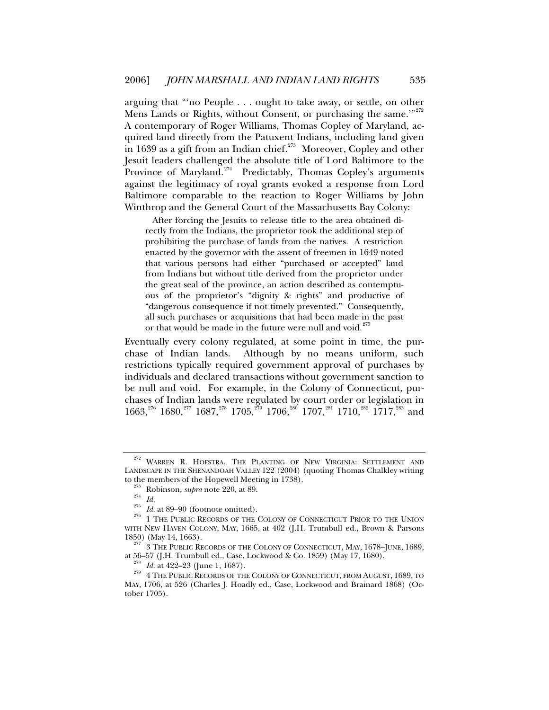<span id="page-54-8"></span>arguing that "'no People . . . ought to take away, or settle, on other Mens Lands or Rights, without Consent, or purchasing the same."<sup>[272](#page-54-0)</sup> A contemporary of Roger Williams, Thomas Copley of Maryland, acquired land directly from the Patuxent Indians, including land given in 1639 as a gift from an Indian chief. $273$  Moreover, Copley and other Jesuit leaders challenged the absolute title of Lord Baltimore to the Province of Maryland.<sup>[274](#page-54-2)</sup> Predictably, Thomas Copley's arguments against the legitimacy of royal grants evoked a response from Lord Baltimore comparable to the reaction to Roger Williams by John Winthrop and the General Court of the Massachusetts Bay Colony:

<span id="page-54-11"></span><span id="page-54-10"></span><span id="page-54-9"></span> After forcing the Jesuits to release title to the area obtained directly from the Indians, the proprietor took the additional step of prohibiting the purchase of lands from the natives. A restriction enacted by the governor with the assent of freemen in 1649 noted that various persons had either "purchased or accepted" land from Indians but without title derived from the proprietor under the great seal of the province, an action described as contemptuous of the proprietor's "dignity & rights" and productive of "dangerous consequence if not timely prevented." Consequently, all such purchases or acquisitions that had been made in the past or that would be made in the future were null and void.<sup>[275](#page-54-3)</sup>

Eventually every colony regulated, at some point in time, the purchase of Indian lands. Although by no means uniform, such restrictions typically required government approval of purchases by individuals and declared transactions without government sanction to be null and void. For example, in the Colony of Connecticut, purchases of Indian lands were regulated by court order or legislation in  $1663$ ,<sup>[276](#page-54-4)</sup> 1680,<sup>[277](#page-54-5)</sup> 1687,<sup>[278](#page-54-6)</sup> 1705,<sup>[279](#page-54-7)</sup> 1706,<sup>[280](#page-54-8)</sup> 1707,<sup>[281](#page-54-9)</sup> 1710,<sup>[282](#page-54-10)</sup> 1717,<sup>[283](#page-54-11)</sup> and

<span id="page-54-0"></span><sup>272</sup> WARREN R. HOFSTRA, THE PLANTING OF NEW VIRGINIA: SETTLEMENT AND LANDSCAPE IN THE SHENANDOAH VALLEY 122 (2004) (quoting Thomas Chalkley writing

<span id="page-54-3"></span><span id="page-54-2"></span><span id="page-54-1"></span>to the members of the Hopewell Meeting in 1738).<br><sup>273</sup> Robinson, *supra* note 220, at 89.<br><sup>274</sup> *Id.* 275 *Id.* at 89–90 (footnote omitted).<br><sup>276</sup> 1 THE PUBLIC RECORDS OF THE COLONY OF CONNECTICUT PRIOR TO THE UNION WITH NEW HAVEN COLONY, MAY, 1665, at 402 (J.H. Trumbull ed., Brown & Parsons

<span id="page-54-5"></span><span id="page-54-4"></span><sup>1850) (</sup>May 14, 1663).<br><sup>277</sup> 3 THE PUBLIC RECORDS OF THE COLONY OF CONNECTICUT, MAY, 1678–JUNE, 1689,<br>at 56–57 (J.H. Trumbull ed., Case, Lockwood & Co. 1859) (May 17, 1680).

<span id="page-54-7"></span><span id="page-54-6"></span><sup>&</sup>lt;sup>278</sup> *Id.* at 422–23 (June 1, 1687).  $\frac{278}{279}$  4 The Public Records of the Colony of Connecticut, from August, 1689, to MAY, 1706, at 526 (Charles J. Hoadly ed., Case, Lockwood and Brainard 1868) (October 1705).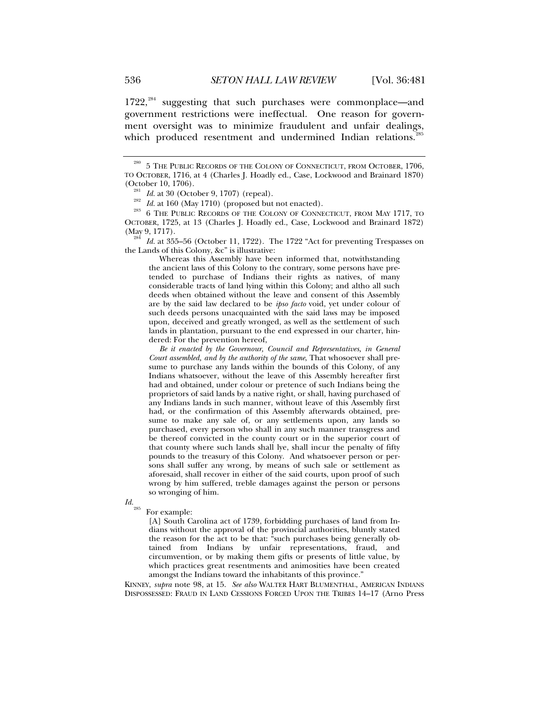$1722$ ,<sup>[284](#page-55-0)</sup> suggesting that such purchases were commonplace—and government restrictions were ineffectual. One reason for government oversight was to minimize fraudulent and unfair dealings, which produced resentment and undermined Indian relations.<sup>2</sup>

(October 10, 1706). 281 *Id.* at 30 (October 9, 1707) (repeal). 282 *Id.* at 160 (May 1710) (proposed but not enacted). 283 6 THE PUBLIC RECORDS OF THE COLONY OF CONNECTICUT, FROM MAY 1717, TO OCTOBER, 1725, at 13 (Charles J. Hoadly ed., Case, Lockwood and Brainard 1872)

<span id="page-55-0"></span><sup>284</sup> Id. at 355–56 (October 11, 1722). The 1722 "Act for preventing Trespasses on the Lands of this Colony, &c" is illustrative:

 Whereas this Assembly have been informed that, notwithstanding the ancient laws of this Colony to the contrary, some persons have pretended to purchase of Indians their rights as natives, of many considerable tracts of land lying within this Colony; and altho all such deeds when obtained without the leave and consent of this Assembly are by the said law declared to be *ipso facto* void, yet under colour of such deeds persons unacquainted with the said laws may be imposed upon, deceived and greatly wronged, as well as the settlement of such lands in plantation, pursuant to the end expressed in our charter, hindered: For the prevention hereof,

 *Be it enacted by the Governour, Council and Representatives, in General Court assembled, and by the authority of the same*, That whosoever shall presume to purchase any lands within the bounds of this Colony, of any Indians whatsoever, without the leave of this Assembly hereafter first had and obtained, under colour or pretence of such Indians being the proprietors of said lands by a native right, or shall, having purchased of any Indians lands in such manner, without leave of this Assembly first had, or the confirmation of this Assembly afterwards obtained, presume to make any sale of, or any settlements upon, any lands so purchased, every person who shall in any such manner transgress and be thereof convicted in the county court or in the superior court of that county where such lands shall lye, shall incur the penalty of fifty pounds to the treasury of this Colony. And whatsoever person or persons shall suffer any wrong, by means of such sale or settlement as aforesaid, shall recover in either of the said courts, upon proof of such wrong by him suffered, treble damages against the person or persons so wronging of him.

<span id="page-55-1"></span>*Id.*<sub>285</sub> For example:

[A] South Carolina act of 1739, forbidding purchases of land from Indians without the approval of the provincial authorities, bluntly stated the reason for the act to be that: "such purchases being generally obtained from Indians by unfair representations, fraud, and circumvention, or by making them gifts or presents of little value, by which practices great resentments and animosities have been created amongst the Indians toward the inhabitants of this province."

KINNEY, *supra* note 98, at 15. *See also* WALTER HART BLUMENTHAL, AMERICAN INDIANS DISPOSSESSED: FRAUD IN LAND CESSIONS FORCED UPON THE TRIBES 14–17 (Arno Press

 $^{280}$  5 THE PUBLIC RECORDS OF THE COLONY OF CONNECTICUT, FROM OCTOBER, 1706, TO OCTOBER, 1716, at 4 (Charles J. Hoadly ed., Case, Lockwood and Brainard 1870)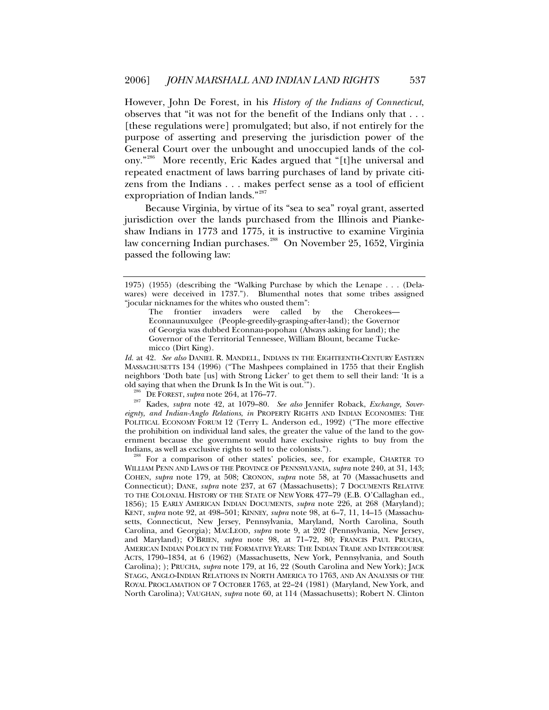However, John De Forest, in his *History of the Indians of Connecticut*, observes that "it was not for the benefit of the Indians only that . . . [these regulations were] promulgated; but also, if not entirely for the purpose of asserting and preserving the jurisdiction power of the General Court over the unbought and unoccupied lands of the colony."[286](#page-56-0) More recently, Eric Kades argued that "[t]he universal and repeated enactment of laws barring purchases of land by private citizens from the Indians . . . makes perfect sense as a tool of efficient expropriation of Indian lands."<sup>[287](#page-56-1)</sup>

Because Virginia, by virtue of its "sea to sea" royal grant, asserted jurisdiction over the lands purchased from the Illinois and Piankeshaw Indians in 1773 and 1775, it is instructive to examine Virginia law concerning Indian purchases.<sup>[288](#page-56-2)</sup> On November 25, 1652, Virginia passed the following law:

*Id.* at 42. *See also* DANIEL R. MANDELL, INDIANS IN THE EIGHTEENTH-CENTURY EASTERN MASSACHUSETTS 134 (1996) ("The Mashpees complained in 1755 that their English neighbors 'Doth bate [us] with Strong Licker' to get them to sell their land: 'It is a old saying that when the Drunk Is In the Wit is out.'").

<span id="page-56-1"></span><span id="page-56-0"></span><sup>286</sup> DE FOREST, *supra* note 264, at 176–77.<br><sup>287</sup> Kades, *supra* note 42, at 1079–80. *See also* Jennifer Roback, *Exchange, Sovereignty, and Indian-Anglo Relations*, *in* PROPERTY RIGHTS AND INDIAN ECONOMIES: THE POLITICAL ECONOMY FORUM 12 (Terry L. Anderson ed., 1992) ("The more effective the prohibition on individual land sales, the greater the value of the land to the government because the government would have exclusive rights to buy from the Indians, as well as exclusive rights to sell to the colonists.").

<span id="page-56-2"></span><sup>288</sup> For a comparison of other states' policies, see, for example, CHARTER TO WILLIAM PENN AND LAWS OF THE PROVINCE OF PENNSYLVANIA, *supra* note 240, at 31, 143; COHEN, *supra* note 179, at 508; CRONON, *supra* note 58, at 70 (Massachusetts and Connecticut); DANE, *supra* note 237, at 67 (Massachusetts); 7 DOCUMENTS RELATIVE TO THE COLONIAL HISTORY OF THE STATE OF NEW YORK 477–79 (E.B. O'Callaghan ed., 1856); 15 EARLY AMERICAN INDIAN DOCUMENTS, *supra* note 226, at 268 (Maryland); KENT, *supra* note 92, at 498–501; KINNEY, *supra* note 98, at 6–7, 11, 14–15 (Massachusetts, Connecticut, New Jersey, Pennsylvania, Maryland, North Carolina, South Carolina, and Georgia); MACLEOD, *supra* note 9, at 202 (Pennsylvania, New Jersey, and Maryland); O'BRIEN, *supra* note 98, at 71–72, 80; FRANCIS PAUL PRUCHA, AMERICAN INDIAN POLICY IN THE FORMATIVE YEARS: THE INDIAN TRADE AND INTERCOURSE ACTS, 1790–1834, at 6 (1962) (Massachusetts, New York, Pennsylvania, and South Carolina); ); PRUCHA, *supra* note 179, at 16, 22 (South Carolina and New York); JACK STAGG, ANGLO-INDIAN RELATIONS IN NORTH AMERICA TO 1763, AND AN ANALYSIS OF THE ROYAL PROCLAMATION OF 7 OCTOBER 1763, at 22–24 (1981) (Maryland, New York, and North Carolina); VAUGHAN, *supra* note 60, at 114 (Massachusetts); Robert N. Clinton

<sup>1975) (1955) (</sup>describing the "Walking Purchase by which the Lenape . . . (Delawares) were deceived in 1737."). Blumenthal notes that some tribes assigned "jocular nicknames for the whites who ousted them":

The frontier invaders were called by the Cherokees— Econnaunuxulgee (People-greedily-grasping-after-land); the Governor of Georgia was dubbed Econnau-popohau (Always asking for land); the Governor of the Territorial Tennessee, William Blount, became Tuckemicco (Dirt King).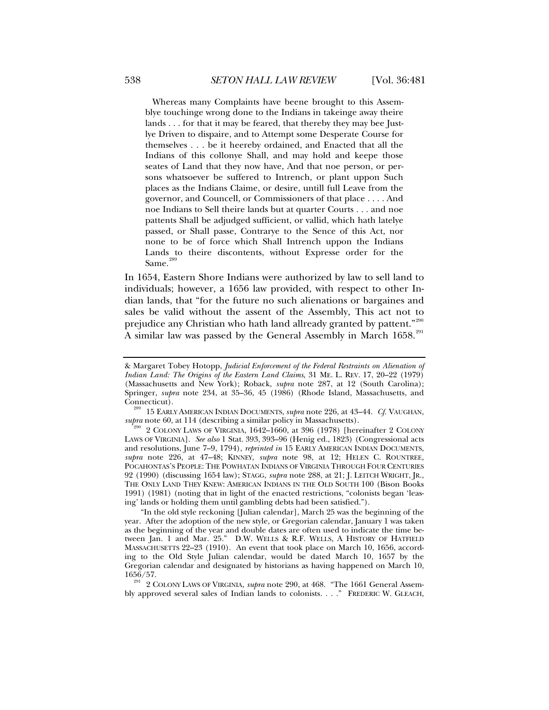Whereas many Complaints have beene brought to this Assemblye touchinge wrong done to the Indians in takeinge away theire lands . . . for that it may be feared, that thereby they may bee Justlye Driven to dispaire, and to Attempt some Desperate Course for themselves . . . be it heereby ordained, and Enacted that all the Indians of this collonye Shall, and may hold and keepe those seates of Land that they now have, And that noe person, or persons whatsoever be suffered to Intrench, or plant uppon Such places as the Indians Claime, or desire, untill full Leave from the governor, and Councell, or Commissioners of that place . . . . And noe Indians to Sell theire lands but at quarter Courts . . . and noe pattents Shall be adjudged sufficient, or vallid, which hath latelye passed, or Shall passe, Contrarye to the Sence of this Act, nor none to be of force which Shall Intrench uppon the Indians Lands to theire discontents, without Expresse order for the Same.<sup>2</sup>

In 1654, Eastern Shore Indians were authorized by law to sell land to individuals; however, a 1656 law provided, with respect to other Indian lands, that "for the future no such alienations or bargaines and sales be valid without the assent of the Assembly, This act not to prejudice any Christian who hath land allready granted by pattent."<sup>[290](#page-57-1)</sup> A similar law was passed by the General Assembly in March 1658.<sup>[291](#page-57-2)</sup>

<sup>&</sup>amp; Margaret Tobey Hotopp, *Judicial Enforcement of the Federal Restraints on Alienation of Indian Land: The Origins of the Eastern Land Claims*, 31 ME. L. REV. 17, 20–22 (1979) (Massachusetts and New York); Roback, *supra* note 287, at 12 (South Carolina); Springer, *supra* note 234, at 35–36, 45 (1986) (Rhode Island, Massachusetts, and

<span id="page-57-0"></span>Connecticut).<br><sup>289</sup> 15 EARLY AMERICAN INDIAN DOCUMENTS, *supra* note 226, at 43–44. *Cf.* VAUGHAN, *supra* note 60, at 114 (describing a similar policy in Massachusetts).

<span id="page-57-1"></span><sup>2</sup> COLONY LAWS OF VIRGINIA, 1642–1660, at 396 (1978) [hereinafter 2 COLONY LAWS OF VIRGINIA]. *See also* 1 Stat. 393, 393–96 (Henig ed., 1823) (Congressional acts and resolutions, June 7–9, 1794), *reprinted in* 15 EARLY AMERICAN INDIAN DOCUMENTS, *supra* note 226, at 47–48; KINNEY, *supra* note 98, at 12; HELEN C. ROUNTREE, POCAHONTAS'S PEOPLE: THE POWHATAN INDIANS OF VIRGINIA THROUGH FOUR CENTURIES 92 (1990) (discussing 1654 law); STAGG, *supra* note 288, at 21; J. LEITCH WRIGHT, JR., THE ONLY LAND THEY KNEW: AMERICAN INDIANS IN THE OLD SOUTH 100 (Bison Books 1991) (1981) (noting that in light of the enacted restrictions, "colonists began 'leasing' lands or holding them until gambling debts had been satisfied.").

<sup>&</sup>quot;In the old style reckoning [Julian calendar], March 25 was the beginning of the year. After the adoption of the new style, or Gregorian calendar, January 1 was taken as the beginning of the year and double dates are often used to indicate the time between Jan. 1 and Mar. 25." D.W. WELLS & R.F. WELLS, A HISTORY OF HATFIELD MASSACHUSETTS 22–23 (1910). An event that took place on March 10, 1656, according to the Old Style Julian calendar, would be dated March 10, 1657 by the Gregorian calendar and designated by historians as having happened on March 10, 1656/57. 291 2 COLONY LAWS OF VIRGINIA, *supra* note 290, at 468. "The 1661 General Assem-

<span id="page-57-2"></span>bly approved several sales of Indian lands to colonists. . . ." FREDERIC W. GLEACH,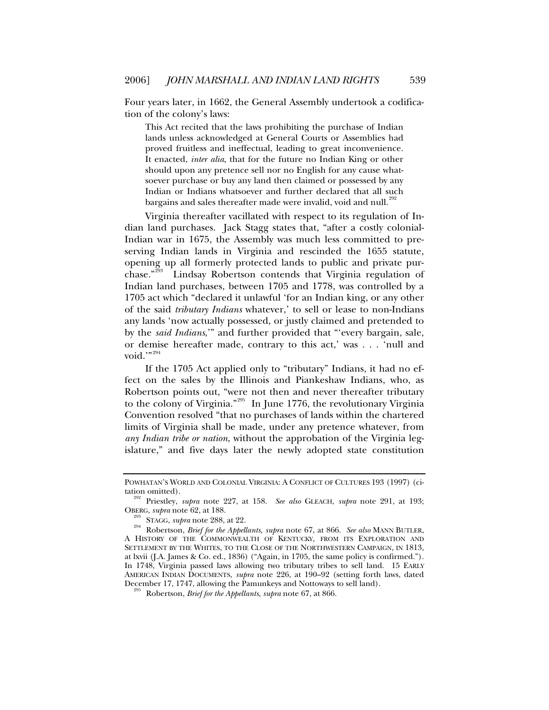Four years later, in 1662, the General Assembly undertook a codification of the colony's laws:

This Act recited that the laws prohibiting the purchase of Indian lands unless acknowledged at General Courts or Assemblies had proved fruitless and ineffectual, leading to great inconvenience. It enacted, *inter alia*, that for the future no Indian King or other should upon any pretence sell nor no English for any cause whatsoever purchase or buy any land then claimed or possessed by any Indian or Indians whatsoever and further declared that all such bargains and sales thereafter made were invalid, void and null.<sup>[292](#page-58-0)</sup>

Virginia thereafter vacillated with respect to its regulation of Indian land purchases. Jack Stagg states that, "after a costly colonial-Indian war in 1675, the Assembly was much less committed to preserving Indian lands in Virginia and rescinded the 1655 statute, opening up all formerly protected lands to public and private purchase."[293](#page-58-1) Lindsay Robertson contends that Virginia regulation of Indian land purchases, between 1705 and 1778, was controlled by a 1705 act which "declared it unlawful 'for an Indian king, or any other of the said *tributary Indians* whatever,' to sell or lease to non-Indians any lands 'now actually possessed, or justly claimed and pretended to by the *said Indians*,'" and further provided that "'every bargain, sale, or demise hereafter made, contrary to this act,' was . . . 'null and void."<sup>[294](#page-58-2)</sup>

If the 1705 Act applied only to "tributary" Indians, it had no effect on the sales by the Illinois and Piankeshaw Indians, who, as Robertson points out, "were not then and never thereafter tributary to the colony of Virginia."<sup>[295](#page-58-3)</sup> In June 1776, the revolutionary Virginia Convention resolved "that no purchases of lands within the chartered limits of Virginia shall be made, under any pretence whatever, from *any Indian tribe or nation*, without the approbation of the Virginia legislature," and five days later the newly adopted state constitution

POWHATAN'S WORLD AND COLONIAL VIRGINIA: A CONFLICT OF CULTURES 193 (1997) (ci-

<span id="page-58-0"></span>tation omitted). 292 Priestley, *supra* note 227, at 158. *See also* GLEACH, *supra* note 291, at 193;

<span id="page-58-2"></span><span id="page-58-1"></span>OBERG, *supra* note 62, at 188. 293 STAGG, *supra* note 288, at 22. 294 Robertson, *Brief for the Appellants*, *supra* note 67, at 866. *See also* MANN BUTLER, A HISTORY OF THE COMMONWEALTH OF KENTUCKY, FROM ITS EXPLORATION AND SETTLEMENT BY THE WHITES, TO THE CLOSE OF THE NORTHWESTERN CAMPAIGN, IN 1813, at lxvii (J.A. James & Co. ed., 1836) ("Again, in 1705, the same policy is confirmed."). In 1748, Virginia passed laws allowing two tributary tribes to sell land. 15 EARLY AMERICAN INDIAN DOCUMENTS, *supra* note 226, at 190–92 (setting forth laws, dated December 17, 1747, allowing the Pamunkeys and Nottoways to sell land). 295 Robertson, *Brief for the Appellants*, *supra* note 67, at 866.

<span id="page-58-3"></span>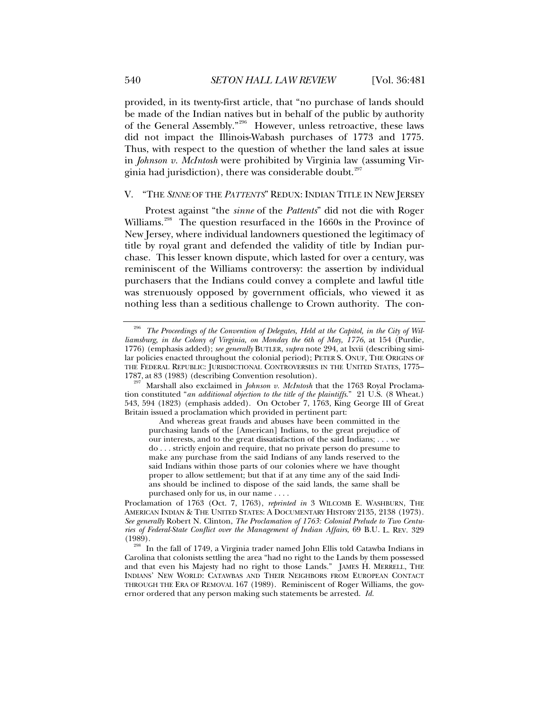<span id="page-59-0"></span>provided, in its twenty-first article, that "no purchase of lands should be made of the Indian natives but in behalf of the public by authority of the General Assembly."[296](#page-59-1) However, unless retroactive, these laws did not impact the Illinois-Wabash purchases of 1773 and 1775. Thus, with respect to the question of whether the land sales at issue in *Johnson v. McIntosh* were prohibited by Virginia law (assuming Vir-ginia had jurisdiction), there was considerable doubt.<sup>[297](#page-59-2)</sup>

## V. "THE *SINNE* OF THE *PATTENTS*" REDUX: INDIAN TITLE IN NEW JERSEY

Protest against "the *sinne* of the *Pattents*" did not die with Roger Williams.<sup>[298](#page-59-3)</sup> The question resurfaced in the 1660s in the Province of New Jersey, where individual landowners questioned the legitimacy of title by royal grant and defended the validity of title by Indian purchase. This lesser known dispute, which lasted for over a century, was reminiscent of the Williams controversy: the assertion by individual purchasers that the Indians could convey a complete and lawful title was strenuously opposed by government officials, who viewed it as nothing less than a seditious challenge to Crown authority. The con-

<span id="page-59-1"></span><sup>&</sup>lt;sup>296</sup> The Proceedings of the Convention of Delegates, Held at the Capitol, in the City of Wil*liamsburg, in the Colony of Virginia, on Monday the 6th of May, 1776*, at 154 (Purdie, 1776) (emphasis added); *see generally* BUTLER, *supra* note 294, at lxvii (describing similar policies enacted throughout the colonial period); PETER S. ONUF, THE ORIGINS OF THE FEDERAL REPUBLIC: JURISDICTIONAL CONTROVERSIES IN THE UNITED STATES, 1775– 1787, at 83 (1983) (describing Convention resolution). 297 Marshall also exclaimed in *Johnson v. McIntosh* that the 1763 Royal Proclama-

<span id="page-59-2"></span>tion constituted "*an additional objection to the title of the plaintiffs*." 21 U.S. (8 Wheat.) 543, 594 (1823) (emphasis added). On October 7, 1763, King George III of Great Britain issued a proclamation which provided in pertinent part:

And whereas great frauds and abuses have been committed in the purchasing lands of the [American] Indians, to the great prejudice of our interests, and to the great dissatisfaction of the said Indians; . . . we do . . . strictly enjoin and require, that no private person do presume to make any purchase from the said Indians of any lands reserved to the said Indians within those parts of our colonies where we have thought proper to allow settlement; but that if at any time any of the said Indians should be inclined to dispose of the said lands, the same shall be purchased only for us, in our name . . . .

Proclamation of 1763 (Oct. 7, 1763), *reprinted in* 3 WILCOMB E. WASHBURN, THE AMERICAN INDIAN & THE UNITED STATES: A DOCUMENTARY HISTORY 2135, 2138 (1973). *See generally* Robert N. Clinton, *The Proclamation of 1763: Colonial Prelude to Two Centuries of Federal-State Conflict over the Management of Indian Affairs*, 69 B.U. L. REV. 329

<span id="page-59-3"></span>In the fall of 1749, a Virginia trader named John Ellis told Catawba Indians in Carolina that colonists settling the area "had no right to the Lands by them possessed and that even his Majesty had no right to those Lands." JAMES H. MERRELL, THE INDIANS' NEW WORLD: CATAWBAS AND THEIR NEIGHBORS FROM EUROPEAN CONTACT THROUGH THE ERA OF REMOVAL 167 (1989). Reminiscent of Roger Williams, the governor ordered that any person making such statements be arrested. *Id.*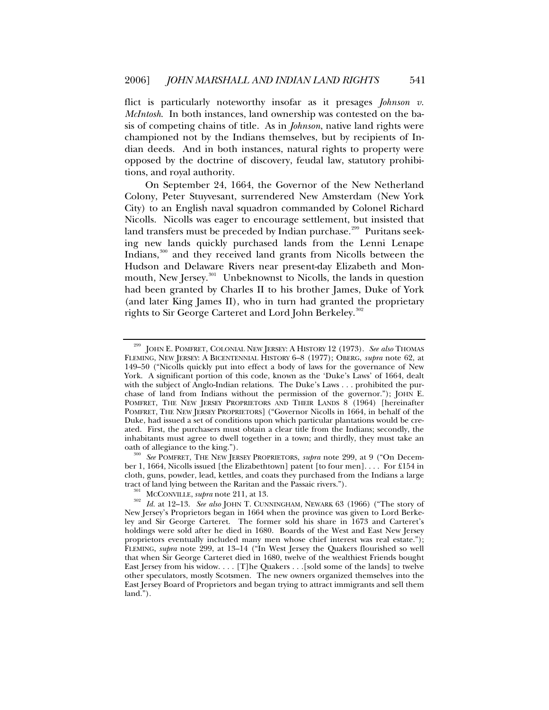flict is particularly noteworthy insofar as it presages *Johnson v. McIntosh*. In both instances, land ownership was contested on the basis of competing chains of title. As in *Johnson*, native land rights were championed not by the Indians themselves, but by recipients of Indian deeds. And in both instances, natural rights to property were opposed by the doctrine of discovery, feudal law, statutory prohibitions, and royal authority.

On September 24, 1664, the Governor of the New Netherland Colony, Peter Stuyvesant, surrendered New Amsterdam (New York City) to an English naval squadron commanded by Colonel Richard Nicolls. Nicolls was eager to encourage settlement, but insisted that land transfers must be preceded by Indian purchase.<sup>[299](#page-60-0)</sup> Puritans seeking new lands quickly purchased lands from the Lenni Lenape Indians,[300](#page-60-1) and they received land grants from Nicolls between the Hudson and Delaware Rivers near present-day Elizabeth and Mon-mouth, New Jersey.<sup>[301](#page-60-2)</sup> Unbeknownst to Nicolls, the lands in question had been granted by Charles II to his brother James, Duke of York (and later King James II), who in turn had granted the proprietary rights to Sir George Carteret and Lord John Berkeley.<sup>[302](#page-60-3)</sup>

<span id="page-60-0"></span><sup>299</sup> JOHN E. POMFRET, COLONIAL NEW JERSEY: A HISTORY 12 (1973). *See also* THOMAS FLEMING, NEW JERSEY: A BICENTENNIAL HISTORY 6–8 (1977); OBERG, *supra* note 62, at 149–50 ("Nicolls quickly put into effect a body of laws for the governance of New York. A significant portion of this code, known as the 'Duke's Laws' of 1664, dealt with the subject of Anglo-Indian relations. The Duke's Laws . . . prohibited the purchase of land from Indians without the permission of the governor."); JOHN E. POMFRET, THE NEW JERSEY PROPRIETORS AND THEIR LANDS 8 (1964) [hereinafter POMFRET, THE NEW JERSEY PROPRIETORS] ("Governor Nicolls in 1664, in behalf of the Duke, had issued a set of conditions upon which particular plantations would be created. First, the purchasers must obtain a clear title from the Indians; secondly, the inhabitants must agree to dwell together in a town; and thirdly, they must take an

<span id="page-60-1"></span><sup>&</sup>lt;sup>300</sup> See POMFRET, THE NEW JERSEY PROPRIETORS, *supra* note 299, at 9 ("On December 1, 1664, Nicolls issued [the Elizabethtown] patent [to four men]. . . . For £154 in cloth, guns, powder, lead, kettles, and coats they purchased from the Indians a large

<span id="page-60-3"></span><span id="page-60-2"></span>tract of land lying between the Raritan and the Passaic rivers.").<br><sup>301</sup> MCCONVILLE, *supra* note 211, at 13.<br><sup>302</sup> Id. at 12–13. *See also* JOHN T. CUNNINGHAM, NEWARK 63 (1966) ("The story of New Jersey's Proprietors began in 1664 when the province was given to Lord Berkeley and Sir George Carteret. The former sold his share in 1673 and Carteret's holdings were sold after he died in 1680. Boards of the West and East New Jersey proprietors eventually included many men whose chief interest was real estate."); FLEMING, *supra* note 299, at 13–14 ("In West Jersey the Quakers flourished so well that when Sir George Carteret died in 1680, twelve of the wealthiest Friends bought East Jersey from his widow. . . . [T]he Quakers . . .[sold some of the lands] to twelve other speculators, mostly Scotsmen. The new owners organized themselves into the East Jersey Board of Proprietors and began trying to attract immigrants and sell them land.").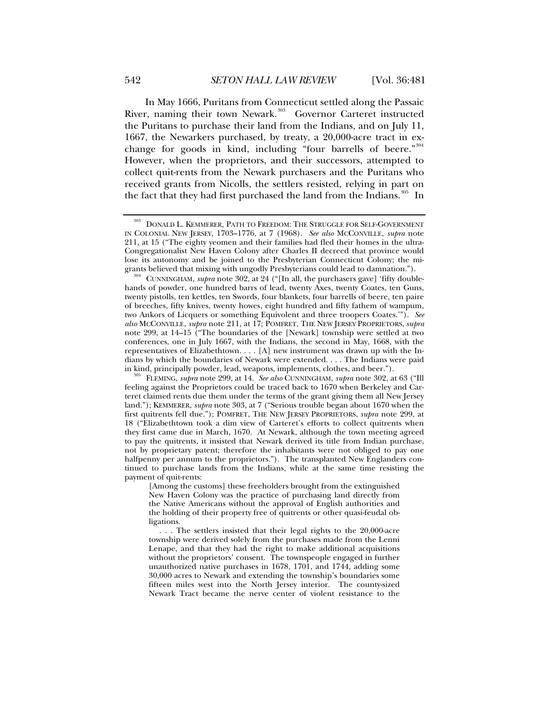In May 1666, Puritans from Connecticut settled along the Passaic River, naming their town Newark.<sup>[303](#page-61-0)</sup> Governor Carteret instructed the Puritans to purchase their land from the Indians, and on July 11, 1667, the Newarkers purchased, by treaty, a 20,000-acre tract in ex-

change for goods in kind, including "four barrells of beere."<sup>[304](#page-61-1)</sup> However, when the proprietors, and their successors, attempted to collect quit-rents from the Newark purchasers and the Puritans who received grants from Nicolls, the settlers resisted, relying in part on the fact that they had first purchased the land from the Indians.<sup>[305](#page-61-2)</sup> In

<span id="page-61-0"></span> $^{303}$  DONALD L. KEMMERER, PATH TO FREEDOM: THE STRUGGLE FOR SELF-GOVERNMENT IN COLONIAL NEW JERSEY, 1703–1776, at 7 (1968). *See also* MCCONVILLE, *supra* note 211, at 15 ("The eighty yeomen and their families had fled their homes in the ultra-Congregationalist New Haven Colony after Charles II decreed that province would lose its autonomy and be joined to the Presbyterian Connecticut Colony; the mi-

<span id="page-61-1"></span>grants believed that mixing with ungodly Presbyterians could lead to damnation.").<br><sup>304</sup> CUNNINGHAM, *supra* note 302, at 24 ("[In all, the purchasers gave] 'fifty doublehands of powder, one hundred barrs of lead, twenty Axes, twenty Coates, ten Guns, twenty pistolls, ten kettles, ten Swords, four blankets, four barrells of beere, ten paire of breeches, fifty knives, twenty howes, eight hundred and fifty fathem of wampum, two Ankors of Licquers or something Equivolent and three troopers Coates.'"). *See also* MCCONVILLE, *supra* note 211, at 17; POMFRET, THE NEW JERSEY PROPRIETORS, *supra*  note 299, at 14–15 ("The boundaries of the [Newark] township were settled at two conferences, one in July 1667, with the Indians, the second in May, 1668, with the representatives of Elizabethtown. . . . [A] new instrument was drawn up with the Indians by which the boundaries of Newark were extended. . . . The Indians were paid in kind, principally powder, lead, weapons, implements, clothes, and beer.").

<span id="page-61-2"></span> $^{5}$  FLEMING, *supra* note 299, at 14. *See also* CUNNINGHAM, *supra* note 302, at 63 ("Ill feeling against the Proprietors could be traced back to 1670 when Berkeley and Carteret claimed rents due them under the terms of the grant giving them all New Jersey land."); KEMMERER, *supra* note 303, at 7 ("Serious trouble began about 1670 when the first quitrents fell due."); POMFRET, THE NEW JERSEY PROPRIETORS, *supra* note 299, at 18 ("Elizabethtown took a dim view of Carteret's efforts to collect quitrents when they first came due in March, 1670. At Newark, although the town meeting agreed to pay the quitrents, it insisted that Newark derived its title from Indian purchase, not by proprietary patent; therefore the inhabitants were not obliged to pay one halfpenny per annum to the proprietors."). The transplanted New Englanders continued to purchase lands from the Indians, while at the same time resisting the payment of quit-rents:

<sup>[</sup>Among the customs] these freeholders brought from the extinguished New Haven Colony was the practice of purchasing land directly from the Native Americans without the approval of English authorities and the holding of their property free of quitrents or other quasi-feudal obligations.

 <sup>. . .</sup> The settlers insisted that their legal rights to the 20,000-acre township were derived solely from the purchases made from the Lenni Lenape, and that they had the right to make additional acquisitions without the proprietors' consent. The townspeople engaged in further unauthorized native purchases in 1678, 1701, and 1744, adding some 30,000 acres to Newark and extending the township's boundaries some fifteen miles west into the North Jersey interior. The county-sized Newark Tract became the nerve center of violent resistance to the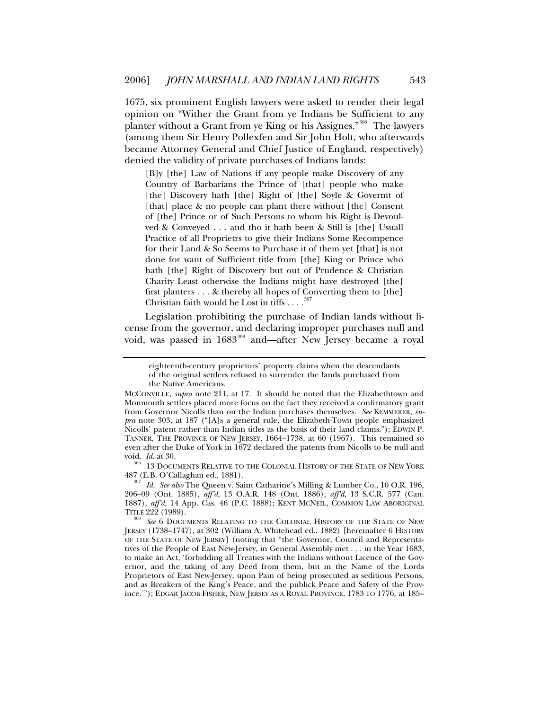1675, six prominent English lawyers were asked to render their legal opinion on "Wither the Grant from ye Indians be Sufficient to any planter without a Grant from ye King or his Assignes."<sup>[306](#page-62-0)</sup> The lawyers (among them Sir Henry Pollexfen and Sir John Holt, who afterwards became Attorney General and Chief Justice of England, respectively) denied the validity of private purchases of Indians lands:

[B]y [the] Law of Nations if any people make Discovery of any Country of Barbarians the Prince of [that] people who make [the] Discovery hath [the] Right of [the] Soyle & Govermt of [that] place & no people can plant there without [the] Consent of [the] Prince or of Such Persons to whom his Right is Devoulved & Conveyed . . . and tho it hath been & Still is [the] Usuall Practice of all Proprietrs to give their Indians Some Recompence for their Land & So Seems to Purchase it of them yet [that] is not done for want of Sufficient title from [the] King or Prince who hath [the] Right of Discovery but out of Prudence & Christian Charity Least otherwise the Indians might have destroyed [the] first planters . . . & thereby all hopes of Converting them to [the] Christian faith would be Lost in tiffs  $\dots$ 

Legislation prohibiting the purchase of Indian lands without license from the governor, and declaring improper purchases null and void, was passed in 1683<sup>[308](#page-62-2)</sup> and—after New Jersey became a royal

<span id="page-62-0"></span>487 (E.B. O'Callaghan ed., 1881). 307 *Id. See also* The Queen v. Saint Catharine's Milling & Lumber Co., 10 O.R. 196,

<span id="page-62-1"></span>206–09 (Ont. 1885), *aff'd*, 13 O.A.R. 148 (Ont. 1886), *aff'd*, 13 S.C.R. 577 (Can. 1887), *aff'd*, 14 App. Cas. 46 (P.C. 1888); KENT MCNEIL, COMMON LAW ABORIGINAL TITLE 222 (1989).

eighteenth-century proprietors' property claims when the descendants of the original settlers refused to surrender the lands purchased from the Native Americans.

MCCONVILLE, *supra* note 211, at 17. It should be noted that the Elizabethtown and Monmouth settlers placed more focus on the fact they received a confirmatory grant from Governor Nicolls than on the Indian purchases themselves. *See* KEMMERER, *supra* note 303, at 187 ("[A]s a general rule, the Elizabeth-Town people emphasized Nicolls' patent rather than Indian titles as the basis of their land claims."); EDWIN P. TANNER, THE PROVINCE OF NEW JERSEY, 1664–1738, at 60 (1967). This remained so even after the Duke of York in 1672 declared the patents from Nicolls to be null and void. *Id.* at 30. 306 13 DOCUMENTS RELATIVE TO THE COLONIAL HISTORY OF THE STATE OF NEW YORK

<span id="page-62-2"></span><sup>&</sup>lt;sup>3</sup> See 6 DOCUMENTS RELATING TO THE COLONIAL HISTORY OF THE STATE OF NEW JERSEY (1738–1747), at 302 (William A. Whitehead ed., 1882) [hereinafter 6 HISTORY OF THE STATE OF NEW JERSEY] (noting that "the Governor, Council and Representatives of the People of East New-Jersey, in General Assembly met . . . in the Year 1683, to make an Act, 'forbidding all Treaties with the Indians without Licence of the Governor, and the taking of any Deed from them, but in the Name of the Lords Proprietors of East New-Jersey, upon Pain of being prosecuted as seditious Persons, and as Breakers of the King's Peace, and the publick Peace and Safety of the Province.'"); EDGAR JACOB FISHER, NEW JERSEY AS A ROYAL PROVINCE, 1783 TO 1776, at 185–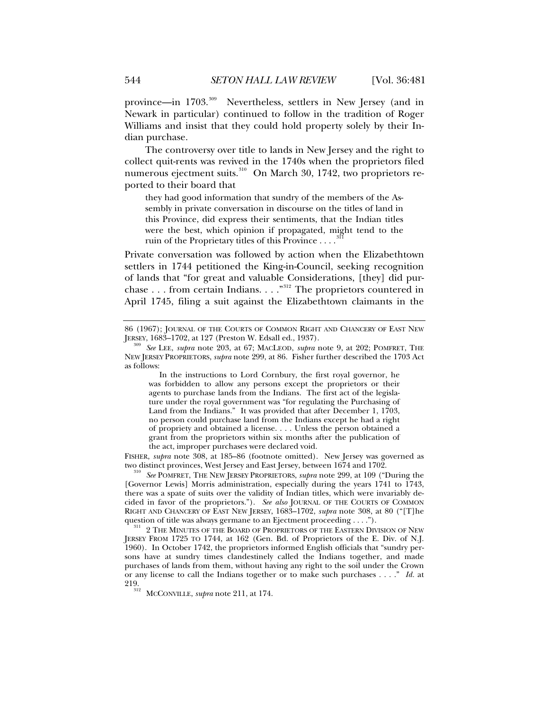province—in 1703.<sup>[309](#page-63-0)</sup> Nevertheless, settlers in New Jersey (and in Newark in particular) continued to follow in the tradition of Roger Williams and insist that they could hold property solely by their Indian purchase.

The controversy over title to lands in New Jersey and the right to collect quit-rents was revived in the 1740s when the proprietors filed numerous ejectment suits.<sup>[310](#page-63-1)</sup> On March 30, 1742, two proprietors reported to their board that

they had good information that sundry of the members of the Assembly in private conversation in discourse on the titles of land in this Province, did express their sentiments, that the Indian titles were the best, which opinion if propagated, might tend to the ruin of the Proprietary titles of this Province . . . .

Private conversation was followed by action when the Elizabethtown settlers in 1744 petitioned the King-in-Council, seeking recognition of lands that "for great and valuable Considerations, [they] did pur-chase . . . from certain Indians. . . . "<sup>[312](#page-63-3)</sup> The proprietors countered in April 1745, filing a suit against the Elizabethtown claimants in the

 In the instructions to Lord Cornbury, the first royal governor, he was forbidden to allow any persons except the proprietors or their agents to purchase lands from the Indians. The first act of the legislature under the royal government was "for regulating the Purchasing of Land from the Indians." It was provided that after December 1, 1703, no person could purchase land from the Indians except he had a right of propriety and obtained a license. . . . Unless the person obtained a grant from the proprietors within six months after the publication of the act, improper purchases were declared void.

FISHER, *supra* note 308, at 185–86 (footnote omitted). New Jersey was governed as two distinct provinces, West Jersey and East Jersey, between 1674 and 1702. 310 *See* POMFRET, THE NEW JERSEY PROPRIETORS, *supra* note 299, at 109 ("During the

<span id="page-63-1"></span>[Governor Lewis] Morris administration, especially during the years 1741 to 1743, there was a spate of suits over the validity of Indian titles, which were invariably decided in favor of the proprietors."). *See also* JOURNAL OF THE COURTS OF COMMON RIGHT AND CHANCERY OF EAST NEW JERSEY, 1683–1702, *supra* note 308, at 80 ("[T]he

<span id="page-63-2"></span>question of title was always germane to an Ejectment proceeding . . . .").<br><sup>311</sup> 2 THE MINUTES OF THE BOARD OF PROPRIETORS OF THE EASTERN DIVISION OF NEW JERSEY FROM 1725 TO 1744, at 162 (Gen. Bd. of Proprietors of the E. Div. of N.J. 1960). In October 1742, the proprietors informed English officials that "sundry persons have at sundry times clandestinely called the Indians together, and made purchases of lands from them, without having any right to the soil under the Crown or any license to call the Indians together or to make such purchases . . . ." *Id.* at 219. 312 MCCONVILLE, *supra* note 211, at 174.

<span id="page-63-3"></span>

<sup>86 (1967);</sup> JOURNAL OF THE COURTS OF COMMON RIGHT AND CHANCERY OF EAST NEW JERSEY, 1683-1702, at 127 (Preston W. Edsall ed., 1937).

<span id="page-63-0"></span>JERSEY, 1683–1702, at 127 (Preston W. Edsall ed., 1937). <sup>309</sup> *See* LEE, *supra* note 203, at 67; MACLEOD, *supra* note 9, at 202; POMFRET, THE NEW JERSEY PROPRIETORS, *supra* note 299, at 86. Fisher further described the 1703 Act as follows: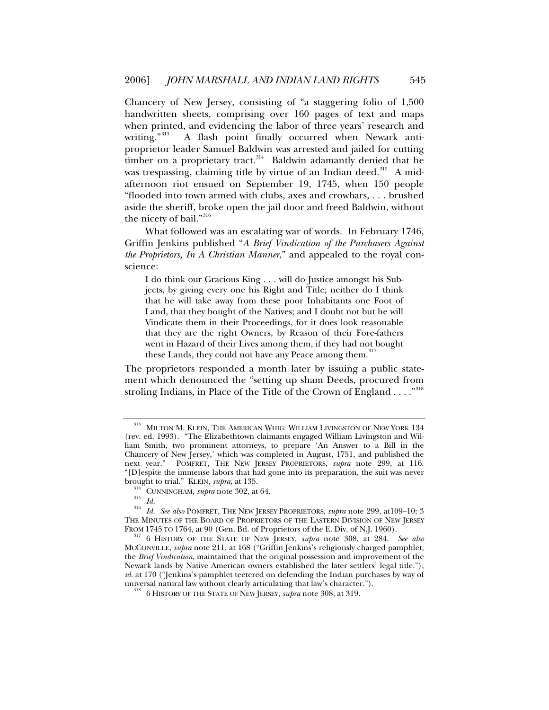Chancery of New Jersey, consisting of "a staggering folio of 1,500 handwritten sheets, comprising over 160 pages of text and maps when printed, and evidencing the labor of three years' research and writing."<sup>[313](#page-64-0)</sup> A flash point finally occurred when Newark antiproprietor leader Samuel Baldwin was arrested and jailed for cutting timber on a proprietary tract.<sup>[314](#page-64-1)</sup> Baldwin adamantly denied that he was trespassing, claiming title by virtue of an Indian deed.<sup>[315](#page-64-2)</sup> A midafternoon riot ensued on September 19, 1745, when 150 people "flooded into town armed with clubs, axes and crowbars, . . . brushed aside the sheriff, broke open the jail door and freed Baldwin, without the nicety of bail."<sup>[316](#page-64-3)</sup>

What followed was an escalating war of words. In February 1746, Griffin Jenkins published "*A Brief Vindication of the Purchasers Against the Proprietors, In A Christian Manner*," and appealed to the royal conscience:

I do think our Gracious King . . . will do Justice amongst his Subjects, by giving every one his Right and Title; neither do I think that he will take away from these poor Inhabitants one Foot of Land, that they bought of the Natives; and I doubt not but he will Vindicate them in their Proceedings, for it does look reasonable that they are the right Owners, by Reason of their Fore-fathers went in Hazard of their Lives among them, if they had not bought these Lands, they could not have any Peace among them.<sup>3</sup>

The proprietors responded a month later by issuing a public statement which denounced the "setting up sham Deeds, procured from stroling Indians, in Place of the Title of the Crown of England . . . . "<sup>[318](#page-64-5)</sup>

<span id="page-64-0"></span><sup>&</sup>lt;sup>313</sup> MILTON M. KLEIN, THE AMERICAN WHIG: WILLIAM LIVINGSTON OF NEW YORK 134 (rev. ed. 1993). "The Elizabethtown claimants engaged William Livingston and William Smith, two prominent attorneys, to prepare 'An Answer to a Bill in the Chancery of New Jersey,' which was completed in August, 1751, and published the next year." POMFRET, THE NEW JERSEY PROPRIETORS, *supra* note 299, at 116. "[D]espite the immense labors that had gone into its preparation, the suit was never<br>brought to trial." KLEIN, *supra*, at 135.

<span id="page-64-3"></span><span id="page-64-2"></span><span id="page-64-1"></span><sup>&</sup>lt;sup>314</sup> CUNNINGHAM, *supra* note 302, at 64.<br><sup>315</sup> *Id. Id. See also* POMFRET, THE NEW JERSEY PROPRIETORS, *supra* note 299, at109–10; 3 THE MINUTES OF THE BOARD OF PROPRIETORS OF THE EASTERN DIVISION OF NEW JERSEY<br>FROM 1745 TO 1764, at 90 (Gen. Bd. of Proprietors of the E. Div. of N.J. 1960).

<span id="page-64-5"></span><span id="page-64-4"></span><sup>&</sup>lt;sup>317</sup> 6 HISTORY OF THE STATE OF NEW JERSEY, *supra* note 308, at 284. *See also* MCCONVILLE, *supra* note 211, at 168 ("Griffin Jenkins's religiously charged pamphlet, the *Brief Vindication*, maintained that the original possession and improvement of the Newark lands by Native American owners established the later settlers' legal title."); *id.* at 170 ("Jenkins's pamphlet teetered on defending the Indian purchases by way of universal natural law without clearly articulating that law's character."). 318 6 HISTORY OF THE STATE OF NEW JERSEY, *supra* note 308, at 319.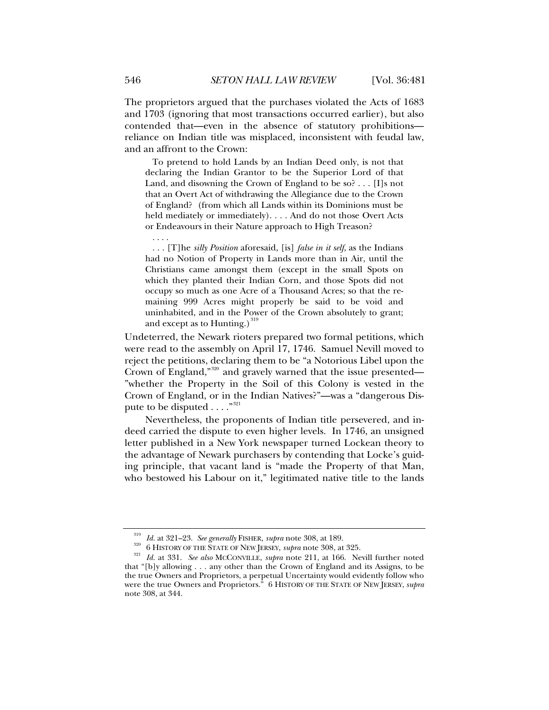The proprietors argued that the purchases violated the Acts of 1683 and 1703 (ignoring that most transactions occurred earlier), but also contended that—even in the absence of statutory prohibitions reliance on Indian title was misplaced, inconsistent with feudal law, and an affront to the Crown:

 To pretend to hold Lands by an Indian Deed only, is not that declaring the Indian Grantor to be the Superior Lord of that Land, and disowning the Crown of England to be so? . . . [I]s not that an Overt Act of withdrawing the Allegiance due to the Crown of England? (from which all Lands within its Dominions must be held mediately or immediately). . . . And do not those Overt Acts or Endeavours in their Nature approach to High Treason?

. . . .

 . . . [T]he *silly Position* aforesaid, [is] *false in it self*, as the Indians had no Notion of Property in Lands more than in Air, until the Christians came amongst them (except in the small Spots on which they planted their Indian Corn, and those Spots did not occupy so much as one Acre of a Thousand Acres; so that the remaining 999 Acres might properly be said to be void and uninhabited, and in the Power of the Crown absolutely to grant; and except as to Hunting.) $319$ 

Undeterred, the Newark rioters prepared two formal petitions, which were read to the assembly on April 17, 1746. Samuel Nevill moved to reject the petitions, declaring them to be "a Notorious Libel upon the Crown of England,"[320](#page-65-1) and gravely warned that the issue presented— "whether the Property in the Soil of this Colony is vested in the Crown of England, or in the Indian Natives?"—was a "dangerous Dispute to be disputed  $\ldots$ ."<sup>[321](#page-65-2)</sup>

Nevertheless, the proponents of Indian title persevered, and indeed carried the dispute to even higher levels. In 1746, an unsigned letter published in a New York newspaper turned Lockean theory to the advantage of Newark purchasers by contending that Locke's guiding principle, that vacant land is "made the Property of that Man, who bestowed his Labour on it," legitimated native title to the lands

<span id="page-65-2"></span><span id="page-65-1"></span><span id="page-65-0"></span><sup>&</sup>lt;sup>319</sup> *Id.* at 321–23. *See generally* FISHER, *supra* note 308, at 189.<br><sup>320</sup> 6 HISTORY OF THE STATE OF NEW JERSEY, *supra* note 308, at 325.<br><sup>321</sup> *Id.* at 331. *See also* MCCONVILLE, *supra* note 211, at 166. Nevill fu that "[b]y allowing . . . any other than the Crown of England and its Assigns, to be the true Owners and Proprietors, a perpetual Uncertainty would evidently follow who were the true Owners and Proprietors." 6 HISTORY OF THE STATE OF NEW JERSEY, *supra*  note 308, at 344.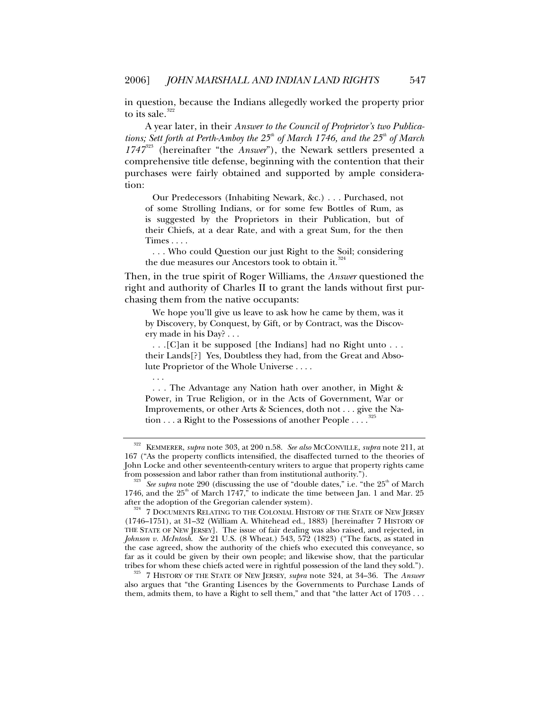in question, because the Indians allegedly worked the property prior to its sale.<sup>[322](#page-66-0)</sup>

A year later, in their *Answer to the Council of Proprietor's two Publications; Sett forth at Perth-Amboy the 25<sup>th</sup> of March 1746, and the 25<sup>th</sup> of March 1747*[323](#page-66-1) (hereinafter "the *Answer*"), the Newark settlers presented a comprehensive title defense, beginning with the contention that their purchases were fairly obtained and supported by ample consideration:

 Our Predecessors (Inhabiting Newark, &c.) . . . Purchased, not of some Strolling Indians, or for some few Bottles of Rum, as is suggested by the Proprietors in their Publication, but of their Chiefs, at a dear Rate, and with a great Sum, for the then Times . . . .

 . . . Who could Question our just Right to the Soil; considering the due measures our Ancestors took to obtain it.<sup>32</sup>

Then, in the true spirit of Roger Williams, the *Answer* questioned the right and authority of Charles II to grant the lands without first purchasing them from the native occupants:

 We hope you'll give us leave to ask how he came by them, was it by Discovery, by Conquest, by Gift, or by Contract, was the Discovery made in his Day? . . .

 . . .[C]an it be supposed [the Indians] had no Right unto . . . their Lands[?] Yes, Doubtless they had, from the Great and Absolute Proprietor of the Whole Universe . . . .

 . . . The Advantage any Nation hath over another, in Might & Power, in True Religion, or in the Acts of Government, War or Improvements, or other Arts & Sciences, doth not . . . give the Nation  $\dots$  a Right to the Possessions of another People  $\dots$ .<sup>[325](#page-66-3)</sup>

. . .

<span id="page-66-3"></span><sup>325</sup> 7 HISTORY OF THE STATE OF NEW JERSEY, *supra* note 324, at 34–36. The *Answer* also argues that "the Granting Lisences by the Governments to Purchase Lands of them, admits them, to have a Right to sell them," and that "the latter Act of 1703 . . .

<span id="page-66-0"></span><sup>322</sup> KEMMERER, *supra* note 303, at 200 n.58. *See also* MCCONVILLE, *supra* note 211, at 167 ("As the property conflicts intensified, the disaffected turned to the theories of John Locke and other seventeenth-century writers to argue that property rights came

<span id="page-66-1"></span>*See supra* note 290 (discussing the use of "double dates," i.e. "the 25<sup>th</sup> of March 1746, and the  $25<sup>th</sup>$  of March 1747," to indicate the time between Jan. 1 and Mar. 25 after the adoption of the Gregorian calender system).<br><sup>324</sup> 7 DOCUMENTS RELATING TO THE COLONIAL HISTORY OF THE STATE OF NEW JERSEY

<span id="page-66-2"></span><sup>(1746–1751),</sup> at 31–32 (William A. Whitehead ed., 1883) [hereinafter 7 HISTORY OF THE STATE OF NEW JERSEY]. The issue of fair dealing was also raised, and rejected, in *Johnson v. McIntosh*. *See* 21 U.S. (8 Wheat.) 543, 572 (1823) ("The facts, as stated in the case agreed, show the authority of the chiefs who executed this conveyance, so far as it could be given by their own people; and likewise show, that the particular tribes for whom these chiefs acted were in rightful possession of the land they sold.").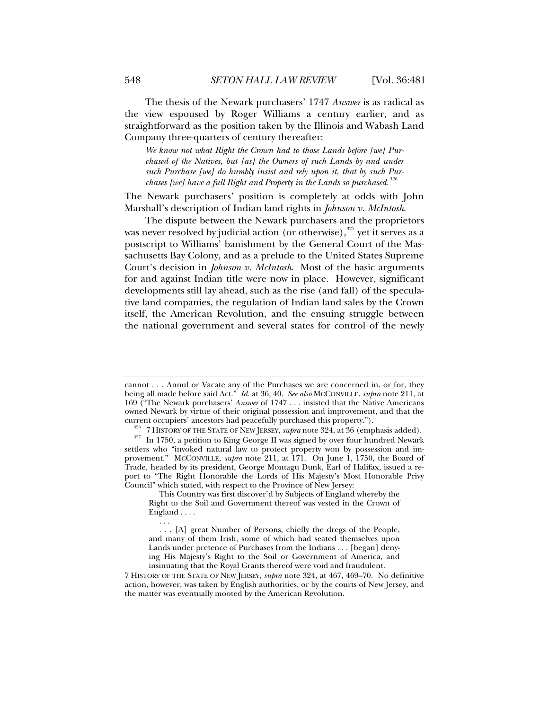The thesis of the Newark purchasers' 1747 *Answer* is as radical as the view espoused by Roger Williams a century earlier, and as straightforward as the position taken by the Illinois and Wabash Land Company three-quarters of century thereafter:

*We know not what Right the Crown had to those Lands before [we] Purchased of the Natives, but [as] the Owners of such Lands by and under such Purchase [we] do humbly insist and rely upon it, that by such Purchases [we] have a full Right and Property in the Lands so purchased.[326](#page-67-0)* 

The Newark purchasers' position is completely at odds with John Marshall's description of Indian land rights in *Johnson v. McIntosh*.

The dispute between the Newark purchasers and the proprietors was never resolved by judicial action (or otherwise), $327$  yet it serves as a postscript to Williams' banishment by the General Court of the Massachusetts Bay Colony, and as a prelude to the United States Supreme Court's decision in *Johnson v. McIntosh*. Most of the basic arguments for and against Indian title were now in place. However, significant developments still lay ahead, such as the rise (and fall) of the speculative land companies, the regulation of Indian land sales by the Crown itself, the American Revolution, and the ensuing struggle between the national government and several states for control of the newly

cannot . . . Annul or Vacate any of the Purchases we are concerned in, or for, they being all made before said Act." *Id.* at 36, 40. *See also* MCCONVILLE, *supra* note 211, at 169 ("The Newark purchasers' *Answer* of 1747 . . . insisted that the Native Americans owned Newark by virtue of their original possession and improvement, and that the current occupiers' ancestors had peacefully purchased this property.").

<sup>&</sup>lt;sup>326</sup> 7 HISTORY OF THE STATE OF NEW JERSEY, *supra* note 324, at 36 (emphasis added).<br><sup>327</sup> In 1750, a petition to King George II was signed by over four hundred Newark

<span id="page-67-1"></span><span id="page-67-0"></span>settlers who "invoked natural law to protect property won by possession and improvement." MCCONVILLE, *supra* note 211, at 171. On June 1, 1750, the Board of Trade, headed by its president, George Montagu Dunk, Earl of Halifax, issued a report to "The Right Honorable the Lords of His Majesty's Most Honorable Privy Council" which stated, with respect to the Province of New Jersey:

This Country was first discover'd by Subjects of England whereby the Right to the Soil and Government thereof was vested in the Crown of England . . . .

 $\ldots$  . . . . [A] great Number of Persons, chiefly the dregs of the People, and many of them Irish, some of which had seated themselves upon Lands under pretence of Purchases from the Indians . . . [began] denying His Majesty's Right to the Soil or Government of America, and insinuating that the Royal Grants thereof were void and fraudulent.

<sup>7</sup> HISTORY OF THE STATE OF NEW JERSEY, *supra* note 324, at 467, 469–70. No definitive action, however, was taken by English authorities, or by the courts of New Jersey, and the matter was eventually mooted by the American Revolution.